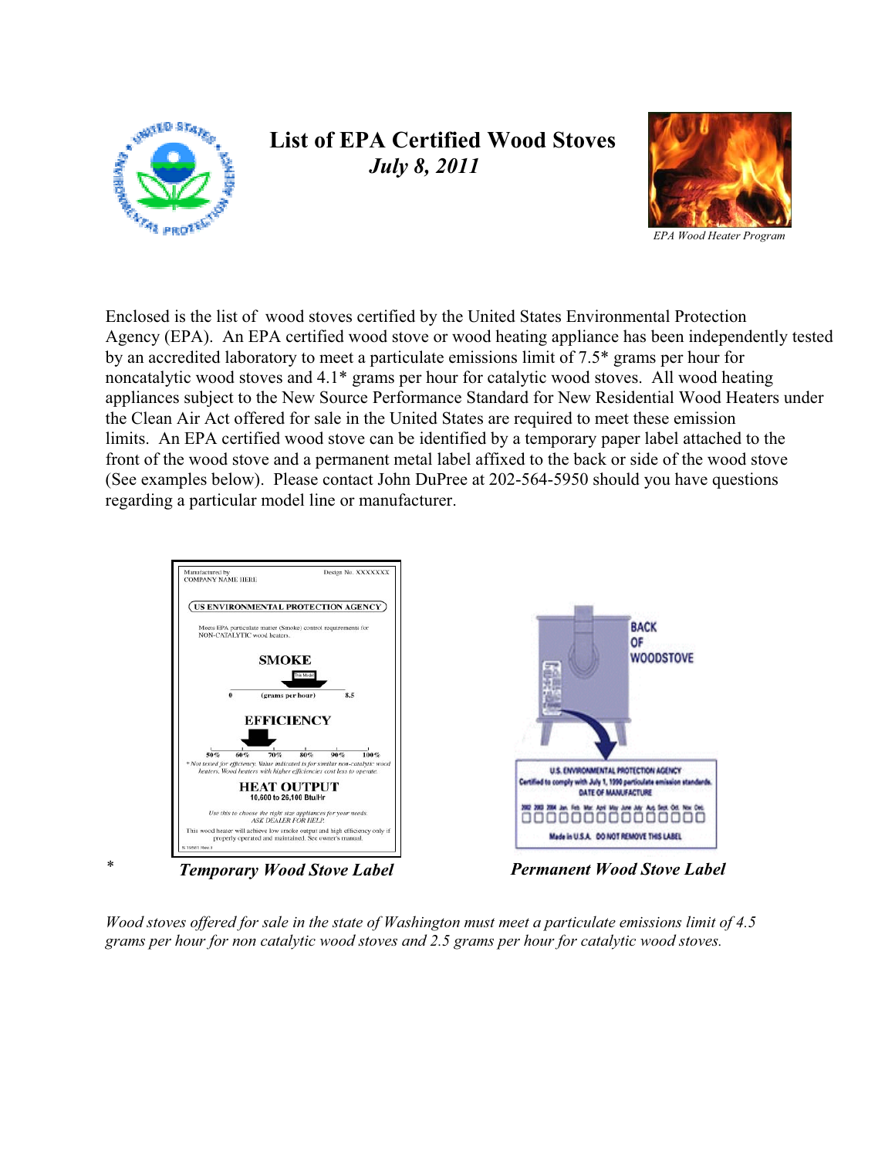

## **List of EPA Certified Wood Stoves**  *July 8, 2011*



 limits. An EPA certified wood stove can be identified by a temporary paper label attached to the Enclosed is the list of wood stoves certified by the United States Environmental Protection Agency (EPA). An EPA certified wood stove or wood heating appliance has been independently tested by an accredited laboratory to meet a particulate emissions limit of 7.5\* grams per hour for noncatalytic wood stoves and 4.1\* grams per hour for catalytic wood stoves. All wood heating appliances subject to the New Source Performance Standard for New Residential Wood Heaters under the Clean Air Act offered for sale in the United States are required to meet these emission front of the wood stove and a permanent metal label affixed to the back or side of the wood stove (See examples below). Please contact John DuPree at 202-564-5950 should you have questions regarding a particular model line or manufacturer.



*Wood stoves offered for sale in the state of Washington must meet a particulate emissions limit of 4.5 grams per hour for non catalytic wood stoves and 2.5 grams per hour for catalytic wood stoves.*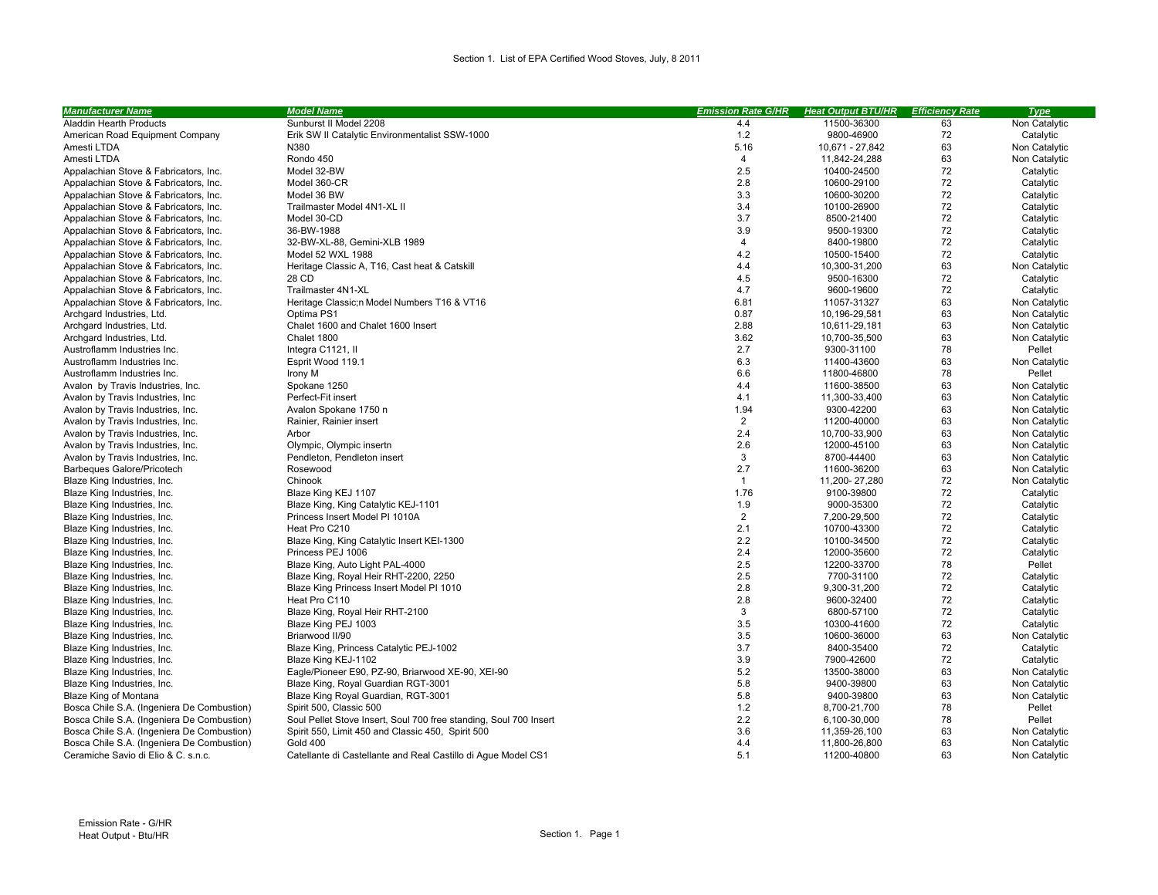| <b>Manufacturer Name</b>                   | <b>Model Name</b>                                                 | <b>Emission Rate G/HR</b> | <b>Heat Output BTU/HR</b> | <b>Efficiency Rate</b> | <b>Type</b>   |
|--------------------------------------------|-------------------------------------------------------------------|---------------------------|---------------------------|------------------------|---------------|
| Aladdin Hearth Products                    | Sunburst II Model 2208                                            | 4.4                       | 11500-36300               | 63                     | Non Catalytic |
| American Road Equipment Company            | Erik SW II Catalytic Environmentalist SSW-1000                    | 1.2                       | 9800-46900                | 72                     | Catalytic     |
| Amesti LTDA                                | N380                                                              | 5.16                      | 10,671 - 27,842           | 63                     | Non Catalytic |
| Amesti LTDA                                | Rondo 450                                                         | $\overline{4}$            | 11,842-24,288             | 63                     | Non Catalytic |
| Appalachian Stove & Fabricators, Inc.      | Model 32-BW                                                       | 2.5                       | 10400-24500               | 72                     | Catalytic     |
| Appalachian Stove & Fabricators, Inc.      | Model 360-CR                                                      | 2.8                       | 10600-29100               | 72                     | Catalytic     |
| Appalachian Stove & Fabricators, Inc.      | Model 36 BW                                                       | 3.3                       | 10600-30200               | 72                     | Catalytic     |
| Appalachian Stove & Fabricators, Inc.      | Trailmaster Model 4N1-XL II                                       | 3.4                       | 10100-26900               | 72                     | Catalytic     |
| Appalachian Stove & Fabricators, Inc.      | Model 30-CD                                                       | 3.7                       | 8500-21400                | 72                     | Catalytic     |
| Appalachian Stove & Fabricators, Inc.      | 36-BW-1988                                                        | 3.9                       | 9500-19300                | 72                     | Catalytic     |
| Appalachian Stove & Fabricators, Inc.      | 32-BW-XL-88, Gemini-XLB 1989                                      | 4                         | 8400-19800                | 72                     | Catalytic     |
| Appalachian Stove & Fabricators, Inc.      | Model 52 WXL 1988                                                 | 4.2                       | 10500-15400               | 72                     | Catalytic     |
| Appalachian Stove & Fabricators, Inc.      | Heritage Classic A, T16, Cast heat & Catskill                     | 4.4                       | 10,300-31,200             | 63                     | Non Catalytic |
| Appalachian Stove & Fabricators, Inc.      | 28 CD                                                             | 4.5                       | 9500-16300                | 72                     | Catalytic     |
| Appalachian Stove & Fabricators, Inc.      | Trailmaster 4N1-XL                                                | 4.7                       | 9600-19600                | 72                     | Catalytic     |
| Appalachian Stove & Fabricators, Inc.      | Heritage Classic;□Model Numbers T16 & VT16                        | 6.81                      | 11057-31327               | 63                     | Non Catalytic |
| Archgard Industries, Ltd.                  | Optima PS1                                                        | 0.87                      | 10,196-29,581             | 63                     | Non Catalytic |
| Archgard Industries, Ltd.                  | Chalet 1600 and Chalet 1600 Insert                                | 2.88                      | 10,611-29,181             | 63                     | Non Catalytic |
| Archgard Industries, Ltd.                  | Chalet 1800                                                       | 3.62                      | 10,700-35,500             | 63                     | Non Catalytic |
| Austroflamm Industries Inc.                | Integra C1121, II                                                 | 2.7                       | 9300-31100                | 78                     | Pellet        |
| Austroflamm Industries Inc.                | Esprit Wood 119.1                                                 | 6.3                       | 11400-43600               | 63                     | Non Catalytic |
| Austroflamm Industries Inc.                | Irony M                                                           | 6.6                       | 11800-46800               | 78                     | Pellet        |
| Avalon by Travis Industries, Inc.          | Spokane 1250                                                      | 4.4                       | 11600-38500               | 63                     | Non Catalytic |
| Avalon by Travis Industries, Inc.          | Perfect-Fit insert                                                | 4.1                       | 11,300-33,400             | 63                     | Non Catalytic |
| Avalon by Travis Industries, Inc.          | Avalon Spokane 1750 □                                             | 1.94                      | 9300-42200                | 63                     | Non Catalytic |
| Avalon by Travis Industries, Inc.          | Rainier, Rainier insert                                           | $\overline{2}$            | 11200-40000               | 63                     | Non Catalytic |
| Avalon by Travis Industries, Inc.          | Arbor                                                             | 2.4                       | 10,700-33,900             | 63                     | Non Catalytic |
| Avalon by Travis Industries, Inc.          | Olympic, Olympic insert□                                          | 2.6                       | 12000-45100               | 63                     | Non Catalytic |
| Avalon by Travis Industries, Inc.          | Pendleton, Pendleton insert                                       | 3                         | 8700-44400                | 63                     | Non Catalytic |
| Barbeques Galore/Pricotech                 | Rosewood                                                          | 2.7                       | 11600-36200               | 63                     | Non Catalytic |
| Blaze King Industries, Inc.                | Chinook                                                           | $\overline{1}$            | 11,200-27,280             | 72                     | Non Catalytic |
| Blaze King Industries, Inc.                | Blaze King KEJ 1107                                               | 1.76                      | 9100-39800                | 72                     | Catalytic     |
| Blaze King Industries, Inc.                | Blaze King, King Catalytic KEJ-1101                               | 1.9                       | 9000-35300                | 72                     | Catalytic     |
| Blaze King Industries, Inc.                | Princess Insert Model PI 1010A                                    | $\overline{2}$            | 7,200-29,500              | 72                     | Catalytic     |
| Blaze King Industries, Inc.                | Heat Pro C210                                                     | 2.1                       | 10700-43300               | 72                     | Catalytic     |
| Blaze King Industries, Inc.                | Blaze King, King Catalytic Insert KEI-1300                        | 2.2                       | 10100-34500               | 72                     | Catalytic     |
| Blaze King Industries, Inc.                | Princess PEJ 1006                                                 | 2.4                       | 12000-35600               | 72                     | Catalytic     |
| Blaze King Industries, Inc.                | Blaze King, Auto Light PAL-4000                                   | 2.5                       | 12200-33700               | 78                     | Pellet        |
| Blaze King Industries, Inc.                | Blaze King, Royal Heir RHT-2200, 2250                             | 2.5                       | 7700-31100                | 72                     | Catalytic     |
| Blaze King Industries, Inc.                | Blaze King Princess Insert Model PI 1010                          | 2.8                       | 9,300-31,200              | 72                     | Catalytic     |
| Blaze King Industries, Inc.                | Heat Pro C110                                                     | 2.8                       | 9600-32400                | 72                     | Catalytic     |
| Blaze King Industries, Inc.                | Blaze King, Royal Heir RHT-2100                                   | 3                         | 6800-57100                | 72                     | Catalytic     |
| Blaze King Industries, Inc.                | Blaze King PEJ 1003                                               | 3.5                       | 10300-41600               | 72                     | Catalytic     |
| Blaze King Industries, Inc.                | Briarwood II/90                                                   | 3.5                       | 10600-36000               | 63                     | Non Catalytic |
| Blaze King Industries, Inc.                | Blaze King, Princess Catalytic PEJ-1002                           | 3.7                       | 8400-35400                | 72                     | Catalytic     |
| Blaze King Industries, Inc.                | Blaze King KEJ-1102                                               | 3.9                       | 7900-42600                | 72                     | Catalytic     |
| Blaze King Industries, Inc.                | Eagle/Pioneer E90, PZ-90, Briarwood XE-90, XEI-90                 | 5.2                       | 13500-38000               | 63                     | Non Catalytic |
| Blaze King Industries, Inc.                | Blaze King, Royal Guardian RGT-3001                               | 5.8                       | 9400-39800                | 63                     | Non Catalytic |
| Blaze King of Montana                      | Blaze King Royal Guardian, RGT-3001                               | 5.8                       | 9400-39800                | 63                     | Non Catalytic |
| Bosca Chile S.A. (Ingeniera De Combustion) | Spirit 500, Classic 500                                           | 1.2                       | 8,700-21,700              | 78                     | Pellet        |
| Bosca Chile S.A. (Ingeniera De Combustion) | Soul Pellet Stove Insert, Soul 700 free standing, Soul 700 Insert | 2.2                       | 6,100-30,000              | 78                     | Pellet        |
| Bosca Chile S.A. (Ingeniera De Combustion) | Spirit 550, Limit 450 and Classic 450, Spirit 500                 | 3.6                       | 11,359-26,100             | 63                     | Non Catalytic |
| Bosca Chile S.A. (Ingeniera De Combustion) | <b>Gold 400</b>                                                   | 4.4                       | 11,800-26,800             | 63                     | Non Catalytic |
| Ceramiche Savio di Elio & C. s.n.c.        | Catellante di Castellante and Real Castillo di Aque Model CS1     | 5.1                       | 11200-40800               | 63                     | Non Catalytic |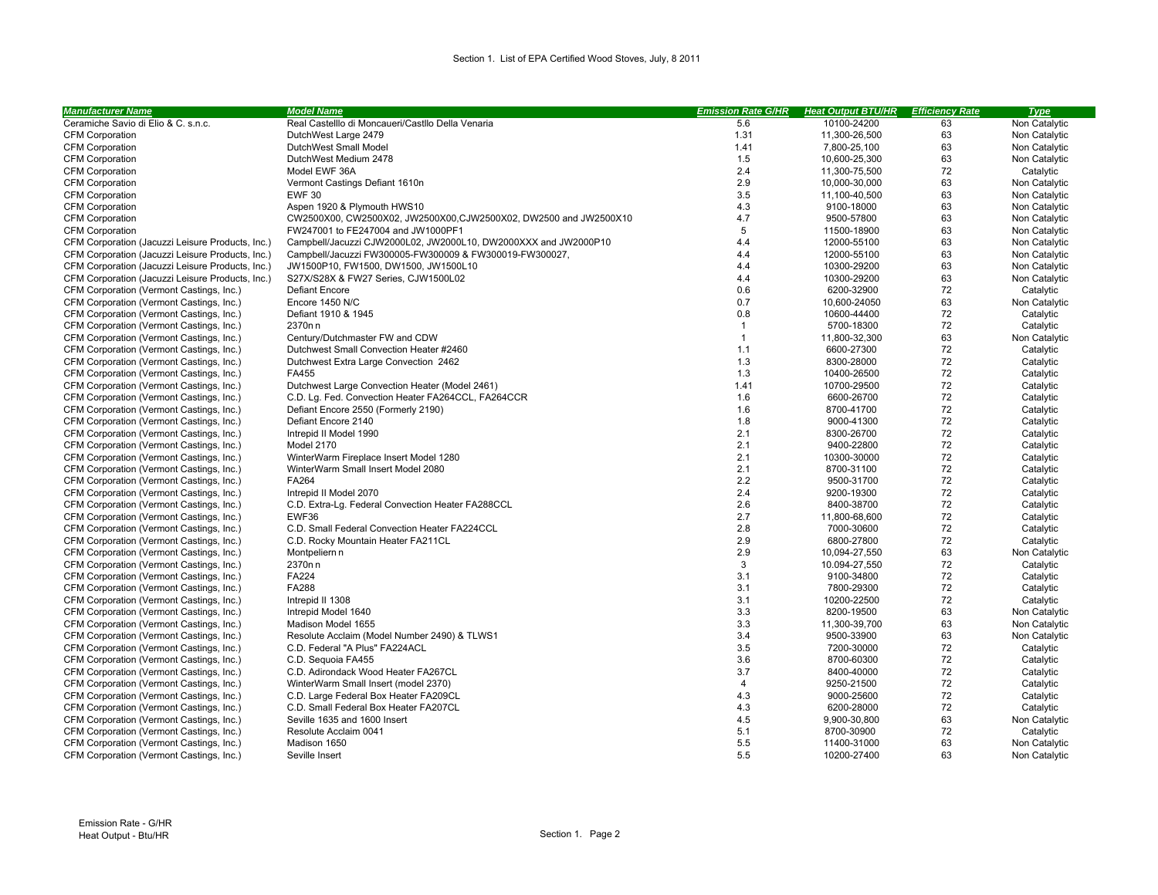| <b>Manufacturer Name</b>                         | <b>Model Name</b>                                                 | <b>Emission Rate G/HR</b> | <b>Heat Output BTU/HR</b> | <b>Efficiency Rate</b> | <b>Type</b>   |
|--------------------------------------------------|-------------------------------------------------------------------|---------------------------|---------------------------|------------------------|---------------|
| Ceramiche Savio di Elio & C. s.n.c.              | Real Castelllo di Moncaueri/Castllo Della Venaria                 | 5.6                       | 10100-24200               | 63                     | Non Catalytic |
| <b>CFM Corporation</b>                           | DutchWest Large 2479                                              | 1.31                      | 11,300-26,500             | 63                     | Non Catalytic |
| <b>CFM Corporation</b>                           | DutchWest Small Model                                             | 1.41                      | 7,800-25,100              | 63                     | Non Catalytic |
| <b>CFM Corporation</b>                           | DutchWest Medium 2478                                             | 1.5                       | 10,600-25,300             | 63                     | Non Catalytic |
| <b>CFM Corporation</b>                           | Model EWF 36A                                                     | 2.4                       | 11,300-75,500             | 72                     | Catalytic     |
| <b>CFM Corporation</b>                           | Vermont Castings Defiant 1610                                     | 2.9                       | 10,000-30,000             | 63                     | Non Catalytic |
| <b>CFM Corporation</b>                           | <b>EWF 30</b>                                                     | 3.5                       | 11,100-40,500             | 63                     | Non Catalytic |
| <b>CFM Corporation</b>                           | Aspen 1920 & Plymouth HWS10                                       | 4.3                       | 9100-18000                | 63                     | Non Catalytic |
| <b>CFM Corporation</b>                           | CW2500X00, CW2500X02, JW2500X00, CJW2500X02, DW2500 and JW2500X10 | 4.7                       | 9500-57800                | 63                     | Non Catalytic |
| <b>CFM Corporation</b>                           | FW247001 to FE247004 and JW1000PF1                                | 5                         | 11500-18900               | 63                     | Non Catalytic |
| CFM Corporation (Jacuzzi Leisure Products, Inc.) | Campbell/Jacuzzi CJW2000L02, JW2000L10, DW2000XXX and JW2000P10   | 4.4                       | 12000-55100               | 63                     | Non Catalytic |
| CFM Corporation (Jacuzzi Leisure Products, Inc.) | Campbell/Jacuzzi FW300005-FW300009 & FW300019-FW300027,           | 4.4                       | 12000-55100               | 63                     | Non Catalytic |
| CFM Corporation (Jacuzzi Leisure Products, Inc.) | JW1500P10, FW1500, DW1500, JW1500L10                              | 4.4                       | 10300-29200               | 63                     | Non Catalytic |
| CFM Corporation (Jacuzzi Leisure Products, Inc.) | S27X/S28X & FW27 Series, CJW1500L02                               | 4.4                       | 10300-29200               | 63                     | Non Catalytic |
| CFM Corporation (Vermont Castings, Inc.)         | <b>Defiant Encore</b>                                             | 0.6                       | 6200-32900                | 72                     | Catalytic     |
| CFM Corporation (Vermont Castings, Inc.)         | Encore 1450 N/C                                                   | 0.7                       | 10.600-24050              | 63                     | Non Catalytic |
| CFM Corporation (Vermont Castings, Inc.)         | Defiant 1910 & 1945                                               | 0.8                       | 10600-44400               | 72                     | Catalytic     |
| CFM Corporation (Vermont Castings, Inc.)         | 2370□□                                                            | $\overline{1}$            | 5700-18300                | 72                     | Catalytic     |
| CFM Corporation (Vermont Castings, Inc.)         | Century/Dutchmaster FW and CDW                                    | $\overline{1}$            | 11,800-32,300             | 63                     | Non Catalytic |
| CFM Corporation (Vermont Castings, Inc.)         | Dutchwest Small Convection Heater #2460                           | 1.1                       | 6600-27300                | 72                     | Catalytic     |
| CFM Corporation (Vermont Castings, Inc.)         | Dutchwest Extra Large Convection 2462                             | 1.3                       | 8300-28000                | 72                     | Catalytic     |
| CFM Corporation (Vermont Castings, Inc.)         | FA455                                                             | 1.3                       | 10400-26500               | 72                     | Catalytic     |
| CFM Corporation (Vermont Castings, Inc.)         | Dutchwest Large Convection Heater (Model 2461)                    | 1.41                      | 10700-29500               | 72                     | Catalytic     |
| CFM Corporation (Vermont Castings, Inc.)         | C.D. Lg. Fed. Convection Heater FA264CCL, FA264CCR                | 1.6                       | 6600-26700                | 72                     | Catalytic     |
| CFM Corporation (Vermont Castings, Inc.)         | Defiant Encore 2550 (Formerly 2190)                               | 1.6                       | 8700-41700                | 72                     | Catalytic     |
| CFM Corporation (Vermont Castings, Inc.)         | Defiant Encore 2140                                               | 1.8                       | 9000-41300                | 72                     | Catalytic     |
| CFM Corporation (Vermont Castings, Inc.)         | Intrepid II Model 1990                                            | 2.1                       | 8300-26700                | 72                     | Catalytic     |
| CFM Corporation (Vermont Castings, Inc.)         | Model 2170                                                        | 2.1                       | 9400-22800                | 72                     | Catalytic     |
| CFM Corporation (Vermont Castings, Inc.)         | WinterWarm Fireplace Insert Model 1280                            | 2.1                       | 10300-30000               | 72                     | Catalytic     |
| CFM Corporation (Vermont Castings, Inc.)         | WinterWarm Small Insert Model 2080                                | 2.1                       | 8700-31100                | 72                     | Catalytic     |
| CFM Corporation (Vermont Castings, Inc.)         | FA264                                                             | 2.2                       | 9500-31700                | 72                     | Catalytic     |
| CFM Corporation (Vermont Castings, Inc.)         | Intrepid II Model 2070                                            | 2.4                       | 9200-19300                | 72                     | Catalytic     |
| CFM Corporation (Vermont Castings, Inc.)         | C.D. Extra-Lg. Federal Convection Heater FA288CCL                 | 2.6                       | 8400-38700                | 72                     | Catalytic     |
| CFM Corporation (Vermont Castings, Inc.)         | EWF36                                                             | 2.7                       | 11,800-68,600             | 72                     | Catalytic     |
| CFM Corporation (Vermont Castings, Inc.)         | C.D. Small Federal Convection Heater FA224CCL                     | 2.8                       | 7000-30600                | 72                     | Catalytic     |
| CFM Corporation (Vermont Castings, Inc.)         | C.D. Rocky Mountain Heater FA211CL                                | 2.9                       | 6800-27800                | 72                     | Catalytic     |
| CFM Corporation (Vermont Castings, Inc.)         | Montpelier□□                                                      | 2.9                       | 10,094-27,550             | 63                     | Non Catalytic |
| CFM Corporation (Vermont Castings, Inc.)         | 2370□□                                                            | 3                         | 10.094-27,550             | 72                     | Catalytic     |
| CFM Corporation (Vermont Castings, Inc.)         | <b>FA224</b>                                                      | 3.1                       | 9100-34800                | 72                     | Catalytic     |
| CFM Corporation (Vermont Castings, Inc.)         | <b>FA288</b>                                                      | 3.1                       | 7800-29300                | 72                     | Catalytic     |
| CFM Corporation (Vermont Castings, Inc.)         | Intrepid II 1308                                                  | 3.1                       | 10200-22500               | 72                     | Catalytic     |
| CFM Corporation (Vermont Castings, Inc.)         | Intrepid Model 1640                                               | 3.3                       | 8200-19500                | 63                     | Non Catalytic |
| CFM Corporation (Vermont Castings, Inc.)         | Madison Model 1655                                                | 3.3                       | 11,300-39,700             | 63                     | Non Catalytic |
| CFM Corporation (Vermont Castings, Inc.)         | Resolute Acclaim (Model Number 2490) & TLWS1                      | 3.4                       | 9500-33900                | 63                     | Non Catalytic |
| CFM Corporation (Vermont Castings, Inc.)         | C.D. Federal "A Plus" FA224ACL                                    | 3.5                       | 7200-30000                | 72                     | Catalytic     |
| CFM Corporation (Vermont Castings, Inc.)         | C.D. Sequoia FA455                                                | 3.6                       | 8700-60300                | 72                     | Catalytic     |
| CFM Corporation (Vermont Castings, Inc.)         | C.D. Adirondack Wood Heater FA267CL                               | 3.7                       | 8400-40000                | 72                     | Catalytic     |
| CFM Corporation (Vermont Castings, Inc.)         | WinterWarm Small Insert (model 2370)                              | $\overline{4}$            | 9250-21500                | 72                     | Catalytic     |
| CFM Corporation (Vermont Castings, Inc.)         | C.D. Large Federal Box Heater FA209CL                             | 4.3                       | 9000-25600                | 72                     | Catalytic     |
| CFM Corporation (Vermont Castings, Inc.)         | C.D. Small Federal Box Heater FA207CL                             | 4.3                       | 6200-28000                | 72                     | Catalytic     |
| CFM Corporation (Vermont Castings, Inc.)         | Seville 1635 and 1600 Insert                                      | 4.5                       | 9,900-30,800              | 63                     | Non Catalytic |
| CFM Corporation (Vermont Castings, Inc.)         | Resolute Acclaim 0041                                             | 5.1                       | 8700-30900                | 72                     | Catalytic     |
| CFM Corporation (Vermont Castings, Inc.)         | Madison 1650                                                      | 5.5                       | 11400-31000               | 63                     | Non Catalytic |
| CFM Corporation (Vermont Castings, Inc.)         | Seville Insert                                                    | 5.5                       | 10200-27400               | 63                     | Non Catalytic |
|                                                  |                                                                   |                           |                           |                        |               |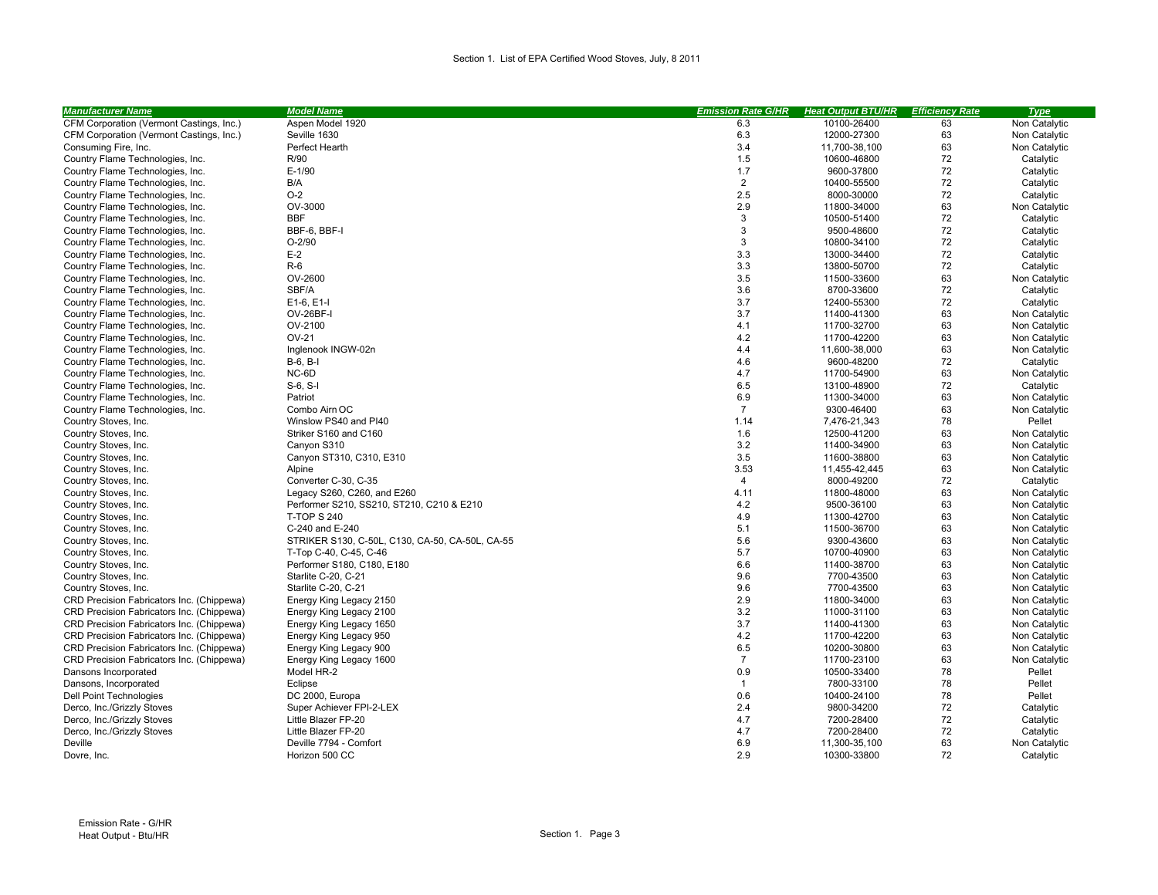| <b>Manufacturer Name</b>                  | <b>Model Name</b>                               | <b>Emission Rate G/HR</b> | <b>Heat Output BTU/HR</b> | <b>Efficiency Rate</b> | <b>Type</b>   |
|-------------------------------------------|-------------------------------------------------|---------------------------|---------------------------|------------------------|---------------|
| CFM Corporation (Vermont Castings, Inc.)  | Aspen Model 1920                                | 6.3                       | 10100-26400               | 63                     | Non Catalytic |
| CFM Corporation (Vermont Castings, Inc.)  | Seville 1630                                    | 6.3                       | 12000-27300               | 63                     | Non Catalytic |
| Consuming Fire, Inc.                      | Perfect Hearth                                  | 3.4                       | 11,700-38,100             | 63                     | Non Catalytic |
| Country Flame Technologies, Inc.          | R/90                                            | 1.5                       | 10600-46800               | 72                     | Catalytic     |
| Country Flame Technologies, Inc.          | $E-1/90$                                        | 1.7                       | 9600-37800                | 72                     | Catalytic     |
| Country Flame Technologies, Inc.          | B/A                                             | $\overline{2}$            | 10400-55500               | 72                     | Catalytic     |
| Country Flame Technologies, Inc.          | $O-2$                                           | 2.5                       | 8000-30000                | 72                     | Catalytic     |
| Country Flame Technologies, Inc.          | OV-3000                                         | 2.9                       | 11800-34000               | 63                     | Non Catalytic |
| Country Flame Technologies, Inc.          | <b>BBF</b>                                      | 3                         | 10500-51400               | 72                     | Catalytic     |
| Country Flame Technologies, Inc.          | BBF-6, BBF-I                                    | 3                         | 9500-48600                | 72                     | Catalytic     |
| Country Flame Technologies, Inc.          | $O-2/90$                                        | 3                         | 10800-34100               | 72                     | Catalytic     |
| Country Flame Technologies, Inc.          | $E-2$                                           | 3.3                       | 13000-34400               | 72                     | Catalytic     |
| Country Flame Technologies, Inc.          | $R-6$                                           | 3.3                       | 13800-50700               | 72                     | Catalytic     |
| Country Flame Technologies, Inc.          | OV-2600                                         | 3.5                       | 11500-33600               | 63                     | Non Catalytic |
| Country Flame Technologies, Inc.          | SBF/A                                           | 3.6                       | 8700-33600                | 72                     | Catalytic     |
| Country Flame Technologies, Inc.          | E1-6, E1-I                                      | 3.7                       | 12400-55300               | 72                     | Catalytic     |
| Country Flame Technologies, Inc.          | OV-26BF-I                                       | 3.7                       | 11400-41300               | 63                     | Non Catalytic |
| Country Flame Technologies, Inc.          | OV-2100                                         | 4.1                       | 11700-32700               | 63                     | Non Catalytic |
| Country Flame Technologies, Inc.          | OV-21                                           | 4.2                       | 11700-42200               | 63                     | Non Catalytic |
| Country Flame Technologies, Inc.          | Inglenook INGW-02                               | 4.4                       | 11.600-38.000             | 63                     | Non Catalytic |
| Country Flame Technologies, Inc.          | $B-6, B-1$                                      | 4.6                       | 9600-48200                | 72                     | Catalytic     |
| Country Flame Technologies, Inc.          | NC-6D                                           | 4.7                       | 11700-54900               | 63                     | Non Catalytic |
| Country Flame Technologies, Inc.          | $S-6, S-I$                                      | 6.5                       | 13100-48900               | 72                     | Catalytic     |
| Country Flame Technologies, Inc.          | Patriot                                         | 6.9                       | 11300-34000               | 63                     | Non Catalytic |
| Country Flame Technologies, Inc.          | Combo Air□OC                                    | $\overline{7}$            | 9300-46400                | 63                     | Non Catalytic |
| Country Stoves, Inc.                      | Winslow PS40 and PI40                           | 1.14                      | 7,476-21,343              | 78                     | Pellet        |
| Country Stoves, Inc.                      | Striker S160 and C160                           | 1.6                       | 12500-41200               | 63                     | Non Catalytic |
| Country Stoves, Inc.                      | Canyon S310                                     | 3.2                       | 11400-34900               | 63                     | Non Catalytic |
| Country Stoves, Inc.                      | Canyon ST310, C310, E310                        | 3.5                       | 11600-38800               | 63                     | Non Catalytic |
| Country Stoves, Inc.                      | Alpine                                          | 3.53                      | 11,455-42,445             | 63                     | Non Catalytic |
| Country Stoves, Inc.                      | Converter C-30, C-35                            | $\overline{4}$            | 8000-49200                | 72                     | Catalytic     |
| Country Stoves, Inc.                      | Legacy S260, C260, and E260                     | 4.11                      | 11800-48000               | 63                     | Non Catalytic |
| Country Stoves, Inc.                      | Performer S210, SS210, ST210, C210 & E210       | 4.2                       | 9500-36100                | 63                     | Non Catalytic |
| Country Stoves, Inc.                      | <b>T-TOP S 240</b>                              | 4.9                       | 11300-42700               | 63                     | Non Catalytic |
| Country Stoves, Inc.                      | C-240 and E-240                                 | 5.1                       | 11500-36700               | 63                     | Non Catalytic |
| Country Stoves, Inc.                      | STRIKER S130, C-50L, C130, CA-50, CA-50L, CA-55 | 5.6                       | 9300-43600                | 63                     | Non Catalytic |
| Country Stoves, Inc.                      | T-Top C-40, C-45, C-46                          | 5.7                       | 10700-40900               | 63                     | Non Catalytic |
| Country Stoves, Inc.                      | Performer S180, C180, E180                      | 6.6                       | 11400-38700               | 63                     | Non Catalytic |
| Country Stoves, Inc.                      | Starlite C-20, C-21                             | 9.6                       | 7700-43500                | 63                     | Non Catalytic |
| Country Stoves, Inc.                      | Starlite C-20, C-21                             | 9.6                       | 7700-43500                | 63                     | Non Catalytic |
| CRD Precision Fabricators Inc. (Chippewa) | Energy King Legacy 2150                         | 2.9                       | 11800-34000               | 63                     | Non Catalytic |
| CRD Precision Fabricators Inc. (Chippewa) | Energy King Legacy 2100                         | 3.2                       | 11000-31100               | 63                     | Non Catalytic |
| CRD Precision Fabricators Inc. (Chippewa) | Energy King Legacy 1650                         | 3.7                       | 11400-41300               | 63                     | Non Catalytic |
| CRD Precision Fabricators Inc. (Chippewa) | Energy King Legacy 950                          | 4.2                       | 11700-42200               | 63                     | Non Catalytic |
| CRD Precision Fabricators Inc. (Chippewa) | Energy King Legacy 900                          | 6.5                       | 10200-30800               | 63                     | Non Catalytic |
| CRD Precision Fabricators Inc. (Chippewa) | Energy King Legacy 1600                         | $\overline{7}$            | 11700-23100               | 63                     | Non Catalytic |
| Dansons Incorporated                      | Model HR-2                                      | 0.9                       | 10500-33400               | 78                     | Pellet        |
| Dansons, Incorporated                     | Eclipse                                         | $\mathbf{1}$              | 7800-33100                | 78                     | Pellet        |
| Dell Point Technologies                   | DC 2000, Europa                                 | 0.6                       | 10400-24100               | 78                     | Pellet        |
| Derco, Inc./Grizzly Stoves                | Super Achiever FPI-2-LEX                        | 2.4                       | 9800-34200                | 72                     | Catalytic     |
| Derco, Inc./Grizzly Stoves                | Little Blazer FP-20                             | 4.7                       | 7200-28400                | 72                     | Catalytic     |
| Derco, Inc./Grizzly Stoves                | Little Blazer FP-20                             | 4.7                       | 7200-28400                | 72                     | Catalytic     |
| Deville                                   | Deville 7794 - Comfort                          | 6.9                       | 11,300-35,100             | 63                     | Non Catalytic |
| Dovre, Inc.                               | Horizon 500 CC                                  | 2.9                       | 10300-33800               | 72                     | Catalytic     |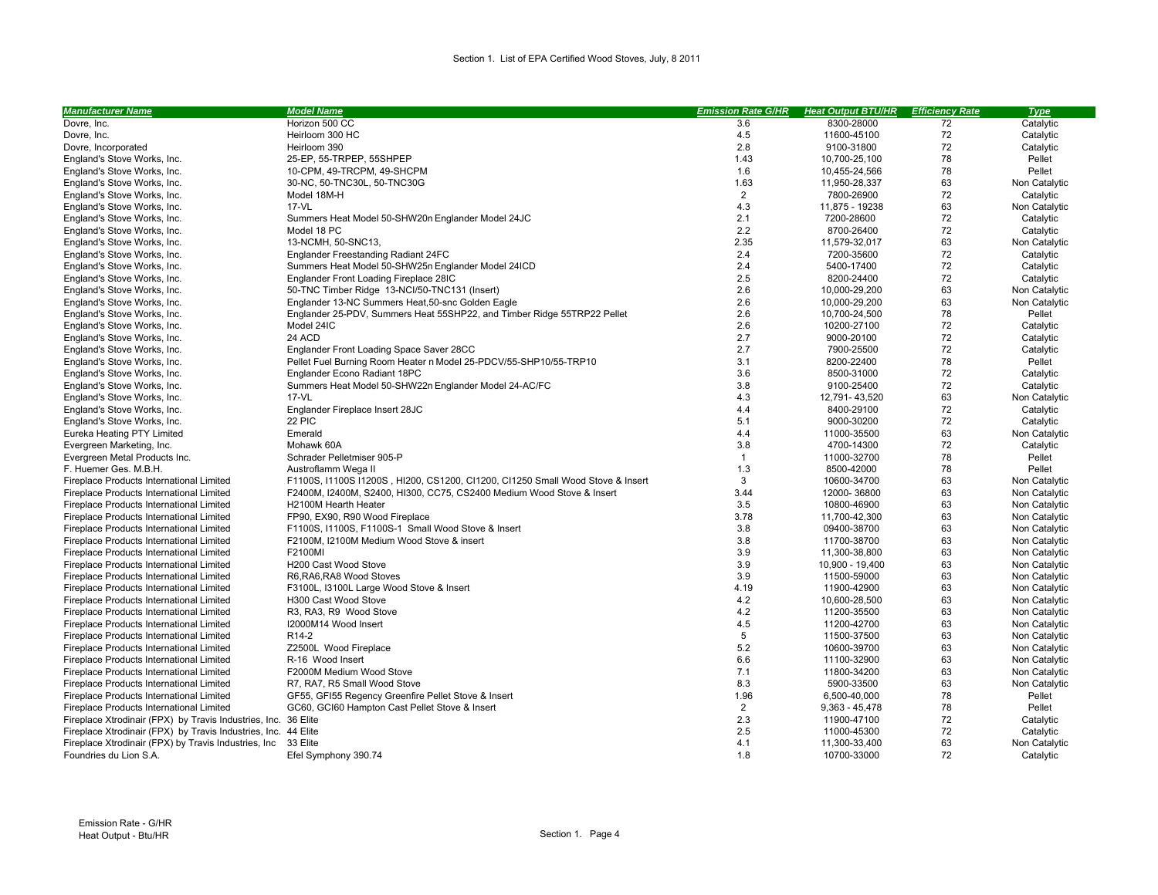| <b>Manufacturer Name</b>                                       | <b>Model Name</b>                                                              | <b>Emission Rate G/HR</b> | <b>Heat Output BTU/HR</b> | <b>Efficiency Rate</b> | <b>Type</b>   |
|----------------------------------------------------------------|--------------------------------------------------------------------------------|---------------------------|---------------------------|------------------------|---------------|
| Dovre, Inc.                                                    | Horizon 500 CC                                                                 | 3.6                       | 8300-28000                | 72                     | Catalytic     |
| Dovre, Inc.                                                    | Heirloom 300 HC                                                                | 4.5                       | 11600-45100               | 72                     | Catalytic     |
| Dovre, Incorporated                                            | Heirloom 390                                                                   | 2.8                       | 9100-31800                | 72                     | Catalytic     |
| England's Stove Works, Inc.                                    | 25-EP, 55-TRPEP, 55SHPEP                                                       | 1.43                      | 10,700-25,100             | 78                     | Pellet        |
| England's Stove Works, Inc.                                    | 10-CPM, 49-TRCPM, 49-SHCPM                                                     | 1.6                       | 10,455-24,566             | 78                     | Pellet        |
| England's Stove Works, Inc.                                    | 30-NC, 50-TNC30L, 50-TNC30G                                                    | 1.63                      | 11,950-28,337             | 63                     | Non Catalytic |
| England's Stove Works, Inc.                                    | Model 18M-H                                                                    | $\overline{2}$            | 7800-26900                | 72                     | Catalytic     |
| England's Stove Works, Inc.                                    | $17 - VL$                                                                      | 4.3                       | 11,875 - 19238            | 63                     | Non Catalytic |
| England's Stove Works, Inc.                                    | Summers Heat Model 50-SHW20□Englander Model 24JC                               | 2.1                       | 7200-28600                | 72                     | Catalytic     |
| England's Stove Works, Inc.                                    | Model 18 PC                                                                    | 2.2                       | 8700-26400                | 72                     | Catalytic     |
| England's Stove Works, Inc.                                    | 13-NCMH, 50-SNC13,                                                             | 2.35                      | 11,579-32,017             | 63                     | Non Catalytic |
| England's Stove Works, Inc.                                    | Englander Freestanding Radiant 24FC                                            | 2.4                       | 7200-35600                | 72                     | Catalytic     |
| England's Stove Works, Inc.                                    | Summers Heat Model 50-SHW25□ Englander Model 24ICD                             | 2.4                       | 5400-17400                | 72                     | Catalytic     |
| England's Stove Works, Inc.                                    | Englander Front Loading Fireplace 28IC                                         | 2.5                       | 8200-24400                | 72                     | Catalytic     |
| England's Stove Works, Inc.                                    | 50-TNC Timber Ridge 13-NCI/50-TNC131 (Insert)                                  | 2.6                       | 10,000-29,200             | 63                     | Non Catalytic |
| England's Stove Works, Inc.                                    | Englander 13-NC Summers Heat, 50-snc Golden Eagle                              | 2.6                       | 10,000-29,200             | 63                     | Non Catalytic |
| England's Stove Works, Inc.                                    | Englander 25-PDV, Summers Heat 55SHP22, and Timber Ridge 55TRP22 Pellet        | 2.6                       | 10,700-24,500             | 78                     | Pellet        |
| England's Stove Works, Inc.                                    | Model 24IC                                                                     | 2.6                       | 10200-27100               | 72                     | Catalytic     |
| England's Stove Works, Inc.                                    | 24 ACD                                                                         | 2.7                       | 9000-20100                | 72                     | Catalytic     |
| England's Stove Works, Inc.                                    | Englander Front Loading Space Saver 28CC                                       | 2.7                       | 7900-25500                | 72                     | Catalytic     |
| England's Stove Works, Inc.                                    | Pellet Fuel Burning Room Heater □Model 25-PDCV/55-SHP10/55-TRP10               | 3.1                       | 8200-22400                | 78                     | Pellet        |
| England's Stove Works, Inc.                                    | Englander Econo Radiant 18PC                                                   | 3.6                       | 8500-31000                | 72                     | Catalytic     |
| England's Stove Works, Inc.                                    | Summers Heat Model 50-SHW22□ Englander Model 24-AC/FC                          | 3.8                       | 9100-25400                | 72                     | Catalytic     |
| England's Stove Works, Inc.                                    | 17-VL                                                                          | 4.3                       | 12,791-43,520             | 63                     | Non Catalytic |
| England's Stove Works, Inc.                                    | Englander Fireplace Insert 28JC                                                | 4.4                       | 8400-29100                | 72                     | Catalytic     |
| England's Stove Works, Inc.                                    | 22 PIC                                                                         | 5.1                       | 9000-30200                | 72                     | Catalytic     |
| Eureka Heating PTY Limited                                     | Emerald                                                                        | 4.4                       | 11000-35500               | 63                     | Non Catalytic |
| Evergreen Marketing, Inc.                                      | Mohawk 60A                                                                     | 3.8                       | 4700-14300                | 72                     | Catalytic     |
| Evergreen Metal Products Inc.                                  | Schrader Pelletmiser 905-P                                                     | $\mathbf{1}$              | 11000-32700               | 78                     | Pellet        |
| F. Huemer Ges. M.B.H.                                          | Austroflamm Wega II                                                            | 1.3                       | 8500-42000                | 78                     | Pellet        |
| Fireplace Products International Limited                       | F1100S, I1100S I1200S, HI200, CS1200, CI1200, CI1250 Small Wood Stove & Insert | 3                         | 10600-34700               | 63                     | Non Catalytic |
| Fireplace Products International Limited                       | F2400M, I2400M, S2400, HI300, CC75, CS2400 Medium Wood Stove & Insert          | 3.44                      | 12000-36800               | 63                     | Non Catalytic |
| Fireplace Products International Limited                       | H2100M Hearth Heater                                                           | 3.5                       | 10800-46900               | 63                     | Non Catalytic |
| Fireplace Products International Limited                       | FP90, EX90, R90 Wood Fireplace                                                 | 3.78                      | 11,700-42,300             | 63                     | Non Catalytic |
| Fireplace Products International Limited                       | F1100S, I1100S, F1100S-1 Small Wood Stove & Insert                             | 3.8                       | 09400-38700               | 63                     | Non Catalytic |
| Fireplace Products International Limited                       | F2100M, I2100M Medium Wood Stove & insert                                      | 3.8                       | 11700-38700               | 63                     | Non Catalytic |
| Fireplace Products International Limited                       | F2100MI                                                                        | 3.9                       | 11,300-38,800             | 63                     | Non Catalytic |
| Fireplace Products International Limited                       | H200 Cast Wood Stove                                                           | 3.9                       | 10,900 - 19,400           | 63                     | Non Catalytic |
| Fireplace Products International Limited                       | R6, RA6, RA8 Wood Stoves                                                       | 3.9                       | 11500-59000               | 63                     | Non Catalytic |
| Fireplace Products International Limited                       | F3100L, I3100L Large Wood Stove & Insert                                       | 4.19                      | 11900-42900               | 63                     | Non Catalytic |
| Fireplace Products International Limited                       | H300 Cast Wood Stove                                                           | 4.2                       | 10,600-28,500             | 63                     | Non Catalytic |
| Fireplace Products International Limited                       | R3, RA3, R9 Wood Stove                                                         | 4.2                       | 11200-35500               | 63                     | Non Catalytic |
| Fireplace Products International Limited                       | I2000M14 Wood Insert                                                           | 4.5                       | 11200-42700               | 63                     | Non Catalytic |
| Fireplace Products International Limited                       | R <sub>14</sub> -2                                                             | 5                         | 11500-37500               | 63                     | Non Catalytic |
| Fireplace Products International Limited                       | Z2500L Wood Fireplace                                                          | 5.2                       | 10600-39700               | 63                     | Non Catalytic |
| Fireplace Products International Limited                       | R-16 Wood Insert                                                               | 6.6                       | 11100-32900               | 63                     | Non Catalytic |
| Fireplace Products International Limited                       | F2000M Medium Wood Stove                                                       | 7.1                       | 11800-34200               | 63                     | Non Catalytic |
| Fireplace Products International Limited                       | R7, RA7, R5 Small Wood Stove                                                   | 8.3                       | 5900-33500                | 63                     | Non Catalytic |
| Fireplace Products International Limited                       | GF55, GFI55 Regency Greenfire Pellet Stove & Insert                            | 1.96                      | 6,500-40,000              | 78                     | Pellet        |
| Fireplace Products International Limited                       | GC60, GCI60 Hampton Cast Pellet Stove & Insert                                 | $\overline{2}$            | $9,363 - 45,478$          | 78                     | Pellet        |
| Fireplace Xtrodinair (FPX) by Travis Industries, Inc. 36 Elite |                                                                                | 2.3                       | 11900-47100               | 72                     | Catalytic     |
| Fireplace Xtrodinair (FPX) by Travis Industries, Inc. 44 Elite |                                                                                | 2.5                       | 11000-45300               | 72                     | Catalytic     |
| Fireplace Xtrodinair (FPX) by Travis Industries, Inc 33 Elite  |                                                                                | 4.1                       | 11,300-33,400             | 63                     | Non Catalytic |
| Foundries du Lion S.A.                                         | Efel Symphony 390.74                                                           | 1.8                       | 10700-33000               | 72                     | Catalytic     |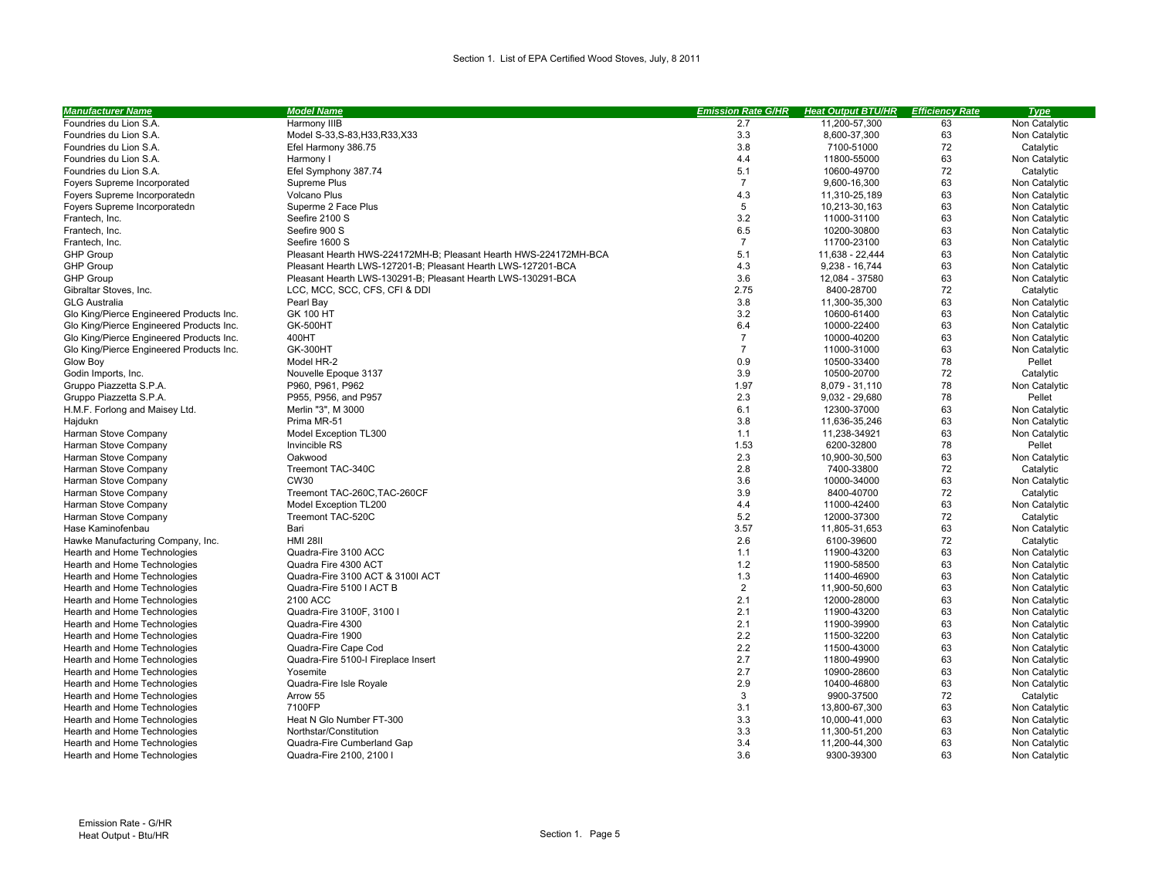| <b>Manufacturer Name</b>                 | <b>Model Name</b>                                                | <b>Emission Rate G/HR</b> | <b>Heat Output BTU/HR</b> | <b>Efficiency Rate</b> | <b>Type</b>   |
|------------------------------------------|------------------------------------------------------------------|---------------------------|---------------------------|------------------------|---------------|
| Foundries du Lion S.A.                   | Harmony IIIB                                                     | 2.7                       | 11,200-57,300             | 63                     | Non Catalytic |
| Foundries du Lion S.A.                   | Model S-33, S-83, H33, R33, X33                                  | 3.3                       | 8,600-37,300              | 63                     | Non Catalytic |
| Foundries du Lion S.A.                   | Efel Harmony 386.75                                              | 3.8                       | 7100-51000                | 72                     | Catalytic     |
| Foundries du Lion S.A.                   | Harmony I                                                        | 4.4                       | 11800-55000               | 63                     | Non Catalytic |
| Foundries du Lion S.A.                   | Efel Symphony 387.74                                             | 5.1                       | 10600-49700               | 72                     | Catalytic     |
| Foyers Supreme Incorporated              | Supreme Plus                                                     | $\overline{7}$            | 9,600-16,300              | 63                     | Non Catalytic |
| Foyers Supreme Incorporated□             | <b>Volcano Plus</b>                                              | 4.3                       | 11,310-25,189             | 63                     | Non Catalytic |
| Foyers Supreme Incorporated□             | Superme 2 Face Plus                                              | 5                         | 10,213-30,163             | 63                     | Non Catalytic |
| Frantech, Inc.                           | Seefire 2100 S                                                   | 3.2                       | 11000-31100               | 63                     | Non Catalytic |
| Frantech. Inc.                           | Seefire 900 S                                                    | 6.5                       | 10200-30800               | 63                     | Non Catalytic |
| Frantech, Inc.                           | Seefire 1600 S                                                   | $\overline{7}$            | 11700-23100               | 63                     | Non Catalytic |
| <b>GHP Group</b>                         | Pleasant Hearth HWS-224172MH-B: Pleasant Hearth HWS-224172MH-BCA | 5.1                       | 11,638 - 22,444           | 63                     | Non Catalytic |
| <b>GHP Group</b>                         | Pleasant Hearth LWS-127201-B; Pleasant Hearth LWS-127201-BCA     | 4.3                       | 9,238 - 16,744            | 63                     | Non Catalytic |
| <b>GHP Group</b>                         | Pleasant Hearth LWS-130291-B; Pleasant Hearth LWS-130291-BCA     | 3.6                       | 12,084 - 37580            | 63                     | Non Catalytic |
| Gibraltar Stoves, Inc.                   | LCC, MCC, SCC, CFS, CFI & DDI                                    | 2.75                      | 8400-28700                | 72                     | Catalytic     |
| <b>GLG Australia</b>                     | Pearl Bay                                                        | 3.8                       | 11,300-35,300             | 63                     | Non Catalytic |
| Glo King/Pierce Engineered Products Inc. | GK 100 HT                                                        | 3.2                       | 10600-61400               | 63                     | Non Catalytic |
| Glo King/Pierce Engineered Products Inc. | <b>GK-500HT</b>                                                  | 6.4                       | 10000-22400               | 63                     | Non Catalytic |
| Glo King/Pierce Engineered Products Inc. | 400HT                                                            | $\overline{7}$            | 10000-40200               | 63                     | Non Catalytic |
| Glo King/Pierce Engineered Products Inc. | <b>GK-300HT</b>                                                  | $\overline{7}$            | 11000-31000               | 63                     | Non Catalytic |
| Glow Boy                                 | Model HR-2                                                       | 0.9                       | 10500-33400               | 78                     | Pellet        |
|                                          |                                                                  | 3.9                       | 10500-20700               | 72                     |               |
| Godin Imports, Inc.                      | Nouvelle Epoque 3137                                             |                           |                           |                        | Catalytic     |
| Gruppo Piazzetta S.P.A.                  | P960, P961, P962                                                 | 1.97                      | 8,079 - 31,110            | 78                     | Non Catalytic |
| Gruppo Piazzetta S.P.A.                  | P955, P956, and P957                                             | 2.3                       | $9,032 - 29,680$          | 78                     | Pellet        |
| H.M.F. Forlong and Maisey Ltd.           | Merlin "3", M 3000                                               | 6.1                       | 12300-37000               | 63                     | Non Catalytic |
| Hajduk□                                  | Prima MR-51                                                      | 3.8                       | 11,636-35,246             | 63                     | Non Catalytic |
| Harman Stove Company                     | Model Exception TL300                                            | 1.1                       | 11,238-34921              | 63                     | Non Catalytic |
| Harman Stove Company                     | Invincible RS                                                    | 1.53                      | 6200-32800                | 78                     | Pellet        |
| Harman Stove Company                     | Oakwood                                                          | 2.3                       | 10.900-30.500             | 63                     | Non Catalytic |
| Harman Stove Company                     | Treemont TAC-340C                                                | 2.8                       | 7400-33800                | 72                     | Catalytic     |
| Harman Stove Company                     | <b>CW30</b>                                                      | 3.6                       | 10000-34000               | 63                     | Non Catalytic |
| Harman Stove Company                     | Treemont TAC-260C, TAC-260CF                                     | 3.9                       | 8400-40700                | 72                     | Catalytic     |
| Harman Stove Company                     | Model Exception TL200                                            | 4.4                       | 11000-42400               | 63                     | Non Catalytic |
| Harman Stove Company                     | Treemont TAC-520C                                                | 5.2                       | 12000-37300               | 72                     | Catalytic     |
| Hase Kaminofenbau                        | Bari                                                             | 3.57                      | 11,805-31,653             | 63                     | Non Catalytic |
| Hawke Manufacturing Company, Inc.        | <b>HMI 28II</b>                                                  | 2.6                       | 6100-39600                | 72                     | Catalytic     |
| Hearth and Home Technologies             | Quadra-Fire 3100 ACC                                             | 1.1                       | 11900-43200               | 63                     | Non Catalytic |
| Hearth and Home Technologies             | Quadra Fire 4300 ACT                                             | 1.2                       | 11900-58500               | 63                     | Non Catalytic |
| Hearth and Home Technologies             | Quadra-Fire 3100 ACT & 3100I ACT                                 | 1.3                       | 11400-46900               | 63                     | Non Catalytic |
| Hearth and Home Technologies             | Quadra-Fire 5100   ACT B                                         | $\overline{2}$            | 11,900-50,600             | 63                     | Non Catalytic |
| Hearth and Home Technologies             | 2100 ACC                                                         | 2.1                       | 12000-28000               | 63                     | Non Catalytic |
| Hearth and Home Technologies             | Quadra-Fire 3100F, 3100 I                                        | 2.1                       | 11900-43200               | 63                     | Non Catalytic |
| Hearth and Home Technologies             | Quadra-Fire 4300                                                 | 2.1                       | 11900-39900               | 63                     | Non Catalytic |
| Hearth and Home Technologies             | Quadra-Fire 1900                                                 | 2.2                       | 11500-32200               | 63                     | Non Catalytic |
| Hearth and Home Technologies             | Quadra-Fire Cape Cod                                             | 2.2                       | 11500-43000               | 63                     | Non Catalytic |
| Hearth and Home Technologies             | Quadra-Fire 5100-I Fireplace Insert                              | 2.7                       | 11800-49900               | 63                     | Non Catalytic |
| Hearth and Home Technologies             | Yosemite                                                         | 2.7                       | 10900-28600               | 63                     | Non Catalytic |
| Hearth and Home Technologies             | Quadra-Fire Isle Royale                                          | 2.9                       | 10400-46800               | 63                     | Non Catalytic |
| Hearth and Home Technologies             | Arrow 55                                                         | 3                         | 9900-37500                | 72                     | Catalytic     |
| Hearth and Home Technologies             | 7100FP                                                           | 3.1                       | 13,800-67,300             | 63                     | Non Catalytic |
| Hearth and Home Technologies             | Heat N Glo Number FT-300                                         | 3.3                       | 10,000-41,000             | 63                     | Non Catalytic |
| Hearth and Home Technologies             | Northstar/Constitution                                           | 3.3                       | 11,300-51,200             | 63                     | Non Catalytic |
| Hearth and Home Technologies             | Quadra-Fire Cumberland Gap                                       | 3.4                       | 11,200-44,300             | 63                     | Non Catalytic |
| Hearth and Home Technologies             | Quadra-Fire 2100, 2100 I                                         | 3.6                       | 9300-39300                | 63                     | Non Catalytic |
|                                          |                                                                  |                           |                           |                        |               |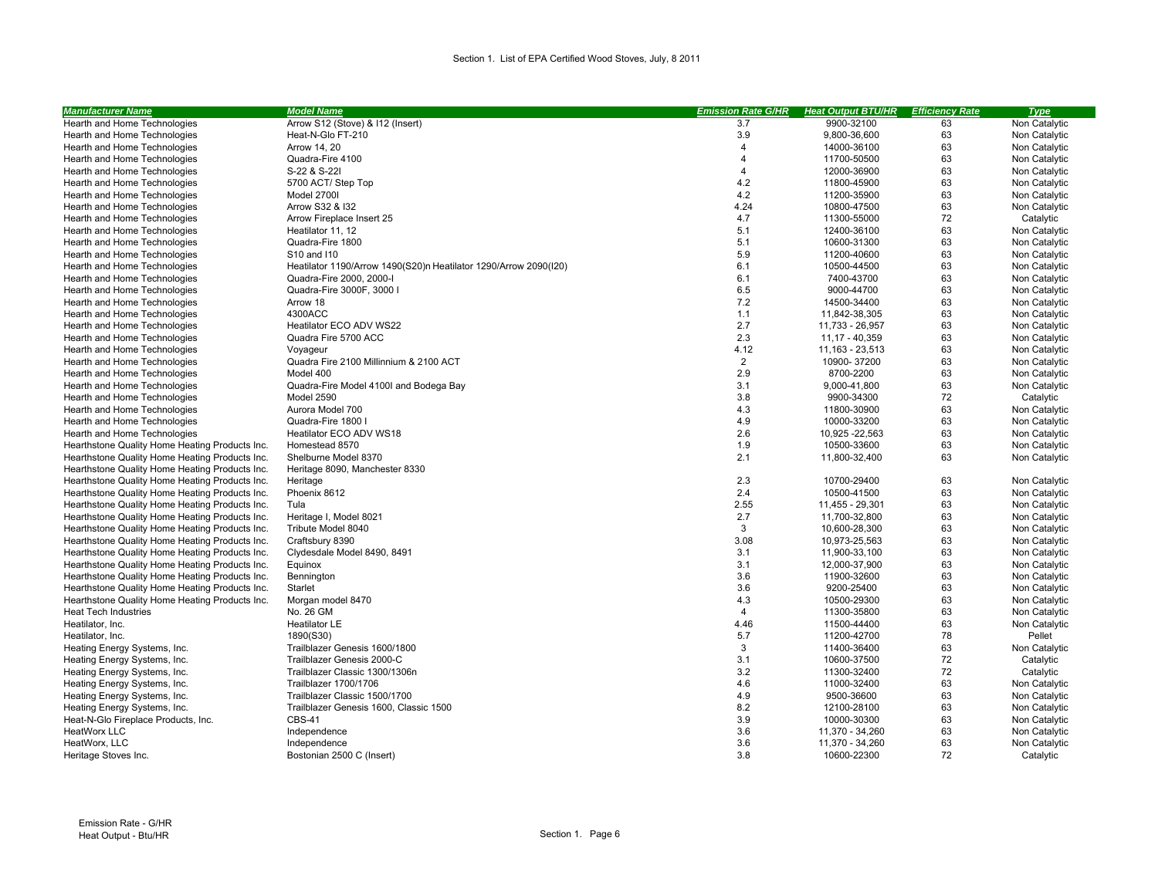| Arrow S12 (Stove) & I12 (Insert)<br>Hearth and Home Technologies<br>3.7<br>9900-32100<br>63<br>Non Catalytic<br>3.9<br>63<br>Heat-N-Glo FT-210<br>9,800-36,600<br>Non Catalytic<br>Hearth and Home Technologies<br>63<br>Arrow 14, 20<br>$\overline{\mathbf{A}}$<br>14000-36100<br>Non Catalytic<br>Hearth and Home Technologies<br>63<br>Hearth and Home Technologies<br>Quadra-Fire 4100<br>$\overline{4}$<br>11700-50500<br>Non Catalytic<br>63<br>S-22 & S-22I<br>$\overline{4}$<br>12000-36900<br>Non Catalytic<br>Hearth and Home Technologies<br>4.2<br>63<br>Hearth and Home Technologies<br>5700 ACT/ Step Top<br>11800-45900<br>Non Catalytic<br>4.2<br>Model 2700I<br>11200-35900<br>63<br>Non Catalytic<br>Hearth and Home Technologies<br>4.24<br>63<br>Hearth and Home Technologies<br>Arrow S32 & I32<br>10800-47500<br>Non Catalytic<br>72<br>Arrow Fireplace Insert 25<br>4.7<br>11300-55000<br>Catalytic<br>Hearth and Home Technologies<br>5.1<br>63<br>Non Catalytic<br>Hearth and Home Technologies<br>Heatilator 11, 12<br>12400-36100<br>5.1<br>63<br>Hearth and Home Technologies<br>Quadra-Fire 1800<br>10600-31300<br>Non Catalytic<br>5.9<br>63<br>11200-40600<br>Non Catalytic<br>Hearth and Home Technologies<br>S10 and 110<br>6.1<br>63<br>Heatilator 1190/Arrow 1490(S20) Heatilator 1290/Arrow 2090(I20)<br>10500-44500<br>Non Catalytic<br>Hearth and Home Technologies<br>6.1<br>63<br>Hearth and Home Technologies<br>Quadra-Fire 2000, 2000-I<br>7400-43700<br>Non Catalytic<br>6.5<br>63<br>Hearth and Home Technologies<br>Quadra-Fire 3000F, 3000 I<br>9000-44700<br>Non Catalytic<br>7.2<br>63<br>Hearth and Home Technologies<br>Arrow 18<br>14500-34400<br>Non Catalytic<br>4300ACC<br>1.1<br>63<br>Non Catalytic<br>Hearth and Home Technologies<br>11,842-38,305<br>Heatilator ECO ADV WS22<br>2.7<br>63<br>Hearth and Home Technologies<br>11,733 - 26,957<br>Non Catalytic<br>2.3<br>63<br>Hearth and Home Technologies<br>Quadra Fire 5700 ACC<br>11,17 - 40,359<br>Non Catalytic<br>4.12<br>11, 163 - 23, 513<br>63<br>Non Catalytic<br>Hearth and Home Technologies<br>Voyageur<br>$\overline{2}$<br>63<br>Quadra Fire 2100 Millinnium & 2100 ACT<br>10900-37200<br>Non Catalytic<br>Hearth and Home Technologies<br>2.9<br>8700-2200<br>63<br>Hearth and Home Technologies<br>Model 400<br>Non Catalytic<br>3.1<br>63<br>Quadra-Fire Model 4100I and Bodega Bay<br>9,000-41,800<br>Non Catalytic<br>Hearth and Home Technologies<br>3.8<br>72<br>Hearth and Home Technologies<br>9900-34300<br>Catalytic<br>Model 2590<br>4.3<br>63<br>Hearth and Home Technologies<br>Aurora Model 700<br>11800-30900<br>Non Catalytic<br>4.9<br>63<br>Non Catalytic<br>Hearth and Home Technologies<br>Quadra-Fire 1800 I<br>10000-33200<br>2.6<br>Heatilator ECO ADV WS18<br>10,925 - 22,563<br>63<br>Non Catalytic<br>Hearth and Home Technologies<br>1.9<br>63<br>Hearthstone Quality Home Heating Products Inc.<br>10500-33600<br>Non Catalytic<br>Homestead 8570<br>2.1<br>Hearthstone Quality Home Heating Products Inc.<br>Shelburne Model 8370<br>11,800-32,400<br>63<br>Non Catalytic<br>Hearthstone Quality Home Heating Products Inc.<br>Heritage 8090, Manchester 8330<br>2.3<br>63<br>Hearthstone Quality Home Heating Products Inc.<br>Heritage<br>10700-29400<br>Non Catalytic<br>Hearthstone Quality Home Heating Products Inc.<br>Phoenix 8612<br>2.4<br>10500-41500<br>63<br>Non Catalytic<br>2.55<br>63<br>Hearthstone Quality Home Heating Products Inc.<br>11,455 - 29,301<br>Non Catalytic<br>Tula<br>2.7<br>63<br>Non Catalytic<br>Hearthstone Quality Home Heating Products Inc.<br>Heritage I, Model 8021<br>11,700-32,800<br>$\mathbf{3}$<br>63<br>Hearthstone Quality Home Heating Products Inc.<br>Tribute Model 8040<br>10,600-28,300<br>Non Catalytic<br>3.08<br>63<br>Non Catalytic<br>Hearthstone Quality Home Heating Products Inc.<br>Craftsbury 8390<br>10,973-25,563<br>Hearthstone Quality Home Heating Products Inc.<br>Clydesdale Model 8490, 8491<br>3.1<br>63<br>Non Catalytic<br>11,900-33,100<br>Hearthstone Quality Home Heating Products Inc.<br>3.1<br>12,000-37,900<br>63<br>Non Catalytic<br>Equinox | <b>Manufacturer Name</b>                       | <b>Model Name</b> | <b>Emission Rate G/HR</b> | <b>Heat Output BTU/HR</b> | <b>Efficiency Rate</b> | <b>Type</b>   |
|-------------------------------------------------------------------------------------------------------------------------------------------------------------------------------------------------------------------------------------------------------------------------------------------------------------------------------------------------------------------------------------------------------------------------------------------------------------------------------------------------------------------------------------------------------------------------------------------------------------------------------------------------------------------------------------------------------------------------------------------------------------------------------------------------------------------------------------------------------------------------------------------------------------------------------------------------------------------------------------------------------------------------------------------------------------------------------------------------------------------------------------------------------------------------------------------------------------------------------------------------------------------------------------------------------------------------------------------------------------------------------------------------------------------------------------------------------------------------------------------------------------------------------------------------------------------------------------------------------------------------------------------------------------------------------------------------------------------------------------------------------------------------------------------------------------------------------------------------------------------------------------------------------------------------------------------------------------------------------------------------------------------------------------------------------------------------------------------------------------------------------------------------------------------------------------------------------------------------------------------------------------------------------------------------------------------------------------------------------------------------------------------------------------------------------------------------------------------------------------------------------------------------------------------------------------------------------------------------------------------------------------------------------------------------------------------------------------------------------------------------------------------------------------------------------------------------------------------------------------------------------------------------------------------------------------------------------------------------------------------------------------------------------------------------------------------------------------------------------------------------------------------------------------------------------------------------------------------------------------------------------------------------------------------------------------------------------------------------------------------------------------------------------------------------------------------------------------------------------------------------------------------------------------------------------------------------------------------------------------------------------------------------------------------------------------------------------------------------------------------------------------------------------------------------------------------------------------------------------------------------------------------------------------------------------------------------------------------------------------------------------------------------------------------------------------------------------------------------------------------------------------------------------------------------------------------|------------------------------------------------|-------------------|---------------------------|---------------------------|------------------------|---------------|
|                                                                                                                                                                                                                                                                                                                                                                                                                                                                                                                                                                                                                                                                                                                                                                                                                                                                                                                                                                                                                                                                                                                                                                                                                                                                                                                                                                                                                                                                                                                                                                                                                                                                                                                                                                                                                                                                                                                                                                                                                                                                                                                                                                                                                                                                                                                                                                                                                                                                                                                                                                                                                                                                                                                                                                                                                                                                                                                                                                                                                                                                                                                                                                                                                                                                                                                                                                                                                                                                                                                                                                                                                                                                                                                                                                                                                                                                                                                                                                                                                                                                                                                                                                                           |                                                |                   |                           |                           |                        |               |
|                                                                                                                                                                                                                                                                                                                                                                                                                                                                                                                                                                                                                                                                                                                                                                                                                                                                                                                                                                                                                                                                                                                                                                                                                                                                                                                                                                                                                                                                                                                                                                                                                                                                                                                                                                                                                                                                                                                                                                                                                                                                                                                                                                                                                                                                                                                                                                                                                                                                                                                                                                                                                                                                                                                                                                                                                                                                                                                                                                                                                                                                                                                                                                                                                                                                                                                                                                                                                                                                                                                                                                                                                                                                                                                                                                                                                                                                                                                                                                                                                                                                                                                                                                                           |                                                |                   |                           |                           |                        |               |
|                                                                                                                                                                                                                                                                                                                                                                                                                                                                                                                                                                                                                                                                                                                                                                                                                                                                                                                                                                                                                                                                                                                                                                                                                                                                                                                                                                                                                                                                                                                                                                                                                                                                                                                                                                                                                                                                                                                                                                                                                                                                                                                                                                                                                                                                                                                                                                                                                                                                                                                                                                                                                                                                                                                                                                                                                                                                                                                                                                                                                                                                                                                                                                                                                                                                                                                                                                                                                                                                                                                                                                                                                                                                                                                                                                                                                                                                                                                                                                                                                                                                                                                                                                                           |                                                |                   |                           |                           |                        |               |
|                                                                                                                                                                                                                                                                                                                                                                                                                                                                                                                                                                                                                                                                                                                                                                                                                                                                                                                                                                                                                                                                                                                                                                                                                                                                                                                                                                                                                                                                                                                                                                                                                                                                                                                                                                                                                                                                                                                                                                                                                                                                                                                                                                                                                                                                                                                                                                                                                                                                                                                                                                                                                                                                                                                                                                                                                                                                                                                                                                                                                                                                                                                                                                                                                                                                                                                                                                                                                                                                                                                                                                                                                                                                                                                                                                                                                                                                                                                                                                                                                                                                                                                                                                                           |                                                |                   |                           |                           |                        |               |
|                                                                                                                                                                                                                                                                                                                                                                                                                                                                                                                                                                                                                                                                                                                                                                                                                                                                                                                                                                                                                                                                                                                                                                                                                                                                                                                                                                                                                                                                                                                                                                                                                                                                                                                                                                                                                                                                                                                                                                                                                                                                                                                                                                                                                                                                                                                                                                                                                                                                                                                                                                                                                                                                                                                                                                                                                                                                                                                                                                                                                                                                                                                                                                                                                                                                                                                                                                                                                                                                                                                                                                                                                                                                                                                                                                                                                                                                                                                                                                                                                                                                                                                                                                                           |                                                |                   |                           |                           |                        |               |
|                                                                                                                                                                                                                                                                                                                                                                                                                                                                                                                                                                                                                                                                                                                                                                                                                                                                                                                                                                                                                                                                                                                                                                                                                                                                                                                                                                                                                                                                                                                                                                                                                                                                                                                                                                                                                                                                                                                                                                                                                                                                                                                                                                                                                                                                                                                                                                                                                                                                                                                                                                                                                                                                                                                                                                                                                                                                                                                                                                                                                                                                                                                                                                                                                                                                                                                                                                                                                                                                                                                                                                                                                                                                                                                                                                                                                                                                                                                                                                                                                                                                                                                                                                                           |                                                |                   |                           |                           |                        |               |
|                                                                                                                                                                                                                                                                                                                                                                                                                                                                                                                                                                                                                                                                                                                                                                                                                                                                                                                                                                                                                                                                                                                                                                                                                                                                                                                                                                                                                                                                                                                                                                                                                                                                                                                                                                                                                                                                                                                                                                                                                                                                                                                                                                                                                                                                                                                                                                                                                                                                                                                                                                                                                                                                                                                                                                                                                                                                                                                                                                                                                                                                                                                                                                                                                                                                                                                                                                                                                                                                                                                                                                                                                                                                                                                                                                                                                                                                                                                                                                                                                                                                                                                                                                                           |                                                |                   |                           |                           |                        |               |
|                                                                                                                                                                                                                                                                                                                                                                                                                                                                                                                                                                                                                                                                                                                                                                                                                                                                                                                                                                                                                                                                                                                                                                                                                                                                                                                                                                                                                                                                                                                                                                                                                                                                                                                                                                                                                                                                                                                                                                                                                                                                                                                                                                                                                                                                                                                                                                                                                                                                                                                                                                                                                                                                                                                                                                                                                                                                                                                                                                                                                                                                                                                                                                                                                                                                                                                                                                                                                                                                                                                                                                                                                                                                                                                                                                                                                                                                                                                                                                                                                                                                                                                                                                                           |                                                |                   |                           |                           |                        |               |
|                                                                                                                                                                                                                                                                                                                                                                                                                                                                                                                                                                                                                                                                                                                                                                                                                                                                                                                                                                                                                                                                                                                                                                                                                                                                                                                                                                                                                                                                                                                                                                                                                                                                                                                                                                                                                                                                                                                                                                                                                                                                                                                                                                                                                                                                                                                                                                                                                                                                                                                                                                                                                                                                                                                                                                                                                                                                                                                                                                                                                                                                                                                                                                                                                                                                                                                                                                                                                                                                                                                                                                                                                                                                                                                                                                                                                                                                                                                                                                                                                                                                                                                                                                                           |                                                |                   |                           |                           |                        |               |
|                                                                                                                                                                                                                                                                                                                                                                                                                                                                                                                                                                                                                                                                                                                                                                                                                                                                                                                                                                                                                                                                                                                                                                                                                                                                                                                                                                                                                                                                                                                                                                                                                                                                                                                                                                                                                                                                                                                                                                                                                                                                                                                                                                                                                                                                                                                                                                                                                                                                                                                                                                                                                                                                                                                                                                                                                                                                                                                                                                                                                                                                                                                                                                                                                                                                                                                                                                                                                                                                                                                                                                                                                                                                                                                                                                                                                                                                                                                                                                                                                                                                                                                                                                                           |                                                |                   |                           |                           |                        |               |
|                                                                                                                                                                                                                                                                                                                                                                                                                                                                                                                                                                                                                                                                                                                                                                                                                                                                                                                                                                                                                                                                                                                                                                                                                                                                                                                                                                                                                                                                                                                                                                                                                                                                                                                                                                                                                                                                                                                                                                                                                                                                                                                                                                                                                                                                                                                                                                                                                                                                                                                                                                                                                                                                                                                                                                                                                                                                                                                                                                                                                                                                                                                                                                                                                                                                                                                                                                                                                                                                                                                                                                                                                                                                                                                                                                                                                                                                                                                                                                                                                                                                                                                                                                                           |                                                |                   |                           |                           |                        |               |
|                                                                                                                                                                                                                                                                                                                                                                                                                                                                                                                                                                                                                                                                                                                                                                                                                                                                                                                                                                                                                                                                                                                                                                                                                                                                                                                                                                                                                                                                                                                                                                                                                                                                                                                                                                                                                                                                                                                                                                                                                                                                                                                                                                                                                                                                                                                                                                                                                                                                                                                                                                                                                                                                                                                                                                                                                                                                                                                                                                                                                                                                                                                                                                                                                                                                                                                                                                                                                                                                                                                                                                                                                                                                                                                                                                                                                                                                                                                                                                                                                                                                                                                                                                                           |                                                |                   |                           |                           |                        |               |
|                                                                                                                                                                                                                                                                                                                                                                                                                                                                                                                                                                                                                                                                                                                                                                                                                                                                                                                                                                                                                                                                                                                                                                                                                                                                                                                                                                                                                                                                                                                                                                                                                                                                                                                                                                                                                                                                                                                                                                                                                                                                                                                                                                                                                                                                                                                                                                                                                                                                                                                                                                                                                                                                                                                                                                                                                                                                                                                                                                                                                                                                                                                                                                                                                                                                                                                                                                                                                                                                                                                                                                                                                                                                                                                                                                                                                                                                                                                                                                                                                                                                                                                                                                                           |                                                |                   |                           |                           |                        |               |
|                                                                                                                                                                                                                                                                                                                                                                                                                                                                                                                                                                                                                                                                                                                                                                                                                                                                                                                                                                                                                                                                                                                                                                                                                                                                                                                                                                                                                                                                                                                                                                                                                                                                                                                                                                                                                                                                                                                                                                                                                                                                                                                                                                                                                                                                                                                                                                                                                                                                                                                                                                                                                                                                                                                                                                                                                                                                                                                                                                                                                                                                                                                                                                                                                                                                                                                                                                                                                                                                                                                                                                                                                                                                                                                                                                                                                                                                                                                                                                                                                                                                                                                                                                                           |                                                |                   |                           |                           |                        |               |
|                                                                                                                                                                                                                                                                                                                                                                                                                                                                                                                                                                                                                                                                                                                                                                                                                                                                                                                                                                                                                                                                                                                                                                                                                                                                                                                                                                                                                                                                                                                                                                                                                                                                                                                                                                                                                                                                                                                                                                                                                                                                                                                                                                                                                                                                                                                                                                                                                                                                                                                                                                                                                                                                                                                                                                                                                                                                                                                                                                                                                                                                                                                                                                                                                                                                                                                                                                                                                                                                                                                                                                                                                                                                                                                                                                                                                                                                                                                                                                                                                                                                                                                                                                                           |                                                |                   |                           |                           |                        |               |
|                                                                                                                                                                                                                                                                                                                                                                                                                                                                                                                                                                                                                                                                                                                                                                                                                                                                                                                                                                                                                                                                                                                                                                                                                                                                                                                                                                                                                                                                                                                                                                                                                                                                                                                                                                                                                                                                                                                                                                                                                                                                                                                                                                                                                                                                                                                                                                                                                                                                                                                                                                                                                                                                                                                                                                                                                                                                                                                                                                                                                                                                                                                                                                                                                                                                                                                                                                                                                                                                                                                                                                                                                                                                                                                                                                                                                                                                                                                                                                                                                                                                                                                                                                                           |                                                |                   |                           |                           |                        |               |
|                                                                                                                                                                                                                                                                                                                                                                                                                                                                                                                                                                                                                                                                                                                                                                                                                                                                                                                                                                                                                                                                                                                                                                                                                                                                                                                                                                                                                                                                                                                                                                                                                                                                                                                                                                                                                                                                                                                                                                                                                                                                                                                                                                                                                                                                                                                                                                                                                                                                                                                                                                                                                                                                                                                                                                                                                                                                                                                                                                                                                                                                                                                                                                                                                                                                                                                                                                                                                                                                                                                                                                                                                                                                                                                                                                                                                                                                                                                                                                                                                                                                                                                                                                                           |                                                |                   |                           |                           |                        |               |
|                                                                                                                                                                                                                                                                                                                                                                                                                                                                                                                                                                                                                                                                                                                                                                                                                                                                                                                                                                                                                                                                                                                                                                                                                                                                                                                                                                                                                                                                                                                                                                                                                                                                                                                                                                                                                                                                                                                                                                                                                                                                                                                                                                                                                                                                                                                                                                                                                                                                                                                                                                                                                                                                                                                                                                                                                                                                                                                                                                                                                                                                                                                                                                                                                                                                                                                                                                                                                                                                                                                                                                                                                                                                                                                                                                                                                                                                                                                                                                                                                                                                                                                                                                                           |                                                |                   |                           |                           |                        |               |
|                                                                                                                                                                                                                                                                                                                                                                                                                                                                                                                                                                                                                                                                                                                                                                                                                                                                                                                                                                                                                                                                                                                                                                                                                                                                                                                                                                                                                                                                                                                                                                                                                                                                                                                                                                                                                                                                                                                                                                                                                                                                                                                                                                                                                                                                                                                                                                                                                                                                                                                                                                                                                                                                                                                                                                                                                                                                                                                                                                                                                                                                                                                                                                                                                                                                                                                                                                                                                                                                                                                                                                                                                                                                                                                                                                                                                                                                                                                                                                                                                                                                                                                                                                                           |                                                |                   |                           |                           |                        |               |
|                                                                                                                                                                                                                                                                                                                                                                                                                                                                                                                                                                                                                                                                                                                                                                                                                                                                                                                                                                                                                                                                                                                                                                                                                                                                                                                                                                                                                                                                                                                                                                                                                                                                                                                                                                                                                                                                                                                                                                                                                                                                                                                                                                                                                                                                                                                                                                                                                                                                                                                                                                                                                                                                                                                                                                                                                                                                                                                                                                                                                                                                                                                                                                                                                                                                                                                                                                                                                                                                                                                                                                                                                                                                                                                                                                                                                                                                                                                                                                                                                                                                                                                                                                                           |                                                |                   |                           |                           |                        |               |
|                                                                                                                                                                                                                                                                                                                                                                                                                                                                                                                                                                                                                                                                                                                                                                                                                                                                                                                                                                                                                                                                                                                                                                                                                                                                                                                                                                                                                                                                                                                                                                                                                                                                                                                                                                                                                                                                                                                                                                                                                                                                                                                                                                                                                                                                                                                                                                                                                                                                                                                                                                                                                                                                                                                                                                                                                                                                                                                                                                                                                                                                                                                                                                                                                                                                                                                                                                                                                                                                                                                                                                                                                                                                                                                                                                                                                                                                                                                                                                                                                                                                                                                                                                                           |                                                |                   |                           |                           |                        |               |
|                                                                                                                                                                                                                                                                                                                                                                                                                                                                                                                                                                                                                                                                                                                                                                                                                                                                                                                                                                                                                                                                                                                                                                                                                                                                                                                                                                                                                                                                                                                                                                                                                                                                                                                                                                                                                                                                                                                                                                                                                                                                                                                                                                                                                                                                                                                                                                                                                                                                                                                                                                                                                                                                                                                                                                                                                                                                                                                                                                                                                                                                                                                                                                                                                                                                                                                                                                                                                                                                                                                                                                                                                                                                                                                                                                                                                                                                                                                                                                                                                                                                                                                                                                                           |                                                |                   |                           |                           |                        |               |
|                                                                                                                                                                                                                                                                                                                                                                                                                                                                                                                                                                                                                                                                                                                                                                                                                                                                                                                                                                                                                                                                                                                                                                                                                                                                                                                                                                                                                                                                                                                                                                                                                                                                                                                                                                                                                                                                                                                                                                                                                                                                                                                                                                                                                                                                                                                                                                                                                                                                                                                                                                                                                                                                                                                                                                                                                                                                                                                                                                                                                                                                                                                                                                                                                                                                                                                                                                                                                                                                                                                                                                                                                                                                                                                                                                                                                                                                                                                                                                                                                                                                                                                                                                                           |                                                |                   |                           |                           |                        |               |
|                                                                                                                                                                                                                                                                                                                                                                                                                                                                                                                                                                                                                                                                                                                                                                                                                                                                                                                                                                                                                                                                                                                                                                                                                                                                                                                                                                                                                                                                                                                                                                                                                                                                                                                                                                                                                                                                                                                                                                                                                                                                                                                                                                                                                                                                                                                                                                                                                                                                                                                                                                                                                                                                                                                                                                                                                                                                                                                                                                                                                                                                                                                                                                                                                                                                                                                                                                                                                                                                                                                                                                                                                                                                                                                                                                                                                                                                                                                                                                                                                                                                                                                                                                                           |                                                |                   |                           |                           |                        |               |
|                                                                                                                                                                                                                                                                                                                                                                                                                                                                                                                                                                                                                                                                                                                                                                                                                                                                                                                                                                                                                                                                                                                                                                                                                                                                                                                                                                                                                                                                                                                                                                                                                                                                                                                                                                                                                                                                                                                                                                                                                                                                                                                                                                                                                                                                                                                                                                                                                                                                                                                                                                                                                                                                                                                                                                                                                                                                                                                                                                                                                                                                                                                                                                                                                                                                                                                                                                                                                                                                                                                                                                                                                                                                                                                                                                                                                                                                                                                                                                                                                                                                                                                                                                                           |                                                |                   |                           |                           |                        |               |
|                                                                                                                                                                                                                                                                                                                                                                                                                                                                                                                                                                                                                                                                                                                                                                                                                                                                                                                                                                                                                                                                                                                                                                                                                                                                                                                                                                                                                                                                                                                                                                                                                                                                                                                                                                                                                                                                                                                                                                                                                                                                                                                                                                                                                                                                                                                                                                                                                                                                                                                                                                                                                                                                                                                                                                                                                                                                                                                                                                                                                                                                                                                                                                                                                                                                                                                                                                                                                                                                                                                                                                                                                                                                                                                                                                                                                                                                                                                                                                                                                                                                                                                                                                                           |                                                |                   |                           |                           |                        |               |
|                                                                                                                                                                                                                                                                                                                                                                                                                                                                                                                                                                                                                                                                                                                                                                                                                                                                                                                                                                                                                                                                                                                                                                                                                                                                                                                                                                                                                                                                                                                                                                                                                                                                                                                                                                                                                                                                                                                                                                                                                                                                                                                                                                                                                                                                                                                                                                                                                                                                                                                                                                                                                                                                                                                                                                                                                                                                                                                                                                                                                                                                                                                                                                                                                                                                                                                                                                                                                                                                                                                                                                                                                                                                                                                                                                                                                                                                                                                                                                                                                                                                                                                                                                                           |                                                |                   |                           |                           |                        |               |
|                                                                                                                                                                                                                                                                                                                                                                                                                                                                                                                                                                                                                                                                                                                                                                                                                                                                                                                                                                                                                                                                                                                                                                                                                                                                                                                                                                                                                                                                                                                                                                                                                                                                                                                                                                                                                                                                                                                                                                                                                                                                                                                                                                                                                                                                                                                                                                                                                                                                                                                                                                                                                                                                                                                                                                                                                                                                                                                                                                                                                                                                                                                                                                                                                                                                                                                                                                                                                                                                                                                                                                                                                                                                                                                                                                                                                                                                                                                                                                                                                                                                                                                                                                                           |                                                |                   |                           |                           |                        |               |
|                                                                                                                                                                                                                                                                                                                                                                                                                                                                                                                                                                                                                                                                                                                                                                                                                                                                                                                                                                                                                                                                                                                                                                                                                                                                                                                                                                                                                                                                                                                                                                                                                                                                                                                                                                                                                                                                                                                                                                                                                                                                                                                                                                                                                                                                                                                                                                                                                                                                                                                                                                                                                                                                                                                                                                                                                                                                                                                                                                                                                                                                                                                                                                                                                                                                                                                                                                                                                                                                                                                                                                                                                                                                                                                                                                                                                                                                                                                                                                                                                                                                                                                                                                                           |                                                |                   |                           |                           |                        |               |
|                                                                                                                                                                                                                                                                                                                                                                                                                                                                                                                                                                                                                                                                                                                                                                                                                                                                                                                                                                                                                                                                                                                                                                                                                                                                                                                                                                                                                                                                                                                                                                                                                                                                                                                                                                                                                                                                                                                                                                                                                                                                                                                                                                                                                                                                                                                                                                                                                                                                                                                                                                                                                                                                                                                                                                                                                                                                                                                                                                                                                                                                                                                                                                                                                                                                                                                                                                                                                                                                                                                                                                                                                                                                                                                                                                                                                                                                                                                                                                                                                                                                                                                                                                                           |                                                |                   |                           |                           |                        |               |
|                                                                                                                                                                                                                                                                                                                                                                                                                                                                                                                                                                                                                                                                                                                                                                                                                                                                                                                                                                                                                                                                                                                                                                                                                                                                                                                                                                                                                                                                                                                                                                                                                                                                                                                                                                                                                                                                                                                                                                                                                                                                                                                                                                                                                                                                                                                                                                                                                                                                                                                                                                                                                                                                                                                                                                                                                                                                                                                                                                                                                                                                                                                                                                                                                                                                                                                                                                                                                                                                                                                                                                                                                                                                                                                                                                                                                                                                                                                                                                                                                                                                                                                                                                                           |                                                |                   |                           |                           |                        |               |
|                                                                                                                                                                                                                                                                                                                                                                                                                                                                                                                                                                                                                                                                                                                                                                                                                                                                                                                                                                                                                                                                                                                                                                                                                                                                                                                                                                                                                                                                                                                                                                                                                                                                                                                                                                                                                                                                                                                                                                                                                                                                                                                                                                                                                                                                                                                                                                                                                                                                                                                                                                                                                                                                                                                                                                                                                                                                                                                                                                                                                                                                                                                                                                                                                                                                                                                                                                                                                                                                                                                                                                                                                                                                                                                                                                                                                                                                                                                                                                                                                                                                                                                                                                                           |                                                |                   |                           |                           |                        |               |
|                                                                                                                                                                                                                                                                                                                                                                                                                                                                                                                                                                                                                                                                                                                                                                                                                                                                                                                                                                                                                                                                                                                                                                                                                                                                                                                                                                                                                                                                                                                                                                                                                                                                                                                                                                                                                                                                                                                                                                                                                                                                                                                                                                                                                                                                                                                                                                                                                                                                                                                                                                                                                                                                                                                                                                                                                                                                                                                                                                                                                                                                                                                                                                                                                                                                                                                                                                                                                                                                                                                                                                                                                                                                                                                                                                                                                                                                                                                                                                                                                                                                                                                                                                                           |                                                |                   |                           |                           |                        |               |
|                                                                                                                                                                                                                                                                                                                                                                                                                                                                                                                                                                                                                                                                                                                                                                                                                                                                                                                                                                                                                                                                                                                                                                                                                                                                                                                                                                                                                                                                                                                                                                                                                                                                                                                                                                                                                                                                                                                                                                                                                                                                                                                                                                                                                                                                                                                                                                                                                                                                                                                                                                                                                                                                                                                                                                                                                                                                                                                                                                                                                                                                                                                                                                                                                                                                                                                                                                                                                                                                                                                                                                                                                                                                                                                                                                                                                                                                                                                                                                                                                                                                                                                                                                                           |                                                |                   |                           |                           |                        |               |
|                                                                                                                                                                                                                                                                                                                                                                                                                                                                                                                                                                                                                                                                                                                                                                                                                                                                                                                                                                                                                                                                                                                                                                                                                                                                                                                                                                                                                                                                                                                                                                                                                                                                                                                                                                                                                                                                                                                                                                                                                                                                                                                                                                                                                                                                                                                                                                                                                                                                                                                                                                                                                                                                                                                                                                                                                                                                                                                                                                                                                                                                                                                                                                                                                                                                                                                                                                                                                                                                                                                                                                                                                                                                                                                                                                                                                                                                                                                                                                                                                                                                                                                                                                                           |                                                |                   |                           |                           |                        |               |
|                                                                                                                                                                                                                                                                                                                                                                                                                                                                                                                                                                                                                                                                                                                                                                                                                                                                                                                                                                                                                                                                                                                                                                                                                                                                                                                                                                                                                                                                                                                                                                                                                                                                                                                                                                                                                                                                                                                                                                                                                                                                                                                                                                                                                                                                                                                                                                                                                                                                                                                                                                                                                                                                                                                                                                                                                                                                                                                                                                                                                                                                                                                                                                                                                                                                                                                                                                                                                                                                                                                                                                                                                                                                                                                                                                                                                                                                                                                                                                                                                                                                                                                                                                                           |                                                |                   |                           |                           |                        |               |
|                                                                                                                                                                                                                                                                                                                                                                                                                                                                                                                                                                                                                                                                                                                                                                                                                                                                                                                                                                                                                                                                                                                                                                                                                                                                                                                                                                                                                                                                                                                                                                                                                                                                                                                                                                                                                                                                                                                                                                                                                                                                                                                                                                                                                                                                                                                                                                                                                                                                                                                                                                                                                                                                                                                                                                                                                                                                                                                                                                                                                                                                                                                                                                                                                                                                                                                                                                                                                                                                                                                                                                                                                                                                                                                                                                                                                                                                                                                                                                                                                                                                                                                                                                                           |                                                |                   |                           |                           |                        |               |
|                                                                                                                                                                                                                                                                                                                                                                                                                                                                                                                                                                                                                                                                                                                                                                                                                                                                                                                                                                                                                                                                                                                                                                                                                                                                                                                                                                                                                                                                                                                                                                                                                                                                                                                                                                                                                                                                                                                                                                                                                                                                                                                                                                                                                                                                                                                                                                                                                                                                                                                                                                                                                                                                                                                                                                                                                                                                                                                                                                                                                                                                                                                                                                                                                                                                                                                                                                                                                                                                                                                                                                                                                                                                                                                                                                                                                                                                                                                                                                                                                                                                                                                                                                                           |                                                |                   |                           |                           |                        |               |
| Bennington                                                                                                                                                                                                                                                                                                                                                                                                                                                                                                                                                                                                                                                                                                                                                                                                                                                                                                                                                                                                                                                                                                                                                                                                                                                                                                                                                                                                                                                                                                                                                                                                                                                                                                                                                                                                                                                                                                                                                                                                                                                                                                                                                                                                                                                                                                                                                                                                                                                                                                                                                                                                                                                                                                                                                                                                                                                                                                                                                                                                                                                                                                                                                                                                                                                                                                                                                                                                                                                                                                                                                                                                                                                                                                                                                                                                                                                                                                                                                                                                                                                                                                                                                                                | Hearthstone Quality Home Heating Products Inc. |                   | 3.6                       | 11900-32600               | 63                     | Non Catalytic |
| 3.6<br>63<br>Hearthstone Quality Home Heating Products Inc.<br>Starlet<br>9200-25400<br>Non Catalytic                                                                                                                                                                                                                                                                                                                                                                                                                                                                                                                                                                                                                                                                                                                                                                                                                                                                                                                                                                                                                                                                                                                                                                                                                                                                                                                                                                                                                                                                                                                                                                                                                                                                                                                                                                                                                                                                                                                                                                                                                                                                                                                                                                                                                                                                                                                                                                                                                                                                                                                                                                                                                                                                                                                                                                                                                                                                                                                                                                                                                                                                                                                                                                                                                                                                                                                                                                                                                                                                                                                                                                                                                                                                                                                                                                                                                                                                                                                                                                                                                                                                                     |                                                |                   |                           |                           |                        |               |
| 4.3<br>63<br>Hearthstone Quality Home Heating Products Inc.<br>Morgan model 8470<br>10500-29300<br>Non Catalytic                                                                                                                                                                                                                                                                                                                                                                                                                                                                                                                                                                                                                                                                                                                                                                                                                                                                                                                                                                                                                                                                                                                                                                                                                                                                                                                                                                                                                                                                                                                                                                                                                                                                                                                                                                                                                                                                                                                                                                                                                                                                                                                                                                                                                                                                                                                                                                                                                                                                                                                                                                                                                                                                                                                                                                                                                                                                                                                                                                                                                                                                                                                                                                                                                                                                                                                                                                                                                                                                                                                                                                                                                                                                                                                                                                                                                                                                                                                                                                                                                                                                          |                                                |                   |                           |                           |                        |               |
| No. 26 GM<br>63<br><b>Heat Tech Industries</b><br>4<br>11300-35800<br>Non Catalytic                                                                                                                                                                                                                                                                                                                                                                                                                                                                                                                                                                                                                                                                                                                                                                                                                                                                                                                                                                                                                                                                                                                                                                                                                                                                                                                                                                                                                                                                                                                                                                                                                                                                                                                                                                                                                                                                                                                                                                                                                                                                                                                                                                                                                                                                                                                                                                                                                                                                                                                                                                                                                                                                                                                                                                                                                                                                                                                                                                                                                                                                                                                                                                                                                                                                                                                                                                                                                                                                                                                                                                                                                                                                                                                                                                                                                                                                                                                                                                                                                                                                                                       |                                                |                   |                           |                           |                        |               |
| <b>Heatilator LE</b><br>4.46<br>11500-44400<br>63<br>Non Catalytic<br>Heatilator, Inc.                                                                                                                                                                                                                                                                                                                                                                                                                                                                                                                                                                                                                                                                                                                                                                                                                                                                                                                                                                                                                                                                                                                                                                                                                                                                                                                                                                                                                                                                                                                                                                                                                                                                                                                                                                                                                                                                                                                                                                                                                                                                                                                                                                                                                                                                                                                                                                                                                                                                                                                                                                                                                                                                                                                                                                                                                                                                                                                                                                                                                                                                                                                                                                                                                                                                                                                                                                                                                                                                                                                                                                                                                                                                                                                                                                                                                                                                                                                                                                                                                                                                                                    |                                                |                   |                           |                           |                        |               |
| 5.7<br>78<br>11200-42700<br>Pellet<br>Heatilator, Inc.<br>1890(S30)                                                                                                                                                                                                                                                                                                                                                                                                                                                                                                                                                                                                                                                                                                                                                                                                                                                                                                                                                                                                                                                                                                                                                                                                                                                                                                                                                                                                                                                                                                                                                                                                                                                                                                                                                                                                                                                                                                                                                                                                                                                                                                                                                                                                                                                                                                                                                                                                                                                                                                                                                                                                                                                                                                                                                                                                                                                                                                                                                                                                                                                                                                                                                                                                                                                                                                                                                                                                                                                                                                                                                                                                                                                                                                                                                                                                                                                                                                                                                                                                                                                                                                                       |                                                |                   |                           |                           |                        |               |
| 3<br>63<br>Heating Energy Systems, Inc.<br>Trailblazer Genesis 1600/1800<br>11400-36400<br>Non Catalytic                                                                                                                                                                                                                                                                                                                                                                                                                                                                                                                                                                                                                                                                                                                                                                                                                                                                                                                                                                                                                                                                                                                                                                                                                                                                                                                                                                                                                                                                                                                                                                                                                                                                                                                                                                                                                                                                                                                                                                                                                                                                                                                                                                                                                                                                                                                                                                                                                                                                                                                                                                                                                                                                                                                                                                                                                                                                                                                                                                                                                                                                                                                                                                                                                                                                                                                                                                                                                                                                                                                                                                                                                                                                                                                                                                                                                                                                                                                                                                                                                                                                                  |                                                |                   |                           |                           |                        |               |
| 3.1<br>72<br>Trailblazer Genesis 2000-C<br>Catalytic<br>Heating Energy Systems, Inc.<br>10600-37500                                                                                                                                                                                                                                                                                                                                                                                                                                                                                                                                                                                                                                                                                                                                                                                                                                                                                                                                                                                                                                                                                                                                                                                                                                                                                                                                                                                                                                                                                                                                                                                                                                                                                                                                                                                                                                                                                                                                                                                                                                                                                                                                                                                                                                                                                                                                                                                                                                                                                                                                                                                                                                                                                                                                                                                                                                                                                                                                                                                                                                                                                                                                                                                                                                                                                                                                                                                                                                                                                                                                                                                                                                                                                                                                                                                                                                                                                                                                                                                                                                                                                       |                                                |                   |                           |                           |                        |               |
| 3.2<br>72<br>Heating Energy Systems, Inc.<br>Trailblazer Classic 1300/1306□<br>11300-32400<br>Catalytic                                                                                                                                                                                                                                                                                                                                                                                                                                                                                                                                                                                                                                                                                                                                                                                                                                                                                                                                                                                                                                                                                                                                                                                                                                                                                                                                                                                                                                                                                                                                                                                                                                                                                                                                                                                                                                                                                                                                                                                                                                                                                                                                                                                                                                                                                                                                                                                                                                                                                                                                                                                                                                                                                                                                                                                                                                                                                                                                                                                                                                                                                                                                                                                                                                                                                                                                                                                                                                                                                                                                                                                                                                                                                                                                                                                                                                                                                                                                                                                                                                                                                   |                                                |                   |                           |                           |                        |               |
| 63<br>Trailblazer 1700/1706<br>4.6<br>11000-32400<br>Non Catalytic<br>Heating Energy Systems, Inc.                                                                                                                                                                                                                                                                                                                                                                                                                                                                                                                                                                                                                                                                                                                                                                                                                                                                                                                                                                                                                                                                                                                                                                                                                                                                                                                                                                                                                                                                                                                                                                                                                                                                                                                                                                                                                                                                                                                                                                                                                                                                                                                                                                                                                                                                                                                                                                                                                                                                                                                                                                                                                                                                                                                                                                                                                                                                                                                                                                                                                                                                                                                                                                                                                                                                                                                                                                                                                                                                                                                                                                                                                                                                                                                                                                                                                                                                                                                                                                                                                                                                                        |                                                |                   |                           |                           |                        |               |
| 63<br>Heating Energy Systems, Inc.<br>Trailblazer Classic 1500/1700<br>4.9<br>9500-36600<br>Non Catalytic                                                                                                                                                                                                                                                                                                                                                                                                                                                                                                                                                                                                                                                                                                                                                                                                                                                                                                                                                                                                                                                                                                                                                                                                                                                                                                                                                                                                                                                                                                                                                                                                                                                                                                                                                                                                                                                                                                                                                                                                                                                                                                                                                                                                                                                                                                                                                                                                                                                                                                                                                                                                                                                                                                                                                                                                                                                                                                                                                                                                                                                                                                                                                                                                                                                                                                                                                                                                                                                                                                                                                                                                                                                                                                                                                                                                                                                                                                                                                                                                                                                                                 |                                                |                   |                           |                           |                        |               |
| 8.2<br>63<br>Heating Energy Systems, Inc.<br>Trailblazer Genesis 1600, Classic 1500<br>12100-28100<br>Non Catalytic                                                                                                                                                                                                                                                                                                                                                                                                                                                                                                                                                                                                                                                                                                                                                                                                                                                                                                                                                                                                                                                                                                                                                                                                                                                                                                                                                                                                                                                                                                                                                                                                                                                                                                                                                                                                                                                                                                                                                                                                                                                                                                                                                                                                                                                                                                                                                                                                                                                                                                                                                                                                                                                                                                                                                                                                                                                                                                                                                                                                                                                                                                                                                                                                                                                                                                                                                                                                                                                                                                                                                                                                                                                                                                                                                                                                                                                                                                                                                                                                                                                                       |                                                |                   |                           |                           |                        |               |
| Heat-N-Glo Fireplace Products, Inc.<br><b>CBS-41</b><br>3.9<br>63<br>10000-30300<br>Non Catalytic                                                                                                                                                                                                                                                                                                                                                                                                                                                                                                                                                                                                                                                                                                                                                                                                                                                                                                                                                                                                                                                                                                                                                                                                                                                                                                                                                                                                                                                                                                                                                                                                                                                                                                                                                                                                                                                                                                                                                                                                                                                                                                                                                                                                                                                                                                                                                                                                                                                                                                                                                                                                                                                                                                                                                                                                                                                                                                                                                                                                                                                                                                                                                                                                                                                                                                                                                                                                                                                                                                                                                                                                                                                                                                                                                                                                                                                                                                                                                                                                                                                                                         |                                                |                   |                           |                           |                        |               |
| 3.6<br>63<br>Non Catalytic<br><b>HeatWorx LLC</b><br>Independence<br>11,370 - 34,260                                                                                                                                                                                                                                                                                                                                                                                                                                                                                                                                                                                                                                                                                                                                                                                                                                                                                                                                                                                                                                                                                                                                                                                                                                                                                                                                                                                                                                                                                                                                                                                                                                                                                                                                                                                                                                                                                                                                                                                                                                                                                                                                                                                                                                                                                                                                                                                                                                                                                                                                                                                                                                                                                                                                                                                                                                                                                                                                                                                                                                                                                                                                                                                                                                                                                                                                                                                                                                                                                                                                                                                                                                                                                                                                                                                                                                                                                                                                                                                                                                                                                                      |                                                |                   |                           |                           |                        |               |
| HeatWorx, LLC<br>3.6<br>11,370 - 34,260<br>63<br>Non Catalytic<br>Independence                                                                                                                                                                                                                                                                                                                                                                                                                                                                                                                                                                                                                                                                                                                                                                                                                                                                                                                                                                                                                                                                                                                                                                                                                                                                                                                                                                                                                                                                                                                                                                                                                                                                                                                                                                                                                                                                                                                                                                                                                                                                                                                                                                                                                                                                                                                                                                                                                                                                                                                                                                                                                                                                                                                                                                                                                                                                                                                                                                                                                                                                                                                                                                                                                                                                                                                                                                                                                                                                                                                                                                                                                                                                                                                                                                                                                                                                                                                                                                                                                                                                                                            |                                                |                   |                           |                           |                        |               |
| 72<br>3.8<br>Heritage Stoves Inc.<br>Bostonian 2500 C (Insert)<br>10600-22300<br>Catalytic                                                                                                                                                                                                                                                                                                                                                                                                                                                                                                                                                                                                                                                                                                                                                                                                                                                                                                                                                                                                                                                                                                                                                                                                                                                                                                                                                                                                                                                                                                                                                                                                                                                                                                                                                                                                                                                                                                                                                                                                                                                                                                                                                                                                                                                                                                                                                                                                                                                                                                                                                                                                                                                                                                                                                                                                                                                                                                                                                                                                                                                                                                                                                                                                                                                                                                                                                                                                                                                                                                                                                                                                                                                                                                                                                                                                                                                                                                                                                                                                                                                                                                |                                                |                   |                           |                           |                        |               |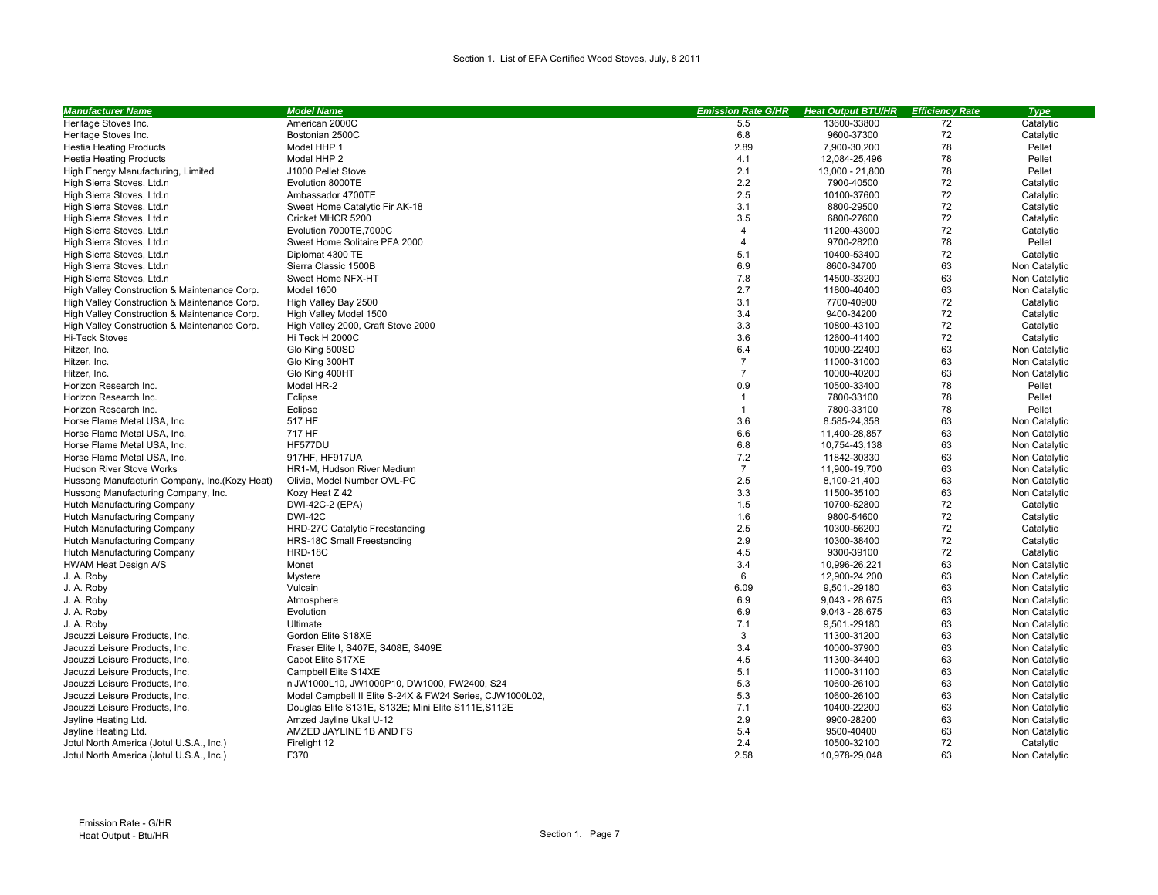## Section 1. List of EPA Certified Wood Stoves, July, 8 2011

| <b>Manufacturer Name</b>                       | <b>Model Name</b>                                        | <b>Emission Rate G/HR</b> | <b>Heat Output BTU/HR</b> | <b>Efficiency Rate</b> | <b>Type</b>   |
|------------------------------------------------|----------------------------------------------------------|---------------------------|---------------------------|------------------------|---------------|
| Heritage Stoves Inc.                           | American 2000C                                           | 5.5                       | 13600-33800               | 72                     | Catalytic     |
| Heritage Stoves Inc.                           | Bostonian 2500C                                          | 6.8                       | 9600-37300                | 72                     | Catalytic     |
| <b>Hestia Heating Products</b>                 | Model HHP 1                                              | 2.89                      | 7,900-30,200              | 78                     | Pellet        |
| <b>Hestia Heating Products</b>                 | Model HHP 2                                              | 4.1                       | 12,084-25,496             | 78                     | Pellet        |
| High Energy Manufacturing, Limited             | J1000 Pellet Stove                                       | 2.1                       | 13,000 - 21,800           | 78                     | Pellet        |
| High Sierra Stoves, Ltd.                       | Evolution 8000TE                                         | 2.2                       | 7900-40500                | 72                     | Catalytic     |
| High Sierra Stoves, Ltd.                       | Ambassador 4700TE                                        | 2.5                       | 10100-37600               | 72                     | Catalytic     |
| High Sierra Stoves, Ltd.                       | Sweet Home Catalytic Fir AK-18                           | 3.1                       | 8800-29500                | 72                     | Catalytic     |
| High Sierra Stoves, Ltd.□                      | Cricket MHCR 5200                                        | 3.5                       | 6800-27600                | 72                     | Catalytic     |
| High Sierra Stoves, Ltd.                       | Evolution 7000TE, 7000C                                  | $\overline{4}$            | 11200-43000               | 72                     | Catalytic     |
| High Sierra Stoves, Ltd.                       | Sweet Home Solitaire PFA 2000                            | $\overline{4}$            | 9700-28200                | 78                     | Pellet        |
| High Sierra Stoves, Ltd.                       | Diplomat 4300 TE                                         | 5.1                       | 10400-53400               | 72                     | Catalytic     |
| High Sierra Stoves, Ltd.                       | Sierra Classic 1500B                                     | 6.9                       | 8600-34700                | 63                     | Non Catalytic |
| High Sierra Stoves, Ltd.                       | Sweet Home NFX-HT                                        | 7.8                       | 14500-33200               | 63                     | Non Catalytic |
| High Valley Construction & Maintenance Corp.   | Model 1600                                               | 2.7                       | 11800-40400               | 63                     | Non Catalytic |
| High Valley Construction & Maintenance Corp.   | High Valley Bay 2500                                     | 3.1                       | 7700-40900                | 72                     | Catalytic     |
| High Valley Construction & Maintenance Corp.   | High Valley Model 1500                                   | 3.4                       | 9400-34200                | 72                     | Catalytic     |
| High Valley Construction & Maintenance Corp.   | High Valley 2000, Craft Stove 2000                       | 3.3                       | 10800-43100               | 72                     | Catalytic     |
| <b>Hi-Teck Stoves</b>                          | Hi Teck H 2000C                                          | 3.6                       | 12600-41400               | 72                     | Catalytic     |
| Hitzer, Inc.                                   | Glo King 500SD                                           | 6.4                       | 10000-22400               | 63                     | Non Catalytic |
| Hitzer, Inc.                                   | Glo King 300HT                                           | $\overline{7}$            | 11000-31000               | 63                     | Non Catalytic |
| Hitzer, Inc.                                   | Glo King 400HT                                           | $\overline{7}$            | 10000-40200               | 63                     | Non Catalytic |
| Horizon Research Inc.                          | Model HR-2                                               | 0.9                       | 10500-33400               | 78                     | Pellet        |
| Horizon Research Inc.                          | Eclipse                                                  | $\overline{1}$            | 7800-33100                | 78                     | Pellet        |
| Horizon Research Inc.                          | Eclipse                                                  | $\mathbf{1}$              | 7800-33100                | 78                     | Pellet        |
| Horse Flame Metal USA, Inc.                    | 517 HF                                                   | 3.6                       | 8.585-24,358              | 63                     | Non Catalytic |
| Horse Flame Metal USA, Inc.                    | 717 HF                                                   | 6.6                       | 11,400-28,857             | 63                     | Non Catalytic |
| Horse Flame Metal USA, Inc.                    | HF577DU                                                  | 6.8                       | 10,754-43,138             | 63                     | Non Catalytic |
| Horse Flame Metal USA, Inc.                    | 917HF, HF917UA                                           | 7.2                       | 11842-30330               | 63                     | Non Catalytic |
| <b>Hudson River Stove Works</b>                | HR1-M, Hudson River Medium                               | $\overline{7}$            | 11,900-19,700             | 63                     | Non Catalytic |
| Hussong Manufacturin Company, Inc. (Kozy Heat) | Olivia, Model Number OVL-PC                              | 2.5                       | 8,100-21,400              | 63                     | Non Catalytic |
| Hussong Manufacturing Company, Inc.            | Kozy Heat Z 42                                           | 3.3                       | 11500-35100               | 63                     | Non Catalytic |
| Hutch Manufacturing Company                    | DWI-42C-2 (EPA)                                          | 1.5                       | 10700-52800               | 72                     | Catalytic     |
| Hutch Manufacturing Company                    | <b>DWI-42C</b>                                           | 1.6                       | 9800-54600                | 72                     | Catalytic     |
| Hutch Manufacturing Company                    | HRD-27C Catalytic Freestanding                           | 2.5                       | 10300-56200               | 72                     | Catalytic     |
| Hutch Manufacturing Company                    | HRS-18C Small Freestanding                               | 2.9                       | 10300-38400               | 72                     | Catalytic     |
| Hutch Manufacturing Company                    | HRD-18C                                                  | 4.5                       | 9300-39100                | 72                     | Catalytic     |
| HWAM Heat Design A/S                           | Monet                                                    | 3.4                       | 10,996-26,221             | 63                     | Non Catalytic |
| J. A. Roby                                     | Mystere                                                  | 6                         | 12,900-24,200             | 63                     | Non Catalytic |
| J. A. Roby                                     | Vulcain                                                  | 6.09                      | 9,501.-29180              | 63                     | Non Catalytic |
| J. A. Roby                                     | Atmosphere                                               | 6.9                       | $9,043 - 28,675$          | 63                     | Non Catalytic |
| J. A. Roby                                     | Evolution                                                | 6.9                       | $9,043 - 28,675$          | 63                     | Non Catalytic |
| J. A. Roby                                     | Ultimate                                                 | 7.1                       | 9,501.-29180              | 63                     | Non Catalytic |
| Jacuzzi Leisure Products, Inc.                 | Gordon Elite S18XE                                       | 3                         | 11300-31200               | 63                     | Non Catalytic |
| Jacuzzi Leisure Products, Inc.                 | Fraser Elite I, S407E, S408E, S409E                      | 3.4                       | 10000-37900               | 63                     | Non Catalytic |
| Jacuzzi Leisure Products, Inc.                 | Cabot Elite S17XE                                        | 4.5                       | 11300-34400               | 63                     | Non Catalytic |
| Jacuzzi Leisure Products, Inc.                 | Campbell Elite S14XE                                     | 5.1                       | 11000-31100               | 63                     | Non Catalytic |
| Jacuzzi Leisure Products, Inc.                 | □JW1000L10, JW1000P10, DW1000, FW2400, S24               | 5.3                       | 10600-26100               | 63                     | Non Catalytic |
| Jacuzzi Leisure Products, Inc.                 | Model Campbell II Elite S-24X & FW24 Series, CJW1000L02, | 5.3                       | 10600-26100               | 63                     | Non Catalytic |
| Jacuzzi Leisure Products, Inc.                 | Douglas Elite S131E, S132E; Mini Elite S111E, S112E      | 7.1                       | 10400-22200               | 63                     | Non Catalytic |
| Jayline Heating Ltd.                           | Amzed Jayline Ukal U-12                                  | 2.9                       | 9900-28200                | 63                     | Non Catalytic |
| Jayline Heating Ltd.                           | AMZED JAYLINE 1B AND FS                                  | 5.4                       | 9500-40400                | 63                     | Non Catalytic |
| Jotul North America (Jotul U.S.A., Inc.)       | Firelight 12                                             | 2.4                       | 10500-32100               | 72                     | Catalytic     |
| Jotul North America (Jotul U.S.A., Inc.)       | F370                                                     | 2.58                      | 10.978-29.048             | 63                     | Non Catalytic |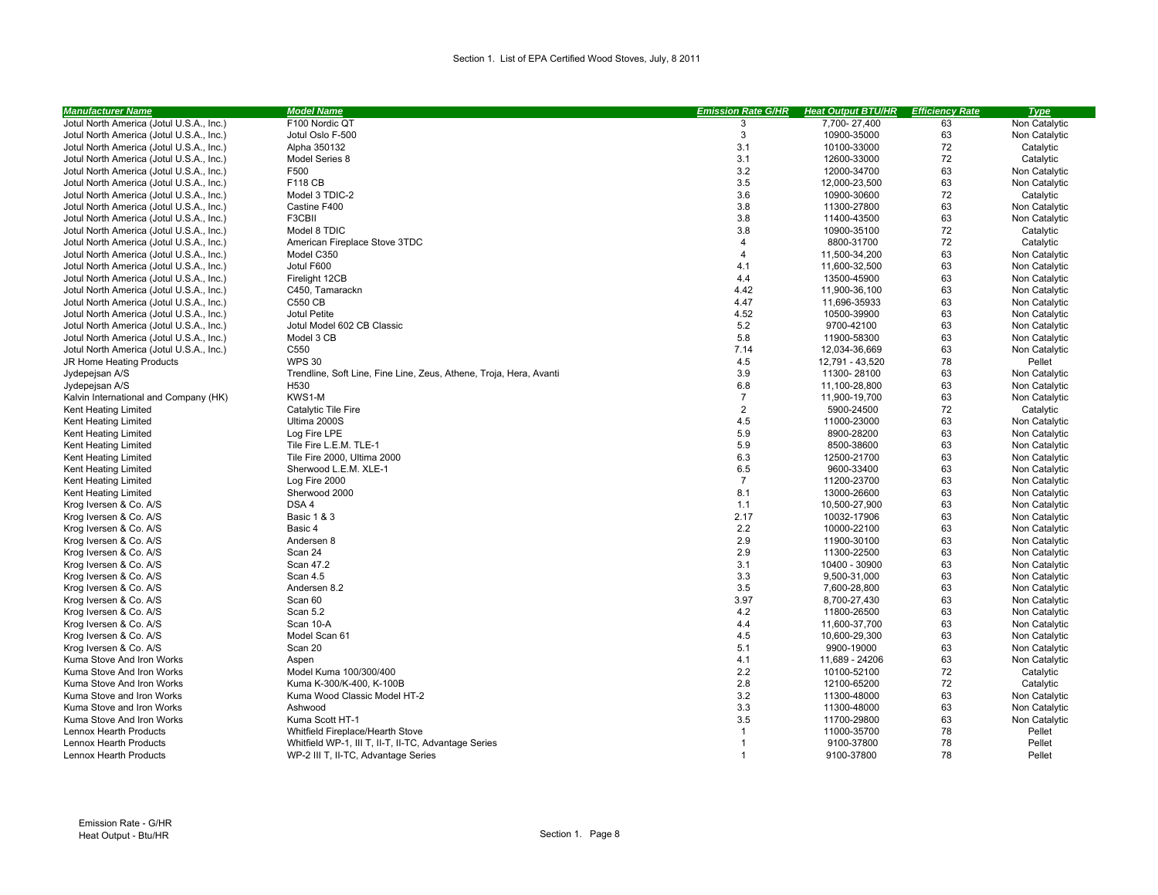| <b>Manufacturer Name</b>                 | <b>Model Name</b>                                                  | <b>Emission Rate G/HR</b> | <b>Heat Output BTU/HR</b> | <b>Efficiency Rate</b> | <b>Type</b>   |
|------------------------------------------|--------------------------------------------------------------------|---------------------------|---------------------------|------------------------|---------------|
| Jotul North America (Jotul U.S.A., Inc.) | F100 Nordic QT                                                     | 3                         | 7,700-27,400              | 63                     | Non Catalytic |
| Jotul North America (Jotul U.S.A., Inc.) | Jotul Oslo F-500                                                   | 3                         | 10900-35000               | 63                     | Non Catalytic |
| Jotul North America (Jotul U.S.A., Inc.) | Alpha 350132                                                       | 3.1                       | 10100-33000               | 72                     | Catalytic     |
| Jotul North America (Jotul U.S.A., Inc.) | Model Series 8                                                     | 3.1                       | 12600-33000               | 72                     | Catalytic     |
| Jotul North America (Jotul U.S.A., Inc.) | F500                                                               | 3.2                       | 12000-34700               | 63                     | Non Catalytic |
| Jotul North America (Jotul U.S.A., Inc.) | <b>F118 CB</b>                                                     | 3.5                       | 12,000-23,500             | 63                     | Non Catalytic |
| Jotul North America (Jotul U.S.A., Inc.) | Model 3 TDIC-2                                                     | 3.6                       | 10900-30600               | 72                     | Catalytic     |
| Jotul North America (Jotul U.S.A., Inc.) | Castine F400                                                       | 3.8                       | 11300-27800               | 63                     | Non Catalytic |
| Jotul North America (Jotul U.S.A., Inc.) | F3CBII                                                             | 3.8                       | 11400-43500               | 63                     | Non Catalytic |
| Jotul North America (Jotul U.S.A., Inc.) | Model 8 TDIC                                                       | 3.8                       | 10900-35100               | 72                     | Catalytic     |
| Jotul North America (Jotul U.S.A., Inc.) | American Fireplace Stove 3TDC                                      | $\overline{4}$            | 8800-31700                | 72                     | Catalytic     |
| Jotul North America (Jotul U.S.A., Inc.) | Model C350                                                         | $\overline{4}$            | 11,500-34,200             | 63                     | Non Catalytic |
| Jotul North America (Jotul U.S.A., Inc.) | Jotul F600                                                         | 4.1                       | 11,600-32,500             | 63                     | Non Catalytic |
| Jotul North America (Jotul U.S.A., Inc.) | Firelight 12CB                                                     | 4.4                       | 13500-45900               | 63                     | Non Catalytic |
| Jotul North America (Jotul U.S.A., Inc.) | C450, Tamarack□                                                    | 4.42                      | 11,900-36,100             | 63                     | Non Catalytic |
| Jotul North America (Jotul U.S.A., Inc.) | <b>C550 CB</b>                                                     | 4.47                      | 11,696-35933              | 63                     | Non Catalytic |
| Jotul North America (Jotul U.S.A., Inc.) | Jotul Petite                                                       | 4.52                      | 10500-39900               | 63                     | Non Catalytic |
| Jotul North America (Jotul U.S.A., Inc.) | Jotul Model 602 CB Classic                                         | 5.2                       | 9700-42100                | 63                     | Non Catalytic |
| Jotul North America (Jotul U.S.A., Inc.) | Model 3 CB                                                         | 5.8                       | 11900-58300               | 63                     | Non Catalytic |
| Jotul North America (Jotul U.S.A., Inc.) | C550                                                               | 7.14                      | 12,034-36,669             | 63                     | Non Catalytic |
| JR Home Heating Products                 | <b>WPS 30</b>                                                      | 4.5                       | 12,791 - 43,520           | 78                     | Pellet        |
| Jydepejsan A/S                           | Trendline, Soft Line, Fine Line, Zeus, Athene, Troja, Hera, Avanti | 3.9                       | 11300-28100               | 63                     | Non Catalytic |
| Jydepejsan A/S                           | H530                                                               | 6.8                       | 11,100-28,800             | 63                     | Non Catalytic |
| Kalvin International and Company (HK)    | KWS1-M                                                             | $\overline{7}$            | 11,900-19,700             | 63                     | Non Catalytic |
| Kent Heating Limited                     | Catalytic Tile Fire                                                | $\overline{2}$            | 5900-24500                | 72                     | Catalytic     |
| Kent Heating Limited                     | Ultima 2000S                                                       | 4.5                       | 11000-23000               | 63                     | Non Catalytic |
| Kent Heating Limited                     | Log Fire LPE                                                       | 5.9                       | 8900-28200                | 63                     | Non Catalytic |
| Kent Heating Limited                     | Tile Fire L.E.M. TLE-1                                             | 5.9                       | 8500-38600                | 63                     | Non Catalytic |
| Kent Heating Limited                     | Tile Fire 2000. Ultima 2000                                        | 6.3                       | 12500-21700               | 63                     | Non Catalytic |
| Kent Heating Limited                     | Sherwood L.E.M. XLE-1                                              | 6.5                       | 9600-33400                | 63                     | Non Catalytic |
| Kent Heating Limited                     | Log Fire 2000                                                      | $\overline{7}$            | 11200-23700               | 63                     | Non Catalytic |
| Kent Heating Limited                     | Sherwood 2000                                                      | 8.1                       | 13000-26600               | 63                     | Non Catalytic |
| Krog Iversen & Co. A/S                   | DSA 4                                                              | 1.1                       | 10,500-27,900             | 63                     | Non Catalytic |
| Krog Iversen & Co. A/S                   | <b>Basic 1 &amp; 3</b>                                             | 2.17                      | 10032-17906               | 63                     | Non Catalytic |
| Krog Iversen & Co. A/S                   | Basic 4                                                            | 2.2                       | 10000-22100               | 63                     | Non Catalytic |
| Krog Iversen & Co. A/S                   | Andersen 8                                                         | 2.9                       | 11900-30100               | 63                     | Non Catalytic |
| Krog Iversen & Co. A/S                   | Scan 24                                                            | 2.9                       | 11300-22500               | 63                     | Non Catalytic |
| Krog Iversen & Co. A/S                   | Scan 47.2                                                          | 3.1                       | 10400 - 30900             | 63                     | Non Catalytic |
| Krog Iversen & Co. A/S                   | Scan 4.5                                                           | 3.3                       | 9,500-31,000              | 63                     | Non Catalytic |
| Krog Iversen & Co. A/S                   | Andersen 8.2                                                       | 3.5                       | 7,600-28,800              | 63                     | Non Catalytic |
| Krog Iversen & Co. A/S                   | Scan 60                                                            | 3.97                      | 8,700-27,430              | 63                     | Non Catalytic |
| Krog Iversen & Co. A/S                   | Scan 5.2                                                           | 4.2                       | 11800-26500               | 63                     | Non Catalytic |
| Krog Iversen & Co. A/S                   | Scan 10-A                                                          | 4.4                       | 11,600-37,700             | 63                     | Non Catalytic |
| Krog Iversen & Co. A/S                   | Model Scan 61                                                      | 4.5                       | 10,600-29,300             | 63                     | Non Catalytic |
| Krog Iversen & Co. A/S                   | Scan 20                                                            | 5.1                       | 9900-19000                | 63                     | Non Catalytic |
| Kuma Stove And Iron Works                | Aspen                                                              | 4.1                       | 11,689 - 24206            | 63                     | Non Catalytic |
| Kuma Stove And Iron Works                | Model Kuma 100/300/400                                             | 2.2                       | 10100-52100               | 72                     | Catalytic     |
| Kuma Stove And Iron Works                | Kuma K-300/K-400, K-100B                                           | 2.8                       | 12100-65200               | 72                     | Catalytic     |
| Kuma Stove and Iron Works                | Kuma Wood Classic Model HT-2                                       | 3.2                       | 11300-48000               | 63                     | Non Catalytic |
| Kuma Stove and Iron Works                | Ashwood                                                            | 3.3                       | 11300-48000               | 63                     | Non Catalytic |
| Kuma Stove And Iron Works                | Kuma Scott HT-1                                                    | 3.5                       | 11700-29800               | 63                     | Non Catalytic |
| Lennox Hearth Products                   | Whitfield Fireplace/Hearth Stove                                   | $\overline{1}$            | 11000-35700               | 78                     | Pellet        |
| Lennox Hearth Products                   | Whitfield WP-1, III T, II-T, II-TC, Advantage Series               |                           | 9100-37800                | 78                     | Pellet        |
| Lennox Hearth Products                   | WP-2 III T, II-TC, Advantage Series                                | $\overline{1}$            | 9100-37800                | 78                     | Pellet        |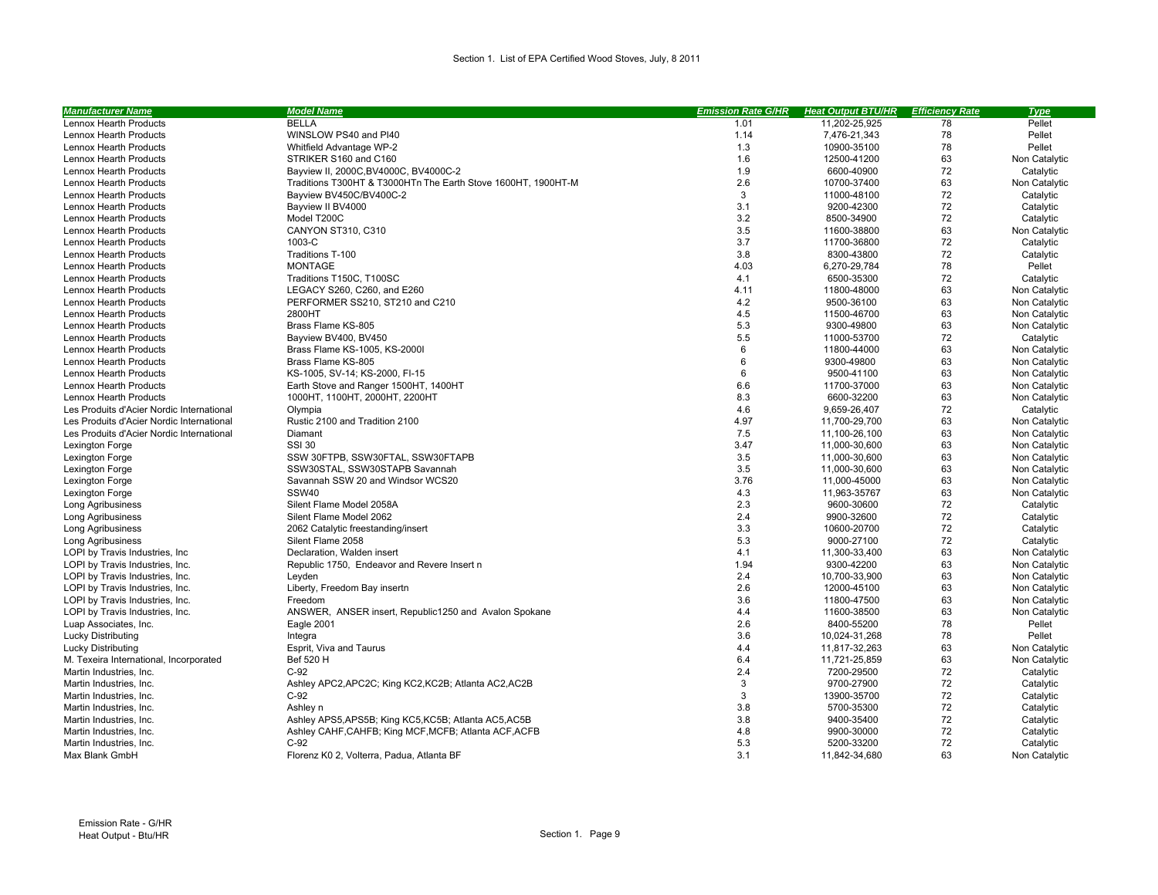| <b>Manufacturer Name</b>                                           | <u>Model Name</u>                                            | <b>Emission Rate G/HR</b> | <b>Heat Output BTU/HR</b> | <b>Efficiency Rate</b> | <b>Type</b>                    |
|--------------------------------------------------------------------|--------------------------------------------------------------|---------------------------|---------------------------|------------------------|--------------------------------|
| Lennox Hearth Products                                             | <b>BELLA</b>                                                 | 1.01                      | 11,202-25,925             | 78                     | Pellet                         |
| Lennox Hearth Products                                             | WINSLOW PS40 and PI40                                        | 1.14                      | 7,476-21,343              | 78                     | Pellet                         |
| Lennox Hearth Products                                             | Whitfield Advantage WP-2                                     | 1.3                       | 10900-35100               | 78                     | Pellet                         |
| Lennox Hearth Products                                             | STRIKER S160 and C160                                        | 1.6                       | 12500-41200               | 63                     | Non Catalytic                  |
| Lennox Hearth Products                                             | Bayview II, 2000C, BV4000C, BV4000C-2                        | 1.9                       | 6600-40900                | 72                     | Catalytic                      |
| Lennox Hearth Products                                             | Traditions T300HT & T3000HT□The Earth Stove 1600HT, 1900HT-M | 2.6                       | 10700-37400               | 63                     | Non Catalytic                  |
| Lennox Hearth Products                                             | Bayview BV450C/BV400C-2                                      | 3                         | 11000-48100               | 72                     | Catalytic                      |
| Lennox Hearth Products                                             | Bayview II BV4000                                            | 3.1                       | 9200-42300                | 72                     | Catalytic                      |
| Lennox Hearth Products                                             | Model T200C                                                  | 3.2                       | 8500-34900                | 72                     | Catalytic                      |
| Lennox Hearth Products                                             | CANYON ST310, C310                                           | 3.5                       | 11600-38800               | 63                     | Non Catalytic                  |
| Lennox Hearth Products                                             | 1003-C                                                       | 3.7                       | 11700-36800               | 72                     | Catalytic                      |
| Lennox Hearth Products                                             | Traditions T-100                                             | 3.8                       | 8300-43800                | 72                     | Catalytic                      |
| Lennox Hearth Products                                             | <b>MONTAGE</b>                                               | 4.03                      | 6,270-29,784              | 78                     | Pellet                         |
| Lennox Hearth Products                                             | Traditions T150C. T100SC                                     | 4.1                       | 6500-35300                | 72                     | Catalytic                      |
| Lennox Hearth Products                                             | LEGACY S260, C260, and E260                                  | 4.11                      | 11800-48000               | 63                     | Non Catalytic                  |
| Lennox Hearth Products                                             | PERFORMER SS210, ST210 and C210                              | 4.2                       | 9500-36100                | 63                     | Non Catalytic                  |
| Lennox Hearth Products                                             | 2800HT                                                       | 4.5                       | 11500-46700               | 63                     | Non Catalytic                  |
| Lennox Hearth Products                                             | Brass Flame KS-805                                           | 5.3                       | 9300-49800                | 63                     | Non Catalytic                  |
| Lennox Hearth Products                                             | Bayview BV400, BV450                                         | 5.5                       | 11000-53700               | 72                     | Catalytic                      |
| Lennox Hearth Products                                             | Brass Flame KS-1005, KS-2000I                                | 6                         | 11800-44000               | 63                     | Non Catalytic                  |
| Lennox Hearth Products                                             | Brass Flame KS-805                                           | 6                         | 9300-49800                | 63                     | Non Catalytic                  |
| Lennox Hearth Products                                             | KS-1005, SV-14; KS-2000, FI-15                               | 6                         | 9500-41100                | 63                     | Non Catalytic                  |
| Lennox Hearth Products                                             | Earth Stove and Ranger 1500HT, 1400HT                        | 6.6                       | 11700-37000               | 63                     | Non Catalytic                  |
| Lennox Hearth Products                                             | 1000HT, 1100HT, 2000HT, 2200HT                               | 8.3                       | 6600-32200                | 63                     | Non Catalytic                  |
| Les Produits d'Acier Nordic International                          | Olympia                                                      | 4.6                       | 9,659-26,407              | 72                     | Catalytic                      |
| Les Produits d'Acier Nordic International                          | Rustic 2100 and Tradition 2100                               | 4.97                      | 11,700-29,700             | 63                     | Non Catalytic                  |
| Les Produits d'Acier Nordic International                          | Diamant                                                      | 7.5                       | 11,100-26,100             | 63                     | Non Catalytic                  |
| Lexington Forge                                                    | <b>SSI 30</b>                                                | 3.47                      | 11,000-30,600             | 63                     | Non Catalytic                  |
| Lexington Forge                                                    | SSW 30FTPB, SSW30FTAL, SSW30FTAPB                            | 3.5                       | 11,000-30,600             | 63                     | Non Catalytic                  |
| Lexington Forge                                                    | SSW30STAL, SSW30STAPB Savannah                               | 3.5                       | 11,000-30,600             | 63                     | Non Catalytic                  |
| Lexington Forge                                                    | Savannah SSW 20 and Windsor WCS20                            | 3.76                      | 11,000-45000              | 63                     | Non Catalytic                  |
| Lexington Forge                                                    | <b>SSW40</b>                                                 | 4.3                       | 11,963-35767              | 63                     | Non Catalytic                  |
| <b>Long Agribusiness</b>                                           | Silent Flame Model 2058A                                     | 2.3                       | 9600-30600                | 72                     | Catalytic                      |
| Long Agribusiness                                                  | Silent Flame Model 2062                                      | 2.4                       | 9900-32600                | 72                     | Catalytic                      |
| <b>Long Agribusiness</b>                                           | 2062 Catalytic freestanding/insert                           | 3.3                       | 10600-20700               | 72                     | Catalytic                      |
| Long Agribusiness                                                  | Silent Flame 2058                                            | 5.3                       | 9000-27100                | 72                     | Catalytic                      |
|                                                                    | Declaration, Walden insert                                   | 4.1                       | 11,300-33,400             | 63                     |                                |
| LOPI by Travis Industries, Inc.<br>LOPI by Travis Industries, Inc. | Republic 1750, Endeavor and Revere Insert D                  | 1.94                      | 9300-42200                | 63                     | Non Catalytic<br>Non Catalytic |
| LOPI by Travis Industries, Inc.                                    |                                                              | 2.4                       | 10,700-33,900             | 63                     | Non Catalytic                  |
|                                                                    | Leyden                                                       | 2.6                       |                           | 63                     |                                |
| LOPI by Travis Industries, Inc.                                    | Liberty, Freedom Bay insert□                                 |                           | 12000-45100               |                        | Non Catalytic                  |
| LOPI by Travis Industries, Inc.                                    | Freedom                                                      | 3.6<br>4.4                | 11800-47500               | 63<br>63               | Non Catalytic<br>Non Catalytic |
| LOPI by Travis Industries, Inc.                                    | ANSWER, ANSER insert, Republic1250 and Avalon Spokane        |                           | 11600-38500               |                        |                                |
| Luap Associates, Inc.                                              | Eagle 2001                                                   | 2.6                       | 8400-55200                | 78                     | Pellet                         |
| <b>Lucky Distributing</b>                                          | Integra                                                      | 3.6                       | 10,024-31,268             | 78                     | Pellet                         |
| <b>Lucky Distributing</b>                                          | Esprit, Viva and Taurus                                      | 4.4                       | 11,817-32,263             | 63                     | Non Catalytic                  |
| M. Texeira International, Incorporated                             | Bef 520 H                                                    | 6.4                       | 11,721-25,859             | 63                     | Non Catalytic                  |
| Martin Industries, Inc.                                            | $C-92$                                                       | 2.4                       | 7200-29500                | 72                     | Catalytic                      |
| Martin Industries, Inc.                                            | Ashley APC2, APC2C; King KC2, KC2B; Atlanta AC2, AC2B        | 3                         | 9700-27900                | 72                     | Catalytic                      |
| Martin Industries, Inc.                                            | $C-92$                                                       | 3                         | 13900-35700               | 72                     | Catalytic                      |
| Martin Industries, Inc.                                            | Ashley <sub>[1]</sub>                                        | 3.8                       | 5700-35300                | 72                     | Catalytic                      |
| Martin Industries, Inc.                                            | Ashley APS5, APS5B; King KC5, KC5B; Atlanta AC5, AC5B        | 3.8                       | 9400-35400                | 72                     | Catalytic                      |
| Martin Industries, Inc.                                            | Ashley CAHF, CAHFB; King MCF, MCFB; Atlanta ACF, ACFB        | 4.8                       | 9900-30000                | 72                     | Catalytic                      |
| Martin Industries, Inc.                                            | $C-92$                                                       | 5.3                       | 5200-33200                | 72                     | Catalytic                      |
| Max Blank GmbH                                                     | Florenz K0 2. Volterra, Padua, Atlanta BF                    | 3.1                       | 11.842-34.680             | 63                     | Non Catalytic                  |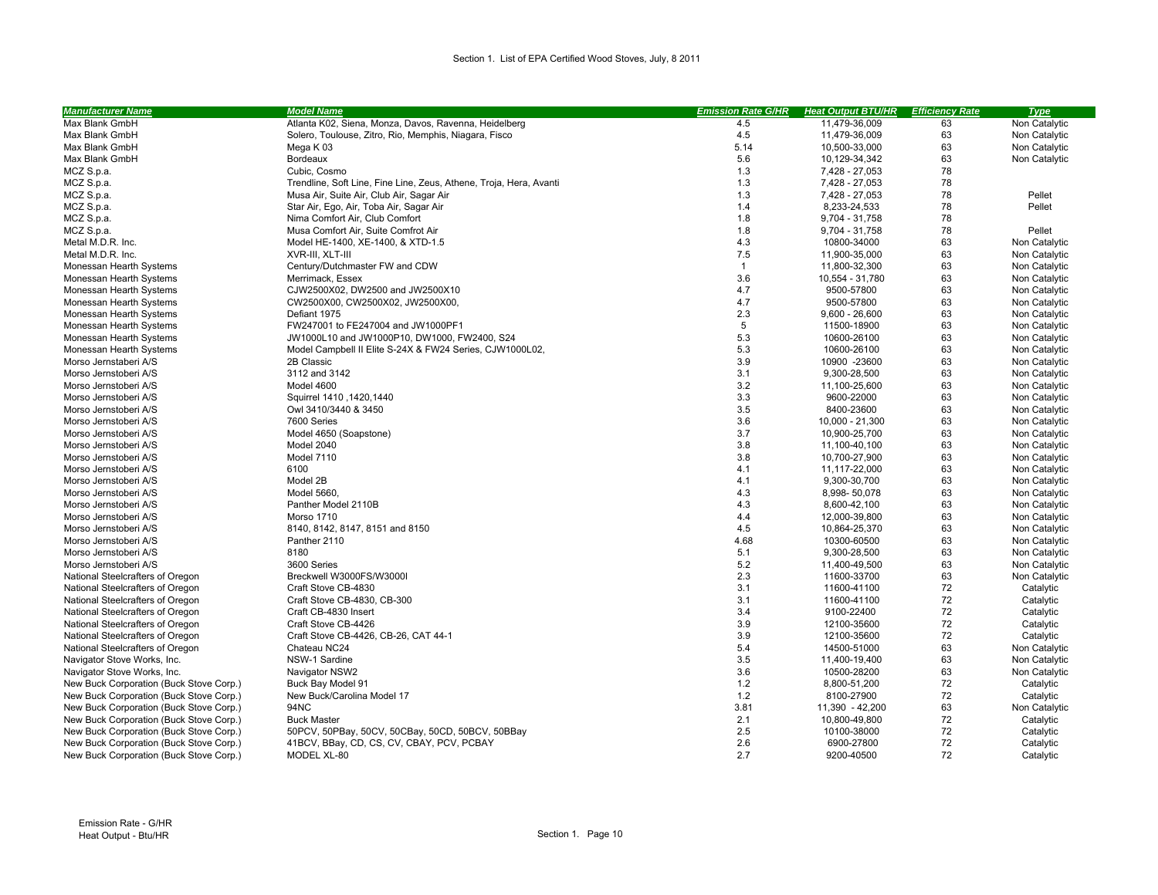| <b>Manufacturer Name</b>                | <b>Model Name</b>                                                  | <b>Emission Rate G/HR</b> | <b>Heat Output BTU/HR</b> | <b>Efficiency Rate</b> | <b>Type</b>   |
|-----------------------------------------|--------------------------------------------------------------------|---------------------------|---------------------------|------------------------|---------------|
| Max Blank GmbH                          | Atlanta K02, Siena, Monza, Davos, Ravenna, Heidelberg              | 4.5                       | 11,479-36,009             | 63                     | Non Catalytic |
| Max Blank GmbH                          | Solero, Toulouse, Zitro, Rio, Memphis, Niagara, Fisco              | 4.5                       | 11,479-36,009             | 63                     | Non Catalytic |
| Max Blank GmbH                          | Mega K 03                                                          | 5.14                      | 10,500-33,000             | 63                     | Non Catalytic |
| Max Blank GmbH                          | Bordeaux                                                           | 5.6                       | 10,129-34,342             | 63                     | Non Catalytic |
| MCZ S.p.a.                              | Cubic, Cosmo                                                       | 1.3                       | 7,428 - 27,053            | 78                     |               |
| MCZ S.p.a.                              | Trendline, Soft Line, Fine Line, Zeus, Athene, Troja, Hera, Avanti | 1.3                       | 7,428 - 27,053            | 78                     |               |
| MCZ S.p.a.                              | Musa Air, Suite Air, Club Air, Sagar Air                           | 1.3                       | 7,428 - 27,053            | 78                     | Pellet        |
| MCZ S.p.a.                              | Star Air, Ego, Air, Toba Air, Sagar Air                            | 1.4                       | 8,233-24,533              | 78                     | Pellet        |
| MCZ S.p.a.                              | Nima Comfort Air, Club Comfort                                     | 1.8                       | 9,704 - 31,758            | 78                     |               |
| MCZ S.p.a.                              | Musa Comfort Air, Suite Comfrot Air                                | 1.8                       | 9,704 - 31,758            | 78                     | Pellet        |
| Metal M.D.R. Inc.                       | Model HE-1400, XE-1400, & XTD-1.5                                  | 4.3                       | 10800-34000               | 63                     | Non Catalytic |
| Metal M.D.R. Inc.                       | XVR-III. XLT-III                                                   | 7.5                       | 11,900-35,000             | 63                     | Non Catalytic |
| Monessan Hearth Systems                 | Century/Dutchmaster FW and CDW                                     | $\mathbf{1}$              | 11,800-32,300             | 63                     | Non Catalytic |
| Monessan Hearth Systems                 | Merrimack, Essex                                                   | 3.6                       | 10,554 - 31,780           | 63                     | Non Catalytic |
| Monessan Hearth Systems                 | CJW2500X02, DW2500 and JW2500X10                                   | 4.7                       | 9500-57800                | 63                     | Non Catalytic |
| Monessan Hearth Systems                 | CW2500X00, CW2500X02, JW2500X00,                                   | 4.7                       | 9500-57800                | 63                     | Non Catalytic |
| Monessan Hearth Systems                 | Defiant 1975                                                       | 2.3                       | $9,600 - 26,600$          | 63                     | Non Catalytic |
| Monessan Hearth Systems                 | FW247001 to FE247004 and JW1000PF1                                 | 5                         | 11500-18900               | 63                     | Non Catalytic |
| Monessan Hearth Systems                 | JW1000L10 and JW1000P10, DW1000, FW2400, S24                       | 5.3                       | 10600-26100               | 63                     | Non Catalytic |
| Monessan Hearth Systems                 | Model Campbell II Elite S-24X & FW24 Series, CJW1000L02,           | 5.3                       | 10600-26100               | 63                     | Non Catalytic |
| Morso Jernstaberi A/S                   | 2B Classic                                                         | 3.9                       | 10900 -23600              | 63                     | Non Catalytic |
| Morso Jernstoberi A/S                   | 3112 and 3142                                                      | 3.1                       | 9,300-28,500              | 63                     | Non Catalytic |
| Morso Jernstoberi A/S                   | Model 4600                                                         | 3.2                       | 11,100-25,600             | 63                     | Non Catalytic |
| Morso Jernstoberi A/S                   | Squirrel 1410, 1420, 1440                                          | 3.3                       | 9600-22000                | 63                     | Non Catalytic |
| Morso Jernstoberi A/S                   | Owl 3410/3440 & 3450                                               | 3.5                       | 8400-23600                | 63                     | Non Catalytic |
| Morso Jernstoberi A/S                   | 7600 Series                                                        | 3.6                       | 10,000 - 21,300           | 63                     | Non Catalytic |
| Morso Jernstoberi A/S                   | Model 4650 (Soapstone)                                             | 3.7                       | 10,900-25,700             | 63                     | Non Catalytic |
| Morso Jernstoberi A/S                   | Model 2040                                                         | 3.8                       | 11,100-40,100             | 63                     | Non Catalytic |
| Morso Jernstoberi A/S                   | Model 7110                                                         | 3.8                       | 10,700-27,900             | 63                     | Non Catalytic |
| Morso Jernstoberi A/S                   | 6100                                                               | 4.1                       | 11,117-22,000             | 63                     | Non Catalytic |
| Morso Jernstoberi A/S                   | Model 2B                                                           | 4.1                       | 9,300-30,700              | 63                     | Non Catalytic |
| Morso Jernstoberi A/S                   | Model 5660,                                                        | 4.3                       | 8,998-50,078              | 63                     | Non Catalytic |
| Morso Jernstoberi A/S                   | Panther Model 2110B                                                | 4.3                       | 8,600-42,100              | 63                     | Non Catalytic |
| Morso Jernstoberi A/S                   | <b>Morso 1710</b>                                                  | 4.4                       | 12,000-39,800             | 63                     | Non Catalytic |
| Morso Jernstoberi A/S                   | 8140, 8142, 8147, 8151 and 8150                                    | 4.5                       | 10,864-25,370             | 63                     | Non Catalytic |
| Morso Jernstoberi A/S                   | Panther 2110                                                       | 4.68                      | 10300-60500               | 63                     | Non Catalytic |
| Morso Jernstoberi A/S                   | 8180                                                               | 5.1                       | 9,300-28,500              | 63                     | Non Catalytic |
| Morso Jernstoberi A/S                   | 3600 Series                                                        | 5.2                       | 11,400-49,500             | 63                     | Non Catalytic |
| National Steelcrafters of Oregon        | Breckwell W3000FS/W3000I                                           | 2.3                       | 11600-33700               | 63                     | Non Catalytic |
| National Steelcrafters of Oregon        | Craft Stove CB-4830                                                | 3.1                       | 11600-41100               | 72                     | Catalytic     |
| National Steelcrafters of Oregon        | Craft Stove CB-4830, CB-300                                        | 3.1                       | 11600-41100               | 72                     | Catalytic     |
| National Steelcrafters of Oregon        | Craft CB-4830 Insert                                               | 3.4                       | 9100-22400                | 72                     | Catalytic     |
| National Steelcrafters of Oregon        | Craft Stove CB-4426                                                | 3.9                       | 12100-35600               | 72                     | Catalytic     |
| National Steelcrafters of Oregon        | Craft Stove CB-4426, CB-26, CAT 44-1                               | 3.9                       | 12100-35600               | 72                     | Catalytic     |
| National Steelcrafters of Oregon        | Chateau NC24                                                       | 5.4                       | 14500-51000               | 63                     | Non Catalytic |
| Navigator Stove Works, Inc.             | NSW-1 Sardine                                                      | 3.5                       | 11.400-19.400             | 63                     | Non Catalytic |
| Navigator Stove Works, Inc.             | Navigator NSW2                                                     | 3.6                       | 10500-28200               | 63                     | Non Catalytic |
| New Buck Corporation (Buck Stove Corp.) | Buck Bay Model 91                                                  | 1.2                       | 8,800-51,200              | 72                     | Catalytic     |
| New Buck Corporation (Buck Stove Corp.) | New Buck/Carolina Model 17                                         | 1.2                       | 8100-27900                | 72                     | Catalytic     |
| New Buck Corporation (Buck Stove Corp.) | 94NC                                                               | 3.81                      | 11,390 - 42,200           | 63                     | Non Catalytic |
| New Buck Corporation (Buck Stove Corp.) | <b>Buck Master</b>                                                 | 2.1                       | 10,800-49,800             | 72                     | Catalytic     |
| New Buck Corporation (Buck Stove Corp.) | 50PCV, 50PBay, 50CV, 50CBay, 50CD, 50BCV, 50BBay                   | 2.5                       | 10100-38000               | 72                     | Catalytic     |
| New Buck Corporation (Buck Stove Corp.) | 41BCV, BBay, CD, CS, CV, CBAY, PCV, PCBAY                          | 2.6                       | 6900-27800                | 72                     | Catalytic     |
| New Buck Corporation (Buck Stove Corp.) | MODEL XL-80                                                        | 2.7                       | 9200-40500                | 72                     | Catalytic     |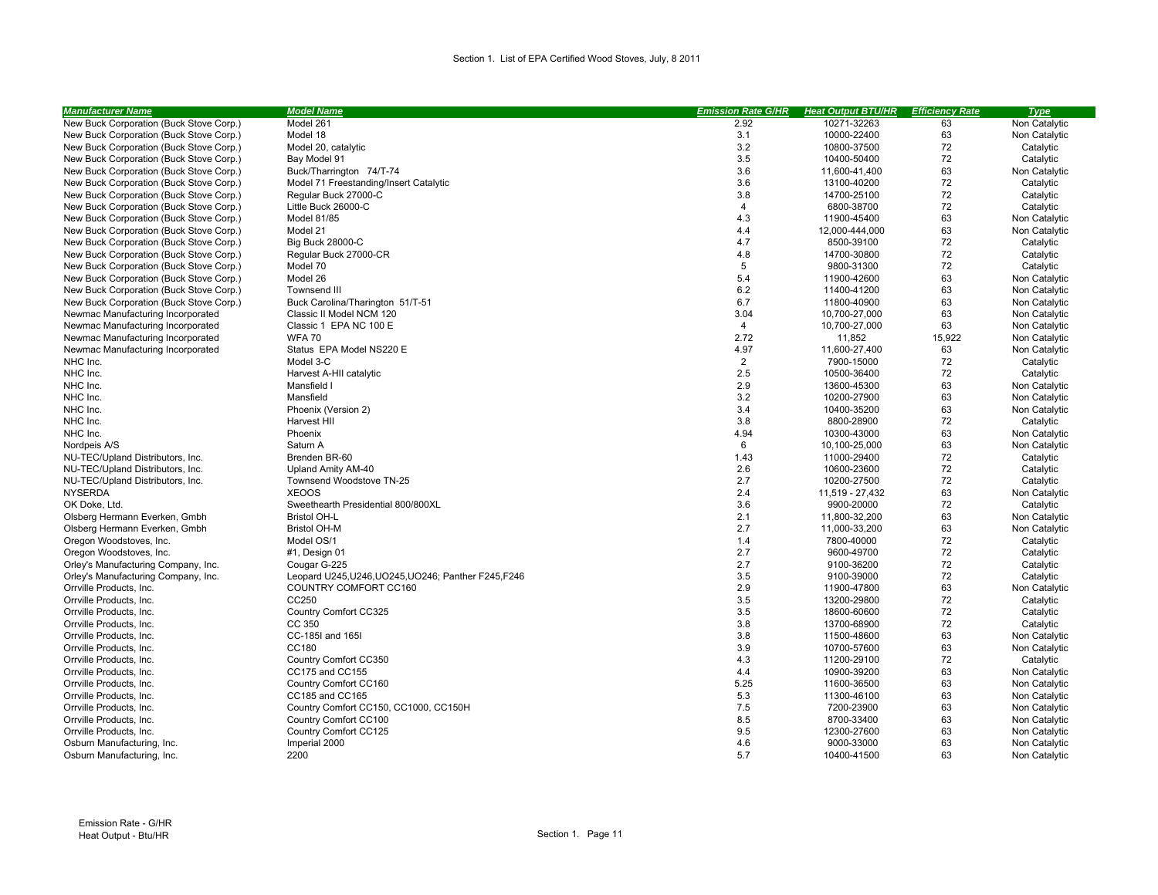| <b>Manufacturer Name</b>                | <b>Model Name</b>                                    | <b>Emission Rate G/HR</b> | <b>Heat Output BTU/HR</b> | <b>Efficiency Rate</b> | <b>Type</b>   |
|-----------------------------------------|------------------------------------------------------|---------------------------|---------------------------|------------------------|---------------|
| New Buck Corporation (Buck Stove Corp.) | Model 261                                            | 2.92                      | 10271-32263               | 63                     | Non Catalytic |
| New Buck Corporation (Buck Stove Corp.) | Model 18                                             | 3.1                       | 10000-22400               | 63                     | Non Catalytic |
| New Buck Corporation (Buck Stove Corp.) | Model 20, catalytic                                  | 3.2                       | 10800-37500               | 72                     | Catalytic     |
| New Buck Corporation (Buck Stove Corp.) | Bay Model 91                                         | 3.5                       | 10400-50400               | 72                     | Catalytic     |
| New Buck Corporation (Buck Stove Corp.) | Buck/Tharrington 74/T-74                             | 3.6                       | 11,600-41,400             | 63                     | Non Catalytic |
| New Buck Corporation (Buck Stove Corp.) | Model 71 Freestanding/Insert Catalytic               | 3.6                       | 13100-40200               | 72                     | Catalytic     |
| New Buck Corporation (Buck Stove Corp.) | Regular Buck 27000-C                                 | 3.8                       | 14700-25100               | 72                     | Catalytic     |
| New Buck Corporation (Buck Stove Corp.) | Little Buck 26000-C                                  | 4                         | 6800-38700                | 72                     | Catalytic     |
| New Buck Corporation (Buck Stove Corp.) | Model 81/85                                          | 4.3                       | 11900-45400               | 63                     | Non Catalytic |
| New Buck Corporation (Buck Stove Corp.) | Model 21                                             | 4.4                       | 12,000-444,000            | 63                     | Non Catalytic |
| New Buck Corporation (Buck Stove Corp.) | <b>Big Buck 28000-C</b>                              | 4.7                       | 8500-39100                | 72                     | Catalytic     |
| New Buck Corporation (Buck Stove Corp.) | Regular Buck 27000-CR                                | 4.8                       | 14700-30800               | 72                     | Catalytic     |
| New Buck Corporation (Buck Stove Corp.) | Model 70                                             | 5                         | 9800-31300                | 72                     | Catalytic     |
| New Buck Corporation (Buck Stove Corp.) | Model 26                                             | 5.4                       | 11900-42600               | 63                     | Non Catalytic |
| New Buck Corporation (Buck Stove Corp.) | <b>Townsend III</b>                                  | 6.2                       | 11400-41200               | 63                     | Non Catalytic |
| New Buck Corporation (Buck Stove Corp.) | Buck Carolina/Tharington 51/T-51                     | 6.7                       | 11800-40900               | 63                     | Non Catalytic |
| Newmac Manufacturing Incorporated       | Classic II Model NCM 120                             | 3.04                      | 10,700-27,000             | 63                     | Non Catalytic |
| Newmac Manufacturing Incorporated       | Classic 1 EPA NC 100 E                               | $\overline{4}$            | 10,700-27,000             | 63                     | Non Catalytic |
| Newmac Manufacturing Incorporated       | <b>WFA 70</b>                                        | 2.72                      | 11,852                    | 15,922                 | Non Catalytic |
| Newmac Manufacturing Incorporated       | Status EPA Model NS220 E                             | 4.97                      | 11,600-27,400             | 63                     | Non Catalytic |
| NHC Inc.                                | Model 3-C                                            | $\overline{2}$            | 7900-15000                | 72                     | Catalytic     |
| NHC Inc.                                | Harvest A-HII catalytic                              | 2.5                       | 10500-36400               | 72                     | Catalytic     |
| NHC Inc.                                | Mansfield I                                          | 2.9                       | 13600-45300               | 63                     | Non Catalytic |
| NHC Inc.                                | Mansfield                                            | 3.2                       | 10200-27900               | 63                     | Non Catalytic |
| NHC Inc.                                | Phoenix (Version 2)                                  | 3.4                       | 10400-35200               | 63                     | Non Catalytic |
| NHC Inc.                                | Harvest HII                                          | 3.8                       | 8800-28900                | 72                     | Catalytic     |
| NHC Inc.                                | Phoenix                                              | 4.94                      | 10300-43000               | 63                     | Non Catalytic |
| Nordpeis A/S                            | Saturn A                                             | 6                         | 10,100-25,000             | 63                     | Non Catalytic |
| NU-TEC/Upland Distributors, Inc.        | Brenden BR-60                                        | 1.43                      | 11000-29400               | 72                     | Catalytic     |
| NU-TEC/Upland Distributors, Inc.        | Upland Amity AM-40                                   | 2.6                       | 10600-23600               | 72                     | Catalytic     |
| NU-TEC/Upland Distributors, Inc.        | Townsend Woodstove TN-25                             | 2.7                       | 10200-27500               | 72                     | Catalytic     |
| <b>NYSERDA</b>                          | <b>XEOOS</b>                                         | 2.4                       | 11,519 - 27,432           | 63                     | Non Catalytic |
| OK Doke, Ltd.                           | Sweethearth Presidential 800/800XL                   | 3.6                       | 9900-20000                | 72                     | Catalytic     |
| Olsberg Hermann Everken, Gmbh           | <b>Bristol OH-L</b>                                  | 2.1                       | 11,800-32,200             | 63                     | Non Catalytic |
| Olsberg Hermann Everken, Gmbh           | <b>Bristol OH-M</b>                                  | 2.7                       | 11,000-33,200             | 63                     | Non Catalytic |
| Oregon Woodstoves, Inc.                 | Model OS/1                                           | 1.4                       | 7800-40000                | 72                     | Catalytic     |
| Oregon Woodstoves, Inc.                 | #1, Design 01                                        | 2.7                       | 9600-49700                | 72                     | Catalytic     |
| Orley's Manufacturing Company, Inc.     | Cougar G-225                                         | 2.7                       | 9100-36200                | 72                     | Catalytic     |
| Orley's Manufacturing Company, Inc.     | Leopard U245, U246, UO245, UO246; Panther F245, F246 | 3.5                       | 9100-39000                | 72                     | Catalytic     |
| Orrville Products, Inc.                 | COUNTRY COMFORT CC160                                | 2.9                       | 11900-47800               | 63                     | Non Catalytic |
| Orrville Products, Inc.                 | CC250                                                | 3.5                       | 13200-29800               | 72                     | Catalytic     |
| Orrville Products, Inc.                 | Country Comfort CC325                                | 3.5                       | 18600-60600               | 72                     | Catalytic     |
| Orrville Products, Inc.                 | CC 350                                               | 3.8                       | 13700-68900               | 72                     | Catalytic     |
| Orrville Products, Inc.                 | CC-185I and 165I                                     | 3.8                       | 11500-48600               | 63                     | Non Catalytic |
| Orrville Products, Inc.                 | CC180                                                | 3.9                       | 10700-57600               | 63                     | Non Catalytic |
| Orrville Products, Inc.                 | Country Comfort CC350                                | 4.3                       | 11200-29100               | 72                     | Catalytic     |
| Orrville Products, Inc.                 | CC175 and CC155                                      | 4.4                       | 10900-39200               | 63                     | Non Catalytic |
| Orrville Products, Inc.                 | Country Comfort CC160                                | 5.25                      | 11600-36500               | 63                     | Non Catalytic |
| Orrville Products, Inc.                 | CC185 and CC165                                      | 5.3                       | 11300-46100               | 63                     | Non Catalytic |
| Orrville Products, Inc.                 | Country Comfort CC150, CC1000, CC150H                | 7.5                       | 7200-23900                | 63                     | Non Catalytic |
| Orrville Products, Inc.                 | Country Comfort CC100                                | 8.5                       | 8700-33400                | 63                     | Non Catalytic |
| Orrville Products, Inc.                 | Country Comfort CC125                                | 9.5                       | 12300-27600               | 63                     | Non Catalytic |
| Osburn Manufacturing, Inc.              | Imperial 2000                                        | 4.6                       | 9000-33000                | 63                     | Non Catalytic |
| Osburn Manufacturing, Inc.              | 2200                                                 | 5.7                       | 10400-41500               | 63                     | Non Catalytic |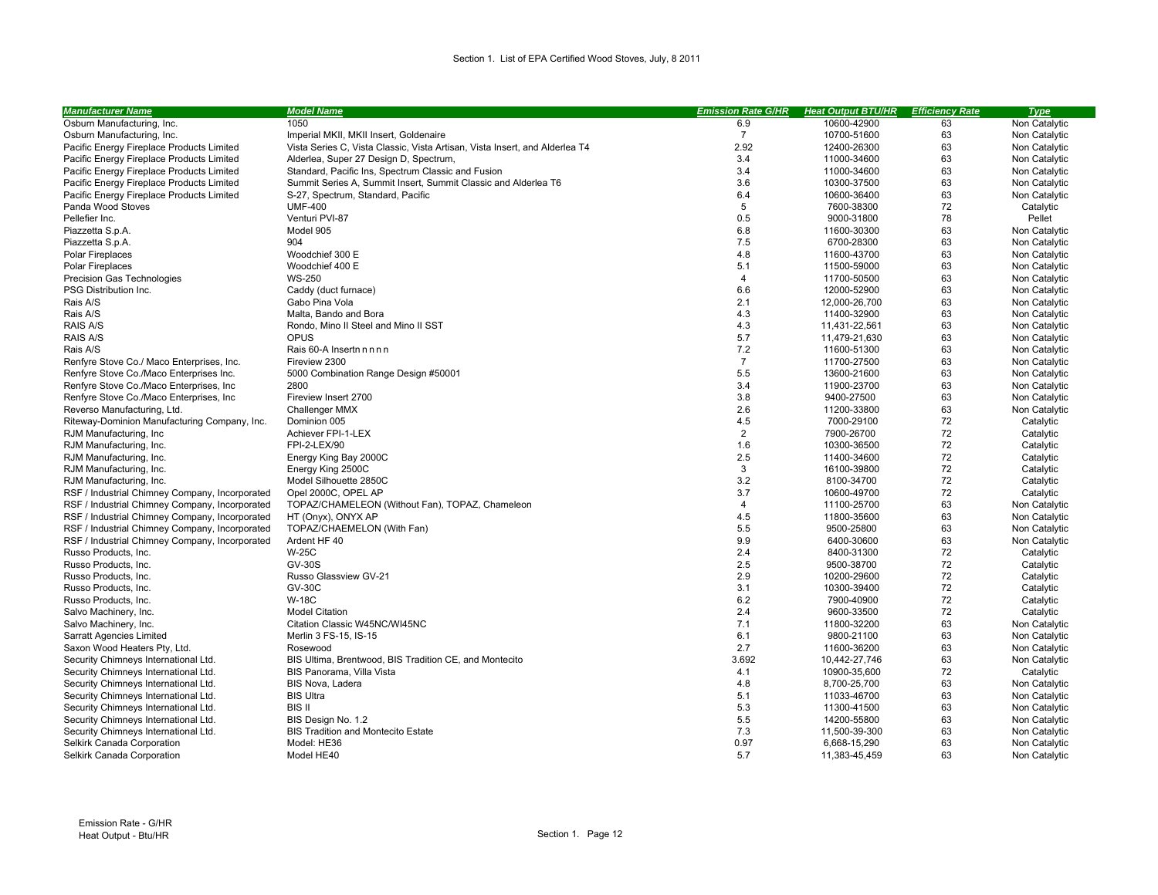| Osburn Manufacturing, Inc.<br>1050<br>6.9<br>10600-42900<br>63<br>Non Catalytic<br>$\overline{7}$<br>63<br>Osburn Manufacturing, Inc.<br>Imperial MKII, MKII Insert, Goldenaire<br>10700-51600<br>Non Catalytic<br>2.92<br>63<br>Non Catalytic<br>Pacific Energy Fireplace Products Limited<br>Vista Series C, Vista Classic, Vista Artisan, Vista Insert, and Alderlea T4<br>12400-26300<br>Alderlea, Super 27 Design D, Spectrum,<br>3.4<br>11000-34600<br>63<br>Non Catalytic<br>Pacific Energy Fireplace Products Limited<br>3.4<br>63<br>Pacific Energy Fireplace Products Limited<br>Standard, Pacific Ins, Spectrum Classic and Fusion<br>11000-34600<br>Non Catalytic<br>Summit Series A, Summit Insert, Summit Classic and Alderlea T6<br>3.6<br>10300-37500<br>63<br>Pacific Energy Fireplace Products Limited<br>Non Catalytic<br>6.4<br>63<br>10600-36400<br>Non Catalytic<br>Pacific Energy Fireplace Products Limited<br>S-27, Spectrum, Standard, Pacific<br>Panda Wood Stoves<br><b>UMF-400</b><br>5<br>7600-38300<br>72<br>Catalytic<br>0.5<br>78<br>Pellefier Inc.<br>Venturi PVI-87<br>9000-31800<br>Pellet<br>6.8<br>63<br>Model 905<br>Non Catalytic<br>Piazzetta S.p.A.<br>11600-30300<br>7.5<br>63<br>Piazzetta S.p.A.<br>904<br>6700-28300<br>Non Catalytic<br>63<br>Woodchief 300 E<br>4.8<br>Non Catalytic<br><b>Polar Fireplaces</b><br>11600-43700<br>5.1<br>Woodchief 400 E<br>11500-59000<br>63<br>Non Catalytic<br><b>Polar Fireplaces</b><br>$\overline{4}$<br>63<br><b>WS-250</b><br>11700-50500<br>Non Catalytic<br>Precision Gas Technologies<br>6.6<br>63<br>PSG Distribution Inc.<br>Caddy (duct furnace)<br>12000-52900<br>Non Catalytic<br>2.1<br>63<br>Rais A/S<br>Gabo Pina Vola<br>12.000-26.700<br>Non Catalytic<br>4.3<br>63<br>Rais A/S<br>Malta. Bando and Bora<br>11400-32900<br>Non Catalytic<br>4.3<br>63<br>RAIS A/S<br>Rondo, Mino II Steel and Mino II SST<br>11,431-22,561<br>Non Catalytic<br>5.7<br>OPUS<br>63<br><b>RAIS A/S</b><br>11,479-21,630<br>Non Catalytic<br>7.2<br>63<br>Rais A/S<br>Rais 60-A Insert<br>11600-51300<br>Non Catalytic<br>$\overline{7}$<br>63<br>Renfyre Stove Co./ Maco Enterprises, Inc.<br>Fireview 2300<br>11700-27500<br>Non Catalytic<br>5.5<br>63<br>Renfyre Stove Co./Maco Enterprises Inc.<br>5000 Combination Range Design #50001<br>13600-21600<br>Non Catalytic<br>2800<br>3.4<br>11900-23700<br>63<br>Renfyre Stove Co./Maco Enterprises, Inc.<br>Non Catalytic<br>3.8<br>63<br>Renfyre Stove Co./Maco Enterprises, Inc.<br>Fireview Insert 2700<br>9400-27500<br>Non Catalytic<br>2.6<br>63<br>Reverso Manufacturing, Ltd.<br>11200-33800<br>Non Catalytic<br><b>Challenger MMX</b><br>72<br>4.5<br>7000-29100<br>Riteway-Dominion Manufacturing Company, Inc.<br>Dominion 005<br>Catalytic<br>$\overline{2}$<br>72<br>Achiever FPI-1-LEX<br>7900-26700<br>RJM Manufacturing, Inc.<br>Catalytic<br>1.6<br>72<br>RJM Manufacturing, Inc.<br>FPI-2-LEX/90<br>10300-36500<br>Catalytic<br>2.5<br>72<br>RJM Manufacturing, Inc.<br>11400-34600<br>Catalytic<br>Energy King Bay 2000C<br>3<br>72<br>16100-39800<br>Catalytic<br>RJM Manufacturing, Inc.<br>Energy King 2500C<br>3.2<br>72<br>Model Silhouette 2850C<br>Catalytic<br>RJM Manufacturing, Inc.<br>8100-34700<br>3.7<br>72<br>RSF / Industrial Chimney Company, Incorporated<br>Opel 2000C, OPEL AP<br>10600-49700<br>Catalytic<br>63<br>RSF / Industrial Chimney Company, Incorporated<br>TOPAZ/CHAMELEON (Without Fan), TOPAZ, Chameleon<br>4<br>Non Catalytic<br>11100-25700<br>4.5<br>RSF / Industrial Chimney Company, Incorporated<br>11800-35600<br>63<br>Non Catalytic<br>HT (Onyx), ONYX AP<br>5.5<br>63<br>RSF / Industrial Chimney Company, Incorporated<br>TOPAZ/CHAEMELON (With Fan)<br>9500-25800<br>Non Catalytic<br>9.9<br>63<br>RSF / Industrial Chimney Company, Incorporated<br>Ardent HF 40<br>6400-30600<br>Non Catalytic<br><b>W-25C</b><br>2.4<br>72<br>Russo Products, Inc.<br>8400-31300<br>Catalytic<br>2.5<br>72<br><b>GV-30S</b><br>Russo Products, Inc.<br>9500-38700<br>Catalytic<br>2.9<br>72<br>Russo Products, Inc.<br>Russo Glassview GV-21<br>10200-29600<br>Catalytic<br>3.1<br>72<br><b>GV-30C</b><br>Russo Products, Inc.<br>10300-39400<br>Catalytic<br><b>W-18C</b><br>6.2<br>72<br>Russo Products, Inc.<br>7900-40900<br>Catalytic<br>2.4<br>9600-33500<br>72<br>Salvo Machinery, Inc.<br><b>Model Citation</b><br>Catalytic<br>7.1<br>63<br>Salvo Machinery, Inc.<br>Citation Classic W45NC/WI45NC<br>11800-32200<br>Non Catalytic<br>Merlin 3 FS-15, IS-15<br>6.1<br>63<br>Non Catalytic<br><b>Sarratt Agencies Limited</b><br>9800-21100<br>2.7<br>63<br>Non Catalytic<br>Saxon Wood Heaters Pty, Ltd<br>Rosewood<br>11600-36200<br>3.692<br>Security Chimneys International Ltd.<br>BIS Ultima, Brentwood, BIS Tradition CE, and Montecito<br>10,442-27,746<br>63<br>Non Catalytic<br>72<br>4.1<br>Security Chimneys International Ltd.<br>BIS Panorama, Villa Vista<br>10900-35,600<br>Catalytic<br>63<br>4.8<br>Non Catalytic<br>Security Chimneys International Ltd.<br>BIS Nova, Ladera<br>8,700-25,700<br>5.1<br>63<br><b>BIS Ultra</b><br>11033-46700<br>Non Catalytic<br>Security Chimneys International Ltd.<br>5.3<br>63<br>Security Chimneys International Ltd.<br><b>BIS II</b><br>11300-41500<br>Non Catalytic<br>5.5<br>63<br>Security Chimneys International Ltd.<br>BIS Design No. 1.2<br>14200-55800<br>Non Catalytic<br>7.3<br>63<br>Security Chimneys International Ltd.<br><b>BIS Tradition and Montecito Estate</b><br>11,500-39-300<br>Non Catalytic<br>0.97<br>63<br>Selkirk Canada Corporation<br>Model: HE36<br>6,668-15,290<br>Non Catalytic | <b>Manufacturer Name</b>   | <b>Model Name</b> | <b>Emission Rate G/HR</b> | <b>Heat Output BTU/HR</b> | <b>Efficiency Rate</b> | <b>Type</b>   |
|---------------------------------------------------------------------------------------------------------------------------------------------------------------------------------------------------------------------------------------------------------------------------------------------------------------------------------------------------------------------------------------------------------------------------------------------------------------------------------------------------------------------------------------------------------------------------------------------------------------------------------------------------------------------------------------------------------------------------------------------------------------------------------------------------------------------------------------------------------------------------------------------------------------------------------------------------------------------------------------------------------------------------------------------------------------------------------------------------------------------------------------------------------------------------------------------------------------------------------------------------------------------------------------------------------------------------------------------------------------------------------------------------------------------------------------------------------------------------------------------------------------------------------------------------------------------------------------------------------------------------------------------------------------------------------------------------------------------------------------------------------------------------------------------------------------------------------------------------------------------------------------------------------------------------------------------------------------------------------------------------------------------------------------------------------------------------------------------------------------------------------------------------------------------------------------------------------------------------------------------------------------------------------------------------------------------------------------------------------------------------------------------------------------------------------------------------------------------------------------------------------------------------------------------------------------------------------------------------------------------------------------------------------------------------------------------------------------------------------------------------------------------------------------------------------------------------------------------------------------------------------------------------------------------------------------------------------------------------------------------------------------------------------------------------------------------------------------------------------------------------------------------------------------------------------------------------------------------------------------------------------------------------------------------------------------------------------------------------------------------------------------------------------------------------------------------------------------------------------------------------------------------------------------------------------------------------------------------------------------------------------------------------------------------------------------------------------------------------------------------------------------------------------------------------------------------------------------------------------------------------------------------------------------------------------------------------------------------------------------------------------------------------------------------------------------------------------------------------------------------------------------------------------------------------------------------------------------------------------------------------------------------------------------------------------------------------------------------------------------------------------------------------------------------------------------------------------------------------------------------------------------------------------------------------------------------------------------------------------------------------------------------------------------------------------------------------------------------------------------------------------------------------------------------------------------------------------------------------------------------------------------------------------------------------------------------------------------------------------------------------------------------------------------------------------------------------------------------------------------------------------------------------------------------------------------------------------------------------------------------------------------------------------------------------------------------------------------------------------------------------------------------------------------------------------------------------------------------------------------------------------------------------------------------------------------------------------------------------------------------------------------------------------------------------|----------------------------|-------------------|---------------------------|---------------------------|------------------------|---------------|
|                                                                                                                                                                                                                                                                                                                                                                                                                                                                                                                                                                                                                                                                                                                                                                                                                                                                                                                                                                                                                                                                                                                                                                                                                                                                                                                                                                                                                                                                                                                                                                                                                                                                                                                                                                                                                                                                                                                                                                                                                                                                                                                                                                                                                                                                                                                                                                                                                                                                                                                                                                                                                                                                                                                                                                                                                                                                                                                                                                                                                                                                                                                                                                                                                                                                                                                                                                                                                                                                                                                                                                                                                                                                                                                                                                                                                                                                                                                                                                                                                                                                                                                                                                                                                                                                                                                                                                                                                                                                                                                                                                                                                                                                                                                                                                                                                                                                                                                                                                                                                                                                                                                                                                                                                                                                                                                                                                                                                                                                                                                                                                                                                                                                           |                            |                   |                           |                           |                        |               |
|                                                                                                                                                                                                                                                                                                                                                                                                                                                                                                                                                                                                                                                                                                                                                                                                                                                                                                                                                                                                                                                                                                                                                                                                                                                                                                                                                                                                                                                                                                                                                                                                                                                                                                                                                                                                                                                                                                                                                                                                                                                                                                                                                                                                                                                                                                                                                                                                                                                                                                                                                                                                                                                                                                                                                                                                                                                                                                                                                                                                                                                                                                                                                                                                                                                                                                                                                                                                                                                                                                                                                                                                                                                                                                                                                                                                                                                                                                                                                                                                                                                                                                                                                                                                                                                                                                                                                                                                                                                                                                                                                                                                                                                                                                                                                                                                                                                                                                                                                                                                                                                                                                                                                                                                                                                                                                                                                                                                                                                                                                                                                                                                                                                                           |                            |                   |                           |                           |                        |               |
|                                                                                                                                                                                                                                                                                                                                                                                                                                                                                                                                                                                                                                                                                                                                                                                                                                                                                                                                                                                                                                                                                                                                                                                                                                                                                                                                                                                                                                                                                                                                                                                                                                                                                                                                                                                                                                                                                                                                                                                                                                                                                                                                                                                                                                                                                                                                                                                                                                                                                                                                                                                                                                                                                                                                                                                                                                                                                                                                                                                                                                                                                                                                                                                                                                                                                                                                                                                                                                                                                                                                                                                                                                                                                                                                                                                                                                                                                                                                                                                                                                                                                                                                                                                                                                                                                                                                                                                                                                                                                                                                                                                                                                                                                                                                                                                                                                                                                                                                                                                                                                                                                                                                                                                                                                                                                                                                                                                                                                                                                                                                                                                                                                                                           |                            |                   |                           |                           |                        |               |
|                                                                                                                                                                                                                                                                                                                                                                                                                                                                                                                                                                                                                                                                                                                                                                                                                                                                                                                                                                                                                                                                                                                                                                                                                                                                                                                                                                                                                                                                                                                                                                                                                                                                                                                                                                                                                                                                                                                                                                                                                                                                                                                                                                                                                                                                                                                                                                                                                                                                                                                                                                                                                                                                                                                                                                                                                                                                                                                                                                                                                                                                                                                                                                                                                                                                                                                                                                                                                                                                                                                                                                                                                                                                                                                                                                                                                                                                                                                                                                                                                                                                                                                                                                                                                                                                                                                                                                                                                                                                                                                                                                                                                                                                                                                                                                                                                                                                                                                                                                                                                                                                                                                                                                                                                                                                                                                                                                                                                                                                                                                                                                                                                                                                           |                            |                   |                           |                           |                        |               |
|                                                                                                                                                                                                                                                                                                                                                                                                                                                                                                                                                                                                                                                                                                                                                                                                                                                                                                                                                                                                                                                                                                                                                                                                                                                                                                                                                                                                                                                                                                                                                                                                                                                                                                                                                                                                                                                                                                                                                                                                                                                                                                                                                                                                                                                                                                                                                                                                                                                                                                                                                                                                                                                                                                                                                                                                                                                                                                                                                                                                                                                                                                                                                                                                                                                                                                                                                                                                                                                                                                                                                                                                                                                                                                                                                                                                                                                                                                                                                                                                                                                                                                                                                                                                                                                                                                                                                                                                                                                                                                                                                                                                                                                                                                                                                                                                                                                                                                                                                                                                                                                                                                                                                                                                                                                                                                                                                                                                                                                                                                                                                                                                                                                                           |                            |                   |                           |                           |                        |               |
|                                                                                                                                                                                                                                                                                                                                                                                                                                                                                                                                                                                                                                                                                                                                                                                                                                                                                                                                                                                                                                                                                                                                                                                                                                                                                                                                                                                                                                                                                                                                                                                                                                                                                                                                                                                                                                                                                                                                                                                                                                                                                                                                                                                                                                                                                                                                                                                                                                                                                                                                                                                                                                                                                                                                                                                                                                                                                                                                                                                                                                                                                                                                                                                                                                                                                                                                                                                                                                                                                                                                                                                                                                                                                                                                                                                                                                                                                                                                                                                                                                                                                                                                                                                                                                                                                                                                                                                                                                                                                                                                                                                                                                                                                                                                                                                                                                                                                                                                                                                                                                                                                                                                                                                                                                                                                                                                                                                                                                                                                                                                                                                                                                                                           |                            |                   |                           |                           |                        |               |
|                                                                                                                                                                                                                                                                                                                                                                                                                                                                                                                                                                                                                                                                                                                                                                                                                                                                                                                                                                                                                                                                                                                                                                                                                                                                                                                                                                                                                                                                                                                                                                                                                                                                                                                                                                                                                                                                                                                                                                                                                                                                                                                                                                                                                                                                                                                                                                                                                                                                                                                                                                                                                                                                                                                                                                                                                                                                                                                                                                                                                                                                                                                                                                                                                                                                                                                                                                                                                                                                                                                                                                                                                                                                                                                                                                                                                                                                                                                                                                                                                                                                                                                                                                                                                                                                                                                                                                                                                                                                                                                                                                                                                                                                                                                                                                                                                                                                                                                                                                                                                                                                                                                                                                                                                                                                                                                                                                                                                                                                                                                                                                                                                                                                           |                            |                   |                           |                           |                        |               |
|                                                                                                                                                                                                                                                                                                                                                                                                                                                                                                                                                                                                                                                                                                                                                                                                                                                                                                                                                                                                                                                                                                                                                                                                                                                                                                                                                                                                                                                                                                                                                                                                                                                                                                                                                                                                                                                                                                                                                                                                                                                                                                                                                                                                                                                                                                                                                                                                                                                                                                                                                                                                                                                                                                                                                                                                                                                                                                                                                                                                                                                                                                                                                                                                                                                                                                                                                                                                                                                                                                                                                                                                                                                                                                                                                                                                                                                                                                                                                                                                                                                                                                                                                                                                                                                                                                                                                                                                                                                                                                                                                                                                                                                                                                                                                                                                                                                                                                                                                                                                                                                                                                                                                                                                                                                                                                                                                                                                                                                                                                                                                                                                                                                                           |                            |                   |                           |                           |                        |               |
|                                                                                                                                                                                                                                                                                                                                                                                                                                                                                                                                                                                                                                                                                                                                                                                                                                                                                                                                                                                                                                                                                                                                                                                                                                                                                                                                                                                                                                                                                                                                                                                                                                                                                                                                                                                                                                                                                                                                                                                                                                                                                                                                                                                                                                                                                                                                                                                                                                                                                                                                                                                                                                                                                                                                                                                                                                                                                                                                                                                                                                                                                                                                                                                                                                                                                                                                                                                                                                                                                                                                                                                                                                                                                                                                                                                                                                                                                                                                                                                                                                                                                                                                                                                                                                                                                                                                                                                                                                                                                                                                                                                                                                                                                                                                                                                                                                                                                                                                                                                                                                                                                                                                                                                                                                                                                                                                                                                                                                                                                                                                                                                                                                                                           |                            |                   |                           |                           |                        |               |
|                                                                                                                                                                                                                                                                                                                                                                                                                                                                                                                                                                                                                                                                                                                                                                                                                                                                                                                                                                                                                                                                                                                                                                                                                                                                                                                                                                                                                                                                                                                                                                                                                                                                                                                                                                                                                                                                                                                                                                                                                                                                                                                                                                                                                                                                                                                                                                                                                                                                                                                                                                                                                                                                                                                                                                                                                                                                                                                                                                                                                                                                                                                                                                                                                                                                                                                                                                                                                                                                                                                                                                                                                                                                                                                                                                                                                                                                                                                                                                                                                                                                                                                                                                                                                                                                                                                                                                                                                                                                                                                                                                                                                                                                                                                                                                                                                                                                                                                                                                                                                                                                                                                                                                                                                                                                                                                                                                                                                                                                                                                                                                                                                                                                           |                            |                   |                           |                           |                        |               |
|                                                                                                                                                                                                                                                                                                                                                                                                                                                                                                                                                                                                                                                                                                                                                                                                                                                                                                                                                                                                                                                                                                                                                                                                                                                                                                                                                                                                                                                                                                                                                                                                                                                                                                                                                                                                                                                                                                                                                                                                                                                                                                                                                                                                                                                                                                                                                                                                                                                                                                                                                                                                                                                                                                                                                                                                                                                                                                                                                                                                                                                                                                                                                                                                                                                                                                                                                                                                                                                                                                                                                                                                                                                                                                                                                                                                                                                                                                                                                                                                                                                                                                                                                                                                                                                                                                                                                                                                                                                                                                                                                                                                                                                                                                                                                                                                                                                                                                                                                                                                                                                                                                                                                                                                                                                                                                                                                                                                                                                                                                                                                                                                                                                                           |                            |                   |                           |                           |                        |               |
|                                                                                                                                                                                                                                                                                                                                                                                                                                                                                                                                                                                                                                                                                                                                                                                                                                                                                                                                                                                                                                                                                                                                                                                                                                                                                                                                                                                                                                                                                                                                                                                                                                                                                                                                                                                                                                                                                                                                                                                                                                                                                                                                                                                                                                                                                                                                                                                                                                                                                                                                                                                                                                                                                                                                                                                                                                                                                                                                                                                                                                                                                                                                                                                                                                                                                                                                                                                                                                                                                                                                                                                                                                                                                                                                                                                                                                                                                                                                                                                                                                                                                                                                                                                                                                                                                                                                                                                                                                                                                                                                                                                                                                                                                                                                                                                                                                                                                                                                                                                                                                                                                                                                                                                                                                                                                                                                                                                                                                                                                                                                                                                                                                                                           |                            |                   |                           |                           |                        |               |
|                                                                                                                                                                                                                                                                                                                                                                                                                                                                                                                                                                                                                                                                                                                                                                                                                                                                                                                                                                                                                                                                                                                                                                                                                                                                                                                                                                                                                                                                                                                                                                                                                                                                                                                                                                                                                                                                                                                                                                                                                                                                                                                                                                                                                                                                                                                                                                                                                                                                                                                                                                                                                                                                                                                                                                                                                                                                                                                                                                                                                                                                                                                                                                                                                                                                                                                                                                                                                                                                                                                                                                                                                                                                                                                                                                                                                                                                                                                                                                                                                                                                                                                                                                                                                                                                                                                                                                                                                                                                                                                                                                                                                                                                                                                                                                                                                                                                                                                                                                                                                                                                                                                                                                                                                                                                                                                                                                                                                                                                                                                                                                                                                                                                           |                            |                   |                           |                           |                        |               |
|                                                                                                                                                                                                                                                                                                                                                                                                                                                                                                                                                                                                                                                                                                                                                                                                                                                                                                                                                                                                                                                                                                                                                                                                                                                                                                                                                                                                                                                                                                                                                                                                                                                                                                                                                                                                                                                                                                                                                                                                                                                                                                                                                                                                                                                                                                                                                                                                                                                                                                                                                                                                                                                                                                                                                                                                                                                                                                                                                                                                                                                                                                                                                                                                                                                                                                                                                                                                                                                                                                                                                                                                                                                                                                                                                                                                                                                                                                                                                                                                                                                                                                                                                                                                                                                                                                                                                                                                                                                                                                                                                                                                                                                                                                                                                                                                                                                                                                                                                                                                                                                                                                                                                                                                                                                                                                                                                                                                                                                                                                                                                                                                                                                                           |                            |                   |                           |                           |                        |               |
|                                                                                                                                                                                                                                                                                                                                                                                                                                                                                                                                                                                                                                                                                                                                                                                                                                                                                                                                                                                                                                                                                                                                                                                                                                                                                                                                                                                                                                                                                                                                                                                                                                                                                                                                                                                                                                                                                                                                                                                                                                                                                                                                                                                                                                                                                                                                                                                                                                                                                                                                                                                                                                                                                                                                                                                                                                                                                                                                                                                                                                                                                                                                                                                                                                                                                                                                                                                                                                                                                                                                                                                                                                                                                                                                                                                                                                                                                                                                                                                                                                                                                                                                                                                                                                                                                                                                                                                                                                                                                                                                                                                                                                                                                                                                                                                                                                                                                                                                                                                                                                                                                                                                                                                                                                                                                                                                                                                                                                                                                                                                                                                                                                                                           |                            |                   |                           |                           |                        |               |
|                                                                                                                                                                                                                                                                                                                                                                                                                                                                                                                                                                                                                                                                                                                                                                                                                                                                                                                                                                                                                                                                                                                                                                                                                                                                                                                                                                                                                                                                                                                                                                                                                                                                                                                                                                                                                                                                                                                                                                                                                                                                                                                                                                                                                                                                                                                                                                                                                                                                                                                                                                                                                                                                                                                                                                                                                                                                                                                                                                                                                                                                                                                                                                                                                                                                                                                                                                                                                                                                                                                                                                                                                                                                                                                                                                                                                                                                                                                                                                                                                                                                                                                                                                                                                                                                                                                                                                                                                                                                                                                                                                                                                                                                                                                                                                                                                                                                                                                                                                                                                                                                                                                                                                                                                                                                                                                                                                                                                                                                                                                                                                                                                                                                           |                            |                   |                           |                           |                        |               |
|                                                                                                                                                                                                                                                                                                                                                                                                                                                                                                                                                                                                                                                                                                                                                                                                                                                                                                                                                                                                                                                                                                                                                                                                                                                                                                                                                                                                                                                                                                                                                                                                                                                                                                                                                                                                                                                                                                                                                                                                                                                                                                                                                                                                                                                                                                                                                                                                                                                                                                                                                                                                                                                                                                                                                                                                                                                                                                                                                                                                                                                                                                                                                                                                                                                                                                                                                                                                                                                                                                                                                                                                                                                                                                                                                                                                                                                                                                                                                                                                                                                                                                                                                                                                                                                                                                                                                                                                                                                                                                                                                                                                                                                                                                                                                                                                                                                                                                                                                                                                                                                                                                                                                                                                                                                                                                                                                                                                                                                                                                                                                                                                                                                                           |                            |                   |                           |                           |                        |               |
|                                                                                                                                                                                                                                                                                                                                                                                                                                                                                                                                                                                                                                                                                                                                                                                                                                                                                                                                                                                                                                                                                                                                                                                                                                                                                                                                                                                                                                                                                                                                                                                                                                                                                                                                                                                                                                                                                                                                                                                                                                                                                                                                                                                                                                                                                                                                                                                                                                                                                                                                                                                                                                                                                                                                                                                                                                                                                                                                                                                                                                                                                                                                                                                                                                                                                                                                                                                                                                                                                                                                                                                                                                                                                                                                                                                                                                                                                                                                                                                                                                                                                                                                                                                                                                                                                                                                                                                                                                                                                                                                                                                                                                                                                                                                                                                                                                                                                                                                                                                                                                                                                                                                                                                                                                                                                                                                                                                                                                                                                                                                                                                                                                                                           |                            |                   |                           |                           |                        |               |
|                                                                                                                                                                                                                                                                                                                                                                                                                                                                                                                                                                                                                                                                                                                                                                                                                                                                                                                                                                                                                                                                                                                                                                                                                                                                                                                                                                                                                                                                                                                                                                                                                                                                                                                                                                                                                                                                                                                                                                                                                                                                                                                                                                                                                                                                                                                                                                                                                                                                                                                                                                                                                                                                                                                                                                                                                                                                                                                                                                                                                                                                                                                                                                                                                                                                                                                                                                                                                                                                                                                                                                                                                                                                                                                                                                                                                                                                                                                                                                                                                                                                                                                                                                                                                                                                                                                                                                                                                                                                                                                                                                                                                                                                                                                                                                                                                                                                                                                                                                                                                                                                                                                                                                                                                                                                                                                                                                                                                                                                                                                                                                                                                                                                           |                            |                   |                           |                           |                        |               |
|                                                                                                                                                                                                                                                                                                                                                                                                                                                                                                                                                                                                                                                                                                                                                                                                                                                                                                                                                                                                                                                                                                                                                                                                                                                                                                                                                                                                                                                                                                                                                                                                                                                                                                                                                                                                                                                                                                                                                                                                                                                                                                                                                                                                                                                                                                                                                                                                                                                                                                                                                                                                                                                                                                                                                                                                                                                                                                                                                                                                                                                                                                                                                                                                                                                                                                                                                                                                                                                                                                                                                                                                                                                                                                                                                                                                                                                                                                                                                                                                                                                                                                                                                                                                                                                                                                                                                                                                                                                                                                                                                                                                                                                                                                                                                                                                                                                                                                                                                                                                                                                                                                                                                                                                                                                                                                                                                                                                                                                                                                                                                                                                                                                                           |                            |                   |                           |                           |                        |               |
|                                                                                                                                                                                                                                                                                                                                                                                                                                                                                                                                                                                                                                                                                                                                                                                                                                                                                                                                                                                                                                                                                                                                                                                                                                                                                                                                                                                                                                                                                                                                                                                                                                                                                                                                                                                                                                                                                                                                                                                                                                                                                                                                                                                                                                                                                                                                                                                                                                                                                                                                                                                                                                                                                                                                                                                                                                                                                                                                                                                                                                                                                                                                                                                                                                                                                                                                                                                                                                                                                                                                                                                                                                                                                                                                                                                                                                                                                                                                                                                                                                                                                                                                                                                                                                                                                                                                                                                                                                                                                                                                                                                                                                                                                                                                                                                                                                                                                                                                                                                                                                                                                                                                                                                                                                                                                                                                                                                                                                                                                                                                                                                                                                                                           |                            |                   |                           |                           |                        |               |
|                                                                                                                                                                                                                                                                                                                                                                                                                                                                                                                                                                                                                                                                                                                                                                                                                                                                                                                                                                                                                                                                                                                                                                                                                                                                                                                                                                                                                                                                                                                                                                                                                                                                                                                                                                                                                                                                                                                                                                                                                                                                                                                                                                                                                                                                                                                                                                                                                                                                                                                                                                                                                                                                                                                                                                                                                                                                                                                                                                                                                                                                                                                                                                                                                                                                                                                                                                                                                                                                                                                                                                                                                                                                                                                                                                                                                                                                                                                                                                                                                                                                                                                                                                                                                                                                                                                                                                                                                                                                                                                                                                                                                                                                                                                                                                                                                                                                                                                                                                                                                                                                                                                                                                                                                                                                                                                                                                                                                                                                                                                                                                                                                                                                           |                            |                   |                           |                           |                        |               |
|                                                                                                                                                                                                                                                                                                                                                                                                                                                                                                                                                                                                                                                                                                                                                                                                                                                                                                                                                                                                                                                                                                                                                                                                                                                                                                                                                                                                                                                                                                                                                                                                                                                                                                                                                                                                                                                                                                                                                                                                                                                                                                                                                                                                                                                                                                                                                                                                                                                                                                                                                                                                                                                                                                                                                                                                                                                                                                                                                                                                                                                                                                                                                                                                                                                                                                                                                                                                                                                                                                                                                                                                                                                                                                                                                                                                                                                                                                                                                                                                                                                                                                                                                                                                                                                                                                                                                                                                                                                                                                                                                                                                                                                                                                                                                                                                                                                                                                                                                                                                                                                                                                                                                                                                                                                                                                                                                                                                                                                                                                                                                                                                                                                                           |                            |                   |                           |                           |                        |               |
|                                                                                                                                                                                                                                                                                                                                                                                                                                                                                                                                                                                                                                                                                                                                                                                                                                                                                                                                                                                                                                                                                                                                                                                                                                                                                                                                                                                                                                                                                                                                                                                                                                                                                                                                                                                                                                                                                                                                                                                                                                                                                                                                                                                                                                                                                                                                                                                                                                                                                                                                                                                                                                                                                                                                                                                                                                                                                                                                                                                                                                                                                                                                                                                                                                                                                                                                                                                                                                                                                                                                                                                                                                                                                                                                                                                                                                                                                                                                                                                                                                                                                                                                                                                                                                                                                                                                                                                                                                                                                                                                                                                                                                                                                                                                                                                                                                                                                                                                                                                                                                                                                                                                                                                                                                                                                                                                                                                                                                                                                                                                                                                                                                                                           |                            |                   |                           |                           |                        |               |
|                                                                                                                                                                                                                                                                                                                                                                                                                                                                                                                                                                                                                                                                                                                                                                                                                                                                                                                                                                                                                                                                                                                                                                                                                                                                                                                                                                                                                                                                                                                                                                                                                                                                                                                                                                                                                                                                                                                                                                                                                                                                                                                                                                                                                                                                                                                                                                                                                                                                                                                                                                                                                                                                                                                                                                                                                                                                                                                                                                                                                                                                                                                                                                                                                                                                                                                                                                                                                                                                                                                                                                                                                                                                                                                                                                                                                                                                                                                                                                                                                                                                                                                                                                                                                                                                                                                                                                                                                                                                                                                                                                                                                                                                                                                                                                                                                                                                                                                                                                                                                                                                                                                                                                                                                                                                                                                                                                                                                                                                                                                                                                                                                                                                           |                            |                   |                           |                           |                        |               |
|                                                                                                                                                                                                                                                                                                                                                                                                                                                                                                                                                                                                                                                                                                                                                                                                                                                                                                                                                                                                                                                                                                                                                                                                                                                                                                                                                                                                                                                                                                                                                                                                                                                                                                                                                                                                                                                                                                                                                                                                                                                                                                                                                                                                                                                                                                                                                                                                                                                                                                                                                                                                                                                                                                                                                                                                                                                                                                                                                                                                                                                                                                                                                                                                                                                                                                                                                                                                                                                                                                                                                                                                                                                                                                                                                                                                                                                                                                                                                                                                                                                                                                                                                                                                                                                                                                                                                                                                                                                                                                                                                                                                                                                                                                                                                                                                                                                                                                                                                                                                                                                                                                                                                                                                                                                                                                                                                                                                                                                                                                                                                                                                                                                                           |                            |                   |                           |                           |                        |               |
|                                                                                                                                                                                                                                                                                                                                                                                                                                                                                                                                                                                                                                                                                                                                                                                                                                                                                                                                                                                                                                                                                                                                                                                                                                                                                                                                                                                                                                                                                                                                                                                                                                                                                                                                                                                                                                                                                                                                                                                                                                                                                                                                                                                                                                                                                                                                                                                                                                                                                                                                                                                                                                                                                                                                                                                                                                                                                                                                                                                                                                                                                                                                                                                                                                                                                                                                                                                                                                                                                                                                                                                                                                                                                                                                                                                                                                                                                                                                                                                                                                                                                                                                                                                                                                                                                                                                                                                                                                                                                                                                                                                                                                                                                                                                                                                                                                                                                                                                                                                                                                                                                                                                                                                                                                                                                                                                                                                                                                                                                                                                                                                                                                                                           |                            |                   |                           |                           |                        |               |
|                                                                                                                                                                                                                                                                                                                                                                                                                                                                                                                                                                                                                                                                                                                                                                                                                                                                                                                                                                                                                                                                                                                                                                                                                                                                                                                                                                                                                                                                                                                                                                                                                                                                                                                                                                                                                                                                                                                                                                                                                                                                                                                                                                                                                                                                                                                                                                                                                                                                                                                                                                                                                                                                                                                                                                                                                                                                                                                                                                                                                                                                                                                                                                                                                                                                                                                                                                                                                                                                                                                                                                                                                                                                                                                                                                                                                                                                                                                                                                                                                                                                                                                                                                                                                                                                                                                                                                                                                                                                                                                                                                                                                                                                                                                                                                                                                                                                                                                                                                                                                                                                                                                                                                                                                                                                                                                                                                                                                                                                                                                                                                                                                                                                           |                            |                   |                           |                           |                        |               |
|                                                                                                                                                                                                                                                                                                                                                                                                                                                                                                                                                                                                                                                                                                                                                                                                                                                                                                                                                                                                                                                                                                                                                                                                                                                                                                                                                                                                                                                                                                                                                                                                                                                                                                                                                                                                                                                                                                                                                                                                                                                                                                                                                                                                                                                                                                                                                                                                                                                                                                                                                                                                                                                                                                                                                                                                                                                                                                                                                                                                                                                                                                                                                                                                                                                                                                                                                                                                                                                                                                                                                                                                                                                                                                                                                                                                                                                                                                                                                                                                                                                                                                                                                                                                                                                                                                                                                                                                                                                                                                                                                                                                                                                                                                                                                                                                                                                                                                                                                                                                                                                                                                                                                                                                                                                                                                                                                                                                                                                                                                                                                                                                                                                                           |                            |                   |                           |                           |                        |               |
|                                                                                                                                                                                                                                                                                                                                                                                                                                                                                                                                                                                                                                                                                                                                                                                                                                                                                                                                                                                                                                                                                                                                                                                                                                                                                                                                                                                                                                                                                                                                                                                                                                                                                                                                                                                                                                                                                                                                                                                                                                                                                                                                                                                                                                                                                                                                                                                                                                                                                                                                                                                                                                                                                                                                                                                                                                                                                                                                                                                                                                                                                                                                                                                                                                                                                                                                                                                                                                                                                                                                                                                                                                                                                                                                                                                                                                                                                                                                                                                                                                                                                                                                                                                                                                                                                                                                                                                                                                                                                                                                                                                                                                                                                                                                                                                                                                                                                                                                                                                                                                                                                                                                                                                                                                                                                                                                                                                                                                                                                                                                                                                                                                                                           |                            |                   |                           |                           |                        |               |
|                                                                                                                                                                                                                                                                                                                                                                                                                                                                                                                                                                                                                                                                                                                                                                                                                                                                                                                                                                                                                                                                                                                                                                                                                                                                                                                                                                                                                                                                                                                                                                                                                                                                                                                                                                                                                                                                                                                                                                                                                                                                                                                                                                                                                                                                                                                                                                                                                                                                                                                                                                                                                                                                                                                                                                                                                                                                                                                                                                                                                                                                                                                                                                                                                                                                                                                                                                                                                                                                                                                                                                                                                                                                                                                                                                                                                                                                                                                                                                                                                                                                                                                                                                                                                                                                                                                                                                                                                                                                                                                                                                                                                                                                                                                                                                                                                                                                                                                                                                                                                                                                                                                                                                                                                                                                                                                                                                                                                                                                                                                                                                                                                                                                           |                            |                   |                           |                           |                        |               |
|                                                                                                                                                                                                                                                                                                                                                                                                                                                                                                                                                                                                                                                                                                                                                                                                                                                                                                                                                                                                                                                                                                                                                                                                                                                                                                                                                                                                                                                                                                                                                                                                                                                                                                                                                                                                                                                                                                                                                                                                                                                                                                                                                                                                                                                                                                                                                                                                                                                                                                                                                                                                                                                                                                                                                                                                                                                                                                                                                                                                                                                                                                                                                                                                                                                                                                                                                                                                                                                                                                                                                                                                                                                                                                                                                                                                                                                                                                                                                                                                                                                                                                                                                                                                                                                                                                                                                                                                                                                                                                                                                                                                                                                                                                                                                                                                                                                                                                                                                                                                                                                                                                                                                                                                                                                                                                                                                                                                                                                                                                                                                                                                                                                                           |                            |                   |                           |                           |                        |               |
|                                                                                                                                                                                                                                                                                                                                                                                                                                                                                                                                                                                                                                                                                                                                                                                                                                                                                                                                                                                                                                                                                                                                                                                                                                                                                                                                                                                                                                                                                                                                                                                                                                                                                                                                                                                                                                                                                                                                                                                                                                                                                                                                                                                                                                                                                                                                                                                                                                                                                                                                                                                                                                                                                                                                                                                                                                                                                                                                                                                                                                                                                                                                                                                                                                                                                                                                                                                                                                                                                                                                                                                                                                                                                                                                                                                                                                                                                                                                                                                                                                                                                                                                                                                                                                                                                                                                                                                                                                                                                                                                                                                                                                                                                                                                                                                                                                                                                                                                                                                                                                                                                                                                                                                                                                                                                                                                                                                                                                                                                                                                                                                                                                                                           |                            |                   |                           |                           |                        |               |
|                                                                                                                                                                                                                                                                                                                                                                                                                                                                                                                                                                                                                                                                                                                                                                                                                                                                                                                                                                                                                                                                                                                                                                                                                                                                                                                                                                                                                                                                                                                                                                                                                                                                                                                                                                                                                                                                                                                                                                                                                                                                                                                                                                                                                                                                                                                                                                                                                                                                                                                                                                                                                                                                                                                                                                                                                                                                                                                                                                                                                                                                                                                                                                                                                                                                                                                                                                                                                                                                                                                                                                                                                                                                                                                                                                                                                                                                                                                                                                                                                                                                                                                                                                                                                                                                                                                                                                                                                                                                                                                                                                                                                                                                                                                                                                                                                                                                                                                                                                                                                                                                                                                                                                                                                                                                                                                                                                                                                                                                                                                                                                                                                                                                           |                            |                   |                           |                           |                        |               |
|                                                                                                                                                                                                                                                                                                                                                                                                                                                                                                                                                                                                                                                                                                                                                                                                                                                                                                                                                                                                                                                                                                                                                                                                                                                                                                                                                                                                                                                                                                                                                                                                                                                                                                                                                                                                                                                                                                                                                                                                                                                                                                                                                                                                                                                                                                                                                                                                                                                                                                                                                                                                                                                                                                                                                                                                                                                                                                                                                                                                                                                                                                                                                                                                                                                                                                                                                                                                                                                                                                                                                                                                                                                                                                                                                                                                                                                                                                                                                                                                                                                                                                                                                                                                                                                                                                                                                                                                                                                                                                                                                                                                                                                                                                                                                                                                                                                                                                                                                                                                                                                                                                                                                                                                                                                                                                                                                                                                                                                                                                                                                                                                                                                                           |                            |                   |                           |                           |                        |               |
|                                                                                                                                                                                                                                                                                                                                                                                                                                                                                                                                                                                                                                                                                                                                                                                                                                                                                                                                                                                                                                                                                                                                                                                                                                                                                                                                                                                                                                                                                                                                                                                                                                                                                                                                                                                                                                                                                                                                                                                                                                                                                                                                                                                                                                                                                                                                                                                                                                                                                                                                                                                                                                                                                                                                                                                                                                                                                                                                                                                                                                                                                                                                                                                                                                                                                                                                                                                                                                                                                                                                                                                                                                                                                                                                                                                                                                                                                                                                                                                                                                                                                                                                                                                                                                                                                                                                                                                                                                                                                                                                                                                                                                                                                                                                                                                                                                                                                                                                                                                                                                                                                                                                                                                                                                                                                                                                                                                                                                                                                                                                                                                                                                                                           |                            |                   |                           |                           |                        |               |
|                                                                                                                                                                                                                                                                                                                                                                                                                                                                                                                                                                                                                                                                                                                                                                                                                                                                                                                                                                                                                                                                                                                                                                                                                                                                                                                                                                                                                                                                                                                                                                                                                                                                                                                                                                                                                                                                                                                                                                                                                                                                                                                                                                                                                                                                                                                                                                                                                                                                                                                                                                                                                                                                                                                                                                                                                                                                                                                                                                                                                                                                                                                                                                                                                                                                                                                                                                                                                                                                                                                                                                                                                                                                                                                                                                                                                                                                                                                                                                                                                                                                                                                                                                                                                                                                                                                                                                                                                                                                                                                                                                                                                                                                                                                                                                                                                                                                                                                                                                                                                                                                                                                                                                                                                                                                                                                                                                                                                                                                                                                                                                                                                                                                           |                            |                   |                           |                           |                        |               |
|                                                                                                                                                                                                                                                                                                                                                                                                                                                                                                                                                                                                                                                                                                                                                                                                                                                                                                                                                                                                                                                                                                                                                                                                                                                                                                                                                                                                                                                                                                                                                                                                                                                                                                                                                                                                                                                                                                                                                                                                                                                                                                                                                                                                                                                                                                                                                                                                                                                                                                                                                                                                                                                                                                                                                                                                                                                                                                                                                                                                                                                                                                                                                                                                                                                                                                                                                                                                                                                                                                                                                                                                                                                                                                                                                                                                                                                                                                                                                                                                                                                                                                                                                                                                                                                                                                                                                                                                                                                                                                                                                                                                                                                                                                                                                                                                                                                                                                                                                                                                                                                                                                                                                                                                                                                                                                                                                                                                                                                                                                                                                                                                                                                                           |                            |                   |                           |                           |                        |               |
|                                                                                                                                                                                                                                                                                                                                                                                                                                                                                                                                                                                                                                                                                                                                                                                                                                                                                                                                                                                                                                                                                                                                                                                                                                                                                                                                                                                                                                                                                                                                                                                                                                                                                                                                                                                                                                                                                                                                                                                                                                                                                                                                                                                                                                                                                                                                                                                                                                                                                                                                                                                                                                                                                                                                                                                                                                                                                                                                                                                                                                                                                                                                                                                                                                                                                                                                                                                                                                                                                                                                                                                                                                                                                                                                                                                                                                                                                                                                                                                                                                                                                                                                                                                                                                                                                                                                                                                                                                                                                                                                                                                                                                                                                                                                                                                                                                                                                                                                                                                                                                                                                                                                                                                                                                                                                                                                                                                                                                                                                                                                                                                                                                                                           |                            |                   |                           |                           |                        |               |
|                                                                                                                                                                                                                                                                                                                                                                                                                                                                                                                                                                                                                                                                                                                                                                                                                                                                                                                                                                                                                                                                                                                                                                                                                                                                                                                                                                                                                                                                                                                                                                                                                                                                                                                                                                                                                                                                                                                                                                                                                                                                                                                                                                                                                                                                                                                                                                                                                                                                                                                                                                                                                                                                                                                                                                                                                                                                                                                                                                                                                                                                                                                                                                                                                                                                                                                                                                                                                                                                                                                                                                                                                                                                                                                                                                                                                                                                                                                                                                                                                                                                                                                                                                                                                                                                                                                                                                                                                                                                                                                                                                                                                                                                                                                                                                                                                                                                                                                                                                                                                                                                                                                                                                                                                                                                                                                                                                                                                                                                                                                                                                                                                                                                           |                            |                   |                           |                           |                        |               |
|                                                                                                                                                                                                                                                                                                                                                                                                                                                                                                                                                                                                                                                                                                                                                                                                                                                                                                                                                                                                                                                                                                                                                                                                                                                                                                                                                                                                                                                                                                                                                                                                                                                                                                                                                                                                                                                                                                                                                                                                                                                                                                                                                                                                                                                                                                                                                                                                                                                                                                                                                                                                                                                                                                                                                                                                                                                                                                                                                                                                                                                                                                                                                                                                                                                                                                                                                                                                                                                                                                                                                                                                                                                                                                                                                                                                                                                                                                                                                                                                                                                                                                                                                                                                                                                                                                                                                                                                                                                                                                                                                                                                                                                                                                                                                                                                                                                                                                                                                                                                                                                                                                                                                                                                                                                                                                                                                                                                                                                                                                                                                                                                                                                                           |                            |                   |                           |                           |                        |               |
|                                                                                                                                                                                                                                                                                                                                                                                                                                                                                                                                                                                                                                                                                                                                                                                                                                                                                                                                                                                                                                                                                                                                                                                                                                                                                                                                                                                                                                                                                                                                                                                                                                                                                                                                                                                                                                                                                                                                                                                                                                                                                                                                                                                                                                                                                                                                                                                                                                                                                                                                                                                                                                                                                                                                                                                                                                                                                                                                                                                                                                                                                                                                                                                                                                                                                                                                                                                                                                                                                                                                                                                                                                                                                                                                                                                                                                                                                                                                                                                                                                                                                                                                                                                                                                                                                                                                                                                                                                                                                                                                                                                                                                                                                                                                                                                                                                                                                                                                                                                                                                                                                                                                                                                                                                                                                                                                                                                                                                                                                                                                                                                                                                                                           |                            |                   |                           |                           |                        |               |
|                                                                                                                                                                                                                                                                                                                                                                                                                                                                                                                                                                                                                                                                                                                                                                                                                                                                                                                                                                                                                                                                                                                                                                                                                                                                                                                                                                                                                                                                                                                                                                                                                                                                                                                                                                                                                                                                                                                                                                                                                                                                                                                                                                                                                                                                                                                                                                                                                                                                                                                                                                                                                                                                                                                                                                                                                                                                                                                                                                                                                                                                                                                                                                                                                                                                                                                                                                                                                                                                                                                                                                                                                                                                                                                                                                                                                                                                                                                                                                                                                                                                                                                                                                                                                                                                                                                                                                                                                                                                                                                                                                                                                                                                                                                                                                                                                                                                                                                                                                                                                                                                                                                                                                                                                                                                                                                                                                                                                                                                                                                                                                                                                                                                           |                            |                   |                           |                           |                        |               |
|                                                                                                                                                                                                                                                                                                                                                                                                                                                                                                                                                                                                                                                                                                                                                                                                                                                                                                                                                                                                                                                                                                                                                                                                                                                                                                                                                                                                                                                                                                                                                                                                                                                                                                                                                                                                                                                                                                                                                                                                                                                                                                                                                                                                                                                                                                                                                                                                                                                                                                                                                                                                                                                                                                                                                                                                                                                                                                                                                                                                                                                                                                                                                                                                                                                                                                                                                                                                                                                                                                                                                                                                                                                                                                                                                                                                                                                                                                                                                                                                                                                                                                                                                                                                                                                                                                                                                                                                                                                                                                                                                                                                                                                                                                                                                                                                                                                                                                                                                                                                                                                                                                                                                                                                                                                                                                                                                                                                                                                                                                                                                                                                                                                                           |                            |                   |                           |                           |                        |               |
|                                                                                                                                                                                                                                                                                                                                                                                                                                                                                                                                                                                                                                                                                                                                                                                                                                                                                                                                                                                                                                                                                                                                                                                                                                                                                                                                                                                                                                                                                                                                                                                                                                                                                                                                                                                                                                                                                                                                                                                                                                                                                                                                                                                                                                                                                                                                                                                                                                                                                                                                                                                                                                                                                                                                                                                                                                                                                                                                                                                                                                                                                                                                                                                                                                                                                                                                                                                                                                                                                                                                                                                                                                                                                                                                                                                                                                                                                                                                                                                                                                                                                                                                                                                                                                                                                                                                                                                                                                                                                                                                                                                                                                                                                                                                                                                                                                                                                                                                                                                                                                                                                                                                                                                                                                                                                                                                                                                                                                                                                                                                                                                                                                                                           |                            |                   |                           |                           |                        |               |
|                                                                                                                                                                                                                                                                                                                                                                                                                                                                                                                                                                                                                                                                                                                                                                                                                                                                                                                                                                                                                                                                                                                                                                                                                                                                                                                                                                                                                                                                                                                                                                                                                                                                                                                                                                                                                                                                                                                                                                                                                                                                                                                                                                                                                                                                                                                                                                                                                                                                                                                                                                                                                                                                                                                                                                                                                                                                                                                                                                                                                                                                                                                                                                                                                                                                                                                                                                                                                                                                                                                                                                                                                                                                                                                                                                                                                                                                                                                                                                                                                                                                                                                                                                                                                                                                                                                                                                                                                                                                                                                                                                                                                                                                                                                                                                                                                                                                                                                                                                                                                                                                                                                                                                                                                                                                                                                                                                                                                                                                                                                                                                                                                                                                           |                            |                   |                           |                           |                        |               |
|                                                                                                                                                                                                                                                                                                                                                                                                                                                                                                                                                                                                                                                                                                                                                                                                                                                                                                                                                                                                                                                                                                                                                                                                                                                                                                                                                                                                                                                                                                                                                                                                                                                                                                                                                                                                                                                                                                                                                                                                                                                                                                                                                                                                                                                                                                                                                                                                                                                                                                                                                                                                                                                                                                                                                                                                                                                                                                                                                                                                                                                                                                                                                                                                                                                                                                                                                                                                                                                                                                                                                                                                                                                                                                                                                                                                                                                                                                                                                                                                                                                                                                                                                                                                                                                                                                                                                                                                                                                                                                                                                                                                                                                                                                                                                                                                                                                                                                                                                                                                                                                                                                                                                                                                                                                                                                                                                                                                                                                                                                                                                                                                                                                                           |                            |                   |                           |                           |                        |               |
|                                                                                                                                                                                                                                                                                                                                                                                                                                                                                                                                                                                                                                                                                                                                                                                                                                                                                                                                                                                                                                                                                                                                                                                                                                                                                                                                                                                                                                                                                                                                                                                                                                                                                                                                                                                                                                                                                                                                                                                                                                                                                                                                                                                                                                                                                                                                                                                                                                                                                                                                                                                                                                                                                                                                                                                                                                                                                                                                                                                                                                                                                                                                                                                                                                                                                                                                                                                                                                                                                                                                                                                                                                                                                                                                                                                                                                                                                                                                                                                                                                                                                                                                                                                                                                                                                                                                                                                                                                                                                                                                                                                                                                                                                                                                                                                                                                                                                                                                                                                                                                                                                                                                                                                                                                                                                                                                                                                                                                                                                                                                                                                                                                                                           |                            |                   |                           |                           |                        |               |
|                                                                                                                                                                                                                                                                                                                                                                                                                                                                                                                                                                                                                                                                                                                                                                                                                                                                                                                                                                                                                                                                                                                                                                                                                                                                                                                                                                                                                                                                                                                                                                                                                                                                                                                                                                                                                                                                                                                                                                                                                                                                                                                                                                                                                                                                                                                                                                                                                                                                                                                                                                                                                                                                                                                                                                                                                                                                                                                                                                                                                                                                                                                                                                                                                                                                                                                                                                                                                                                                                                                                                                                                                                                                                                                                                                                                                                                                                                                                                                                                                                                                                                                                                                                                                                                                                                                                                                                                                                                                                                                                                                                                                                                                                                                                                                                                                                                                                                                                                                                                                                                                                                                                                                                                                                                                                                                                                                                                                                                                                                                                                                                                                                                                           |                            |                   |                           |                           |                        |               |
|                                                                                                                                                                                                                                                                                                                                                                                                                                                                                                                                                                                                                                                                                                                                                                                                                                                                                                                                                                                                                                                                                                                                                                                                                                                                                                                                                                                                                                                                                                                                                                                                                                                                                                                                                                                                                                                                                                                                                                                                                                                                                                                                                                                                                                                                                                                                                                                                                                                                                                                                                                                                                                                                                                                                                                                                                                                                                                                                                                                                                                                                                                                                                                                                                                                                                                                                                                                                                                                                                                                                                                                                                                                                                                                                                                                                                                                                                                                                                                                                                                                                                                                                                                                                                                                                                                                                                                                                                                                                                                                                                                                                                                                                                                                                                                                                                                                                                                                                                                                                                                                                                                                                                                                                                                                                                                                                                                                                                                                                                                                                                                                                                                                                           |                            |                   |                           |                           |                        |               |
|                                                                                                                                                                                                                                                                                                                                                                                                                                                                                                                                                                                                                                                                                                                                                                                                                                                                                                                                                                                                                                                                                                                                                                                                                                                                                                                                                                                                                                                                                                                                                                                                                                                                                                                                                                                                                                                                                                                                                                                                                                                                                                                                                                                                                                                                                                                                                                                                                                                                                                                                                                                                                                                                                                                                                                                                                                                                                                                                                                                                                                                                                                                                                                                                                                                                                                                                                                                                                                                                                                                                                                                                                                                                                                                                                                                                                                                                                                                                                                                                                                                                                                                                                                                                                                                                                                                                                                                                                                                                                                                                                                                                                                                                                                                                                                                                                                                                                                                                                                                                                                                                                                                                                                                                                                                                                                                                                                                                                                                                                                                                                                                                                                                                           |                            |                   |                           |                           |                        |               |
|                                                                                                                                                                                                                                                                                                                                                                                                                                                                                                                                                                                                                                                                                                                                                                                                                                                                                                                                                                                                                                                                                                                                                                                                                                                                                                                                                                                                                                                                                                                                                                                                                                                                                                                                                                                                                                                                                                                                                                                                                                                                                                                                                                                                                                                                                                                                                                                                                                                                                                                                                                                                                                                                                                                                                                                                                                                                                                                                                                                                                                                                                                                                                                                                                                                                                                                                                                                                                                                                                                                                                                                                                                                                                                                                                                                                                                                                                                                                                                                                                                                                                                                                                                                                                                                                                                                                                                                                                                                                                                                                                                                                                                                                                                                                                                                                                                                                                                                                                                                                                                                                                                                                                                                                                                                                                                                                                                                                                                                                                                                                                                                                                                                                           |                            |                   |                           |                           |                        |               |
|                                                                                                                                                                                                                                                                                                                                                                                                                                                                                                                                                                                                                                                                                                                                                                                                                                                                                                                                                                                                                                                                                                                                                                                                                                                                                                                                                                                                                                                                                                                                                                                                                                                                                                                                                                                                                                                                                                                                                                                                                                                                                                                                                                                                                                                                                                                                                                                                                                                                                                                                                                                                                                                                                                                                                                                                                                                                                                                                                                                                                                                                                                                                                                                                                                                                                                                                                                                                                                                                                                                                                                                                                                                                                                                                                                                                                                                                                                                                                                                                                                                                                                                                                                                                                                                                                                                                                                                                                                                                                                                                                                                                                                                                                                                                                                                                                                                                                                                                                                                                                                                                                                                                                                                                                                                                                                                                                                                                                                                                                                                                                                                                                                                                           |                            |                   |                           |                           |                        |               |
|                                                                                                                                                                                                                                                                                                                                                                                                                                                                                                                                                                                                                                                                                                                                                                                                                                                                                                                                                                                                                                                                                                                                                                                                                                                                                                                                                                                                                                                                                                                                                                                                                                                                                                                                                                                                                                                                                                                                                                                                                                                                                                                                                                                                                                                                                                                                                                                                                                                                                                                                                                                                                                                                                                                                                                                                                                                                                                                                                                                                                                                                                                                                                                                                                                                                                                                                                                                                                                                                                                                                                                                                                                                                                                                                                                                                                                                                                                                                                                                                                                                                                                                                                                                                                                                                                                                                                                                                                                                                                                                                                                                                                                                                                                                                                                                                                                                                                                                                                                                                                                                                                                                                                                                                                                                                                                                                                                                                                                                                                                                                                                                                                                                                           | Selkirk Canada Corporation | Model HE40        | 5.7                       | 11.383-45.459             | 63                     | Non Catalytic |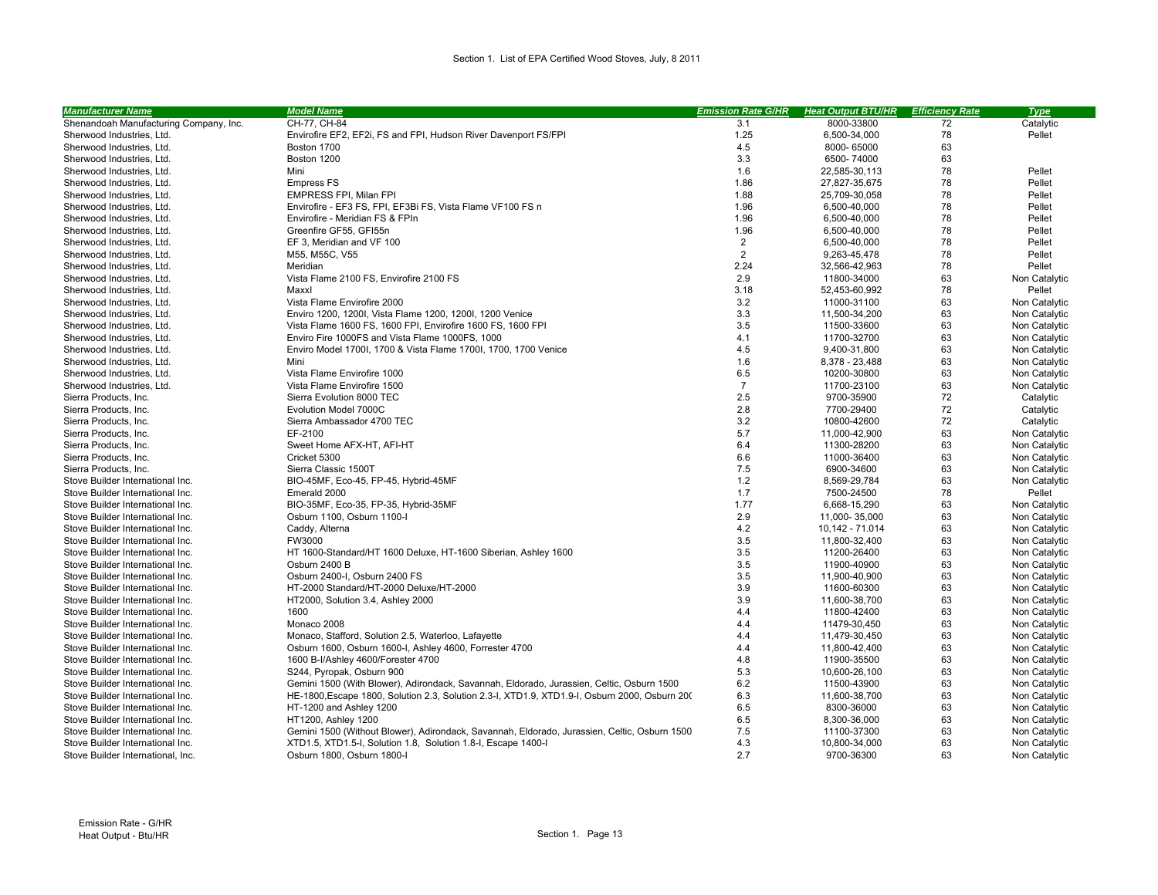| Shenandoah Manufacturing Company, Inc.<br>CH-77, CH-84<br>3.1<br>8000-33800<br>72<br>Catalytic<br>Envirofire EF2, EF2i, FS and FPI, Hudson River Davenport FS/FPI<br>1.25<br>78<br>Pellet<br>Sherwood Industries, Ltd.<br>6,500-34,000<br>4.5<br>63<br>Sherwood Industries, Ltd.<br>Boston 1700<br>8000-65000<br>Boston 1200<br>3.3<br>6500-74000<br>63<br>Sherwood Industries, Ltd.<br>1.6<br>78<br>Pellet<br>22,585-30,113<br>Sherwood Industries, Ltd.<br>Mini<br>1.86<br>78<br>Pellet<br>Sherwood Industries, Ltd.<br><b>Empress FS</b><br>27,827-35,675<br>78<br>EMPRESS FPI, Milan FPI<br>1.88<br>Pellet<br>Sherwood Industries, Ltd.<br>25,709-30,058<br>Envirofire - EF3 FS, FPI, EF3Bi FS, Vista Flame VF100 FS D<br>1.96<br>78<br>Pellet<br>Sherwood Industries, Ltd.<br>6,500-40,000<br>1.96<br>78<br>Pellet<br>Sherwood Industries, Ltd.<br>Envirofire - Meridian FS & FPID<br>6,500-40,000<br>78<br>Greenfire GF55, GFI55<br>1.96<br>Sherwood Industries, Ltd.<br>6,500-40,000<br>Pellet<br>$\overline{2}$<br>78<br>EF 3, Meridian and VF 100<br>6,500-40,000<br>Pellet<br>Sherwood Industries, Ltd.<br>2<br>78<br>Pellet<br>Sherwood Industries, Ltd.<br>M55, M55C, V55<br>9,263-45,478<br>2.24<br>78<br>Pellet<br>Sherwood Industries, Ltd.<br>Meridian<br>32,566-42,963<br>2.9<br>63<br>Vista Flame 2100 FS, Envirofire 2100 FS<br>11800-34000<br>Sherwood Industries, Ltd.<br>Non Catalytic<br>Sherwood Industries, Ltd.<br>3.18<br>52,453-60,992<br>78<br>Pellet<br>Maxxl<br>3.2<br>63<br>Vista Flame Envirofire 2000<br>Sherwood Industries, Ltd.<br>11000-31100<br>Non Catalytic<br>3.3<br>63<br>Enviro 1200, 1200I, Vista Flame 1200, 1200I, 1200 Venice<br>Non Catalytic<br>Sherwood Industries, Ltd.<br>11,500-34,200<br>3.5<br>63<br>Sherwood Industries, Ltd.<br>Vista Flame 1600 FS, 1600 FPI, Envirofire 1600 FS, 1600 FPI<br>11500-33600<br>Non Catalytic<br>4.1<br>63<br>Enviro Fire 1000FS and Vista Flame 1000FS, 1000<br>11700-32700<br>Non Catalytic<br>Sherwood Industries, Ltd.<br>4.5<br>63<br>Sherwood Industries, Ltd.<br>Enviro Model 1700I, 1700 & Vista Flame 1700I, 1700, 1700 Venice<br>9,400-31,800<br>Non Catalytic<br>1.6<br>63<br>Sherwood Industries, Ltd.<br>Mini<br>8,378 - 23,488<br>Non Catalytic<br>6.5<br>63<br>Sherwood Industries, Ltd.<br>Vista Flame Envirofire 1000<br>10200-30800<br>Non Catalytic<br>$\overline{7}$<br>63<br>Sherwood Industries, Ltd.<br>Vista Flame Envirofire 1500<br>11700-23100<br>Non Catalytic<br>2.5<br>72<br>Sierra Products, Inc.<br>Sierra Evolution 8000 TEC<br>9700-35900<br>Catalytic<br>Evolution Model 7000C<br>2.8<br>7700-29400<br>72<br>Sierra Products, Inc.<br>Catalytic<br>3.2<br>72<br>Sierra Ambassador 4700 TEC<br>10800-42600<br>Catalytic<br>Sierra Products, Inc.<br>5.7<br>63<br>EF-2100<br>Non Catalytic<br>Sierra Products, Inc.<br>11,000-42,900<br>6.4<br>63<br>11300-28200<br>Non Catalytic<br>Sierra Products, Inc.<br>Sweet Home AFX-HT, AFI-HT<br>Cricket 5300<br>6.6<br>11000-36400<br>63<br>Non Catalytic<br>Sierra Products, Inc.<br>7.5<br>6900-34600<br>63<br>Sierra Products, Inc.<br>Sierra Classic 1500T<br>Non Catalytic<br>1.2<br>63<br>BIO-45MF, Eco-45, FP-45, Hybrid-45MF<br>Stove Builder International Inc.<br>8,569-29,784<br>Non Catalytic<br>78<br>Stove Builder International Inc.<br>Emerald 2000<br>1.7<br>7500-24500<br>Pellet<br>1.77<br>63<br>BIO-35MF, Eco-35, FP-35, Hybrid-35MF<br>Stove Builder International Inc.<br>6.668-15.290<br>Non Catalytic<br>63<br>Osburn 1100, Osburn 1100-I<br>2.9<br>11,000-35,000<br>Non Catalytic<br>Stove Builder International Inc.<br>4.2<br>63<br>Stove Builder International Inc.<br>Caddy, Alterna<br>10,142 - 71.014<br>Non Catalytic<br>3.5<br>63<br>Stove Builder International Inc.<br>FW3000<br>11,800-32,400<br>Non Catalytic<br>3.5<br>63<br>HT 1600-Standard/HT 1600 Deluxe, HT-1600 Siberian, Ashley 1600<br>11200-26400<br>Non Catalytic<br>Stove Builder International Inc.<br>3.5<br>63<br>Stove Builder International Inc.<br>Osburn 2400 B<br>11900-40900<br>Non Catalytic<br>3.5<br>63<br>Stove Builder International Inc.<br>Osburn 2400-I, Osburn 2400 FS<br>11,900-40,900<br>Non Catalytic<br>3.9<br>63<br>Stove Builder International Inc.<br>HT-2000 Standard/HT-2000 Deluxe/HT-2000<br>11600-60300<br>Non Catalytic<br>3.9<br>63<br>Stove Builder International Inc.<br>HT2000, Solution 3.4, Ashley 2000<br>11,600-38,700<br>Non Catalytic<br>4.4<br>63<br>Stove Builder International Inc.<br>1600<br>11800-42400<br>Non Catalytic<br>4.4<br>63<br>Stove Builder International Inc.<br>Monaco 2008<br>11479-30,450<br>Non Catalytic<br>Monaco, Stafford, Solution 2.5, Waterloo, Lafayette<br>4.4<br>63<br>Stove Builder International Inc.<br>11,479-30,450<br>Non Catalytic<br>63<br>Osburn 1600, Osburn 1600-I, Ashley 4600, Forrester 4700<br>4.4<br>Non Catalytic<br>Stove Builder International Inc.<br>11,800-42,400<br>1600 B-I/Ashley 4600/Forester 4700<br>4.8<br>11900-35500<br>63<br>Non Catalytic<br>Stove Builder International Inc.<br>5.3<br>63<br>Stove Builder International Inc.<br>S244, Pyropak, Osburn 900<br>10,600-26,100<br>Non Catalytic<br>6.2<br>63<br>Gemini 1500 (With Blower), Adirondack, Savannah, Eldorado, Jurassien, Celtic, Osburn 1500<br>11500-43900<br>Non Catalytic<br>Stove Builder International Inc.<br>6.3<br>63<br>HE-1800, Escape 1800, Solution 2.3, Solution 2.3-I, XTD1.9, XTD1.9-I, Osburn 2000, Osburn 200<br>11,600-38,700<br>Non Catalytic<br>Stove Builder International Inc.<br>6.5<br>63<br>Stove Builder International Inc.<br>HT-1200 and Ashley 1200<br>8300-36000<br>Non Catalytic<br>6.5<br>63<br>HT1200, Ashley 1200<br>Non Catalytic<br>Stove Builder International Inc.<br>8,300-36,000<br>7.5<br>63<br>Gemini 1500 (Without Blower), Adirondack, Savannah, Eldorado, Jurassien, Celtic, Osburn 1500<br>Non Catalytic<br>Stove Builder International Inc.<br>11100-37300<br>4.3<br>63<br>Stove Builder International Inc.<br>XTD1.5, XTD1.5-I, Solution 1.8, Solution 1.8-I, Escape 1400-I<br>10,800-34,000<br>Non Catalytic<br>2.7<br>63<br>Osburn 1800, Osburn 1800-I<br>9700-36300<br>Stove Builder International, Inc.<br>Non Catalytic | <b>Manufacturer Name</b> | <b>Model Name</b> | <b>Emission Rate G/HR</b> | <b>Heat Output BTU/HR</b> | <b>Efficiency Rate</b> | <b>Type</b> |
|------------------------------------------------------------------------------------------------------------------------------------------------------------------------------------------------------------------------------------------------------------------------------------------------------------------------------------------------------------------------------------------------------------------------------------------------------------------------------------------------------------------------------------------------------------------------------------------------------------------------------------------------------------------------------------------------------------------------------------------------------------------------------------------------------------------------------------------------------------------------------------------------------------------------------------------------------------------------------------------------------------------------------------------------------------------------------------------------------------------------------------------------------------------------------------------------------------------------------------------------------------------------------------------------------------------------------------------------------------------------------------------------------------------------------------------------------------------------------------------------------------------------------------------------------------------------------------------------------------------------------------------------------------------------------------------------------------------------------------------------------------------------------------------------------------------------------------------------------------------------------------------------------------------------------------------------------------------------------------------------------------------------------------------------------------------------------------------------------------------------------------------------------------------------------------------------------------------------------------------------------------------------------------------------------------------------------------------------------------------------------------------------------------------------------------------------------------------------------------------------------------------------------------------------------------------------------------------------------------------------------------------------------------------------------------------------------------------------------------------------------------------------------------------------------------------------------------------------------------------------------------------------------------------------------------------------------------------------------------------------------------------------------------------------------------------------------------------------------------------------------------------------------------------------------------------------------------------------------------------------------------------------------------------------------------------------------------------------------------------------------------------------------------------------------------------------------------------------------------------------------------------------------------------------------------------------------------------------------------------------------------------------------------------------------------------------------------------------------------------------------------------------------------------------------------------------------------------------------------------------------------------------------------------------------------------------------------------------------------------------------------------------------------------------------------------------------------------------------------------------------------------------------------------------------------------------------------------------------------------------------------------------------------------------------------------------------------------------------------------------------------------------------------------------------------------------------------------------------------------------------------------------------------------------------------------------------------------------------------------------------------------------------------------------------------------------------------------------------------------------------------------------------------------------------------------------------------------------------------------------------------------------------------------------------------------------------------------------------------------------------------------------------------------------------------------------------------------------------------------------------------------------------------------------------------------------------------------------------------------------------------------------------------------------------------------------------------------------------------------------------------------------------------------------------------------------------------------------------------------------------------------------------------------------------------------------------------------------------------------------------------------------------------------------------------------------------------------------------------------------------------------------------------------------------------------------------------------------------------------------------------------------------------------------------------------------------------------------------------------------------------------------------------------------------------------------------------------------------------------------------------------------------------------------------------------------------------------------|--------------------------|-------------------|---------------------------|---------------------------|------------------------|-------------|
|                                                                                                                                                                                                                                                                                                                                                                                                                                                                                                                                                                                                                                                                                                                                                                                                                                                                                                                                                                                                                                                                                                                                                                                                                                                                                                                                                                                                                                                                                                                                                                                                                                                                                                                                                                                                                                                                                                                                                                                                                                                                                                                                                                                                                                                                                                                                                                                                                                                                                                                                                                                                                                                                                                                                                                                                                                                                                                                                                                                                                                                                                                                                                                                                                                                                                                                                                                                                                                                                                                                                                                                                                                                                                                                                                                                                                                                                                                                                                                                                                                                                                                                                                                                                                                                                                                                                                                                                                                                                                                                                                                                                                                                                                                                                                                                                                                                                                                                                                                                                                                                                                                                                                                                                                                                                                                                                                                                                                                                                                                                                                                                                                                                                                                                                                                                                                                                                                                                                                                                                                                                                                                                                                                                                                        |                          |                   |                           |                           |                        |             |
|                                                                                                                                                                                                                                                                                                                                                                                                                                                                                                                                                                                                                                                                                                                                                                                                                                                                                                                                                                                                                                                                                                                                                                                                                                                                                                                                                                                                                                                                                                                                                                                                                                                                                                                                                                                                                                                                                                                                                                                                                                                                                                                                                                                                                                                                                                                                                                                                                                                                                                                                                                                                                                                                                                                                                                                                                                                                                                                                                                                                                                                                                                                                                                                                                                                                                                                                                                                                                                                                                                                                                                                                                                                                                                                                                                                                                                                                                                                                                                                                                                                                                                                                                                                                                                                                                                                                                                                                                                                                                                                                                                                                                                                                                                                                                                                                                                                                                                                                                                                                                                                                                                                                                                                                                                                                                                                                                                                                                                                                                                                                                                                                                                                                                                                                                                                                                                                                                                                                                                                                                                                                                                                                                                                                                        |                          |                   |                           |                           |                        |             |
|                                                                                                                                                                                                                                                                                                                                                                                                                                                                                                                                                                                                                                                                                                                                                                                                                                                                                                                                                                                                                                                                                                                                                                                                                                                                                                                                                                                                                                                                                                                                                                                                                                                                                                                                                                                                                                                                                                                                                                                                                                                                                                                                                                                                                                                                                                                                                                                                                                                                                                                                                                                                                                                                                                                                                                                                                                                                                                                                                                                                                                                                                                                                                                                                                                                                                                                                                                                                                                                                                                                                                                                                                                                                                                                                                                                                                                                                                                                                                                                                                                                                                                                                                                                                                                                                                                                                                                                                                                                                                                                                                                                                                                                                                                                                                                                                                                                                                                                                                                                                                                                                                                                                                                                                                                                                                                                                                                                                                                                                                                                                                                                                                                                                                                                                                                                                                                                                                                                                                                                                                                                                                                                                                                                                                        |                          |                   |                           |                           |                        |             |
|                                                                                                                                                                                                                                                                                                                                                                                                                                                                                                                                                                                                                                                                                                                                                                                                                                                                                                                                                                                                                                                                                                                                                                                                                                                                                                                                                                                                                                                                                                                                                                                                                                                                                                                                                                                                                                                                                                                                                                                                                                                                                                                                                                                                                                                                                                                                                                                                                                                                                                                                                                                                                                                                                                                                                                                                                                                                                                                                                                                                                                                                                                                                                                                                                                                                                                                                                                                                                                                                                                                                                                                                                                                                                                                                                                                                                                                                                                                                                                                                                                                                                                                                                                                                                                                                                                                                                                                                                                                                                                                                                                                                                                                                                                                                                                                                                                                                                                                                                                                                                                                                                                                                                                                                                                                                                                                                                                                                                                                                                                                                                                                                                                                                                                                                                                                                                                                                                                                                                                                                                                                                                                                                                                                                                        |                          |                   |                           |                           |                        |             |
|                                                                                                                                                                                                                                                                                                                                                                                                                                                                                                                                                                                                                                                                                                                                                                                                                                                                                                                                                                                                                                                                                                                                                                                                                                                                                                                                                                                                                                                                                                                                                                                                                                                                                                                                                                                                                                                                                                                                                                                                                                                                                                                                                                                                                                                                                                                                                                                                                                                                                                                                                                                                                                                                                                                                                                                                                                                                                                                                                                                                                                                                                                                                                                                                                                                                                                                                                                                                                                                                                                                                                                                                                                                                                                                                                                                                                                                                                                                                                                                                                                                                                                                                                                                                                                                                                                                                                                                                                                                                                                                                                                                                                                                                                                                                                                                                                                                                                                                                                                                                                                                                                                                                                                                                                                                                                                                                                                                                                                                                                                                                                                                                                                                                                                                                                                                                                                                                                                                                                                                                                                                                                                                                                                                                                        |                          |                   |                           |                           |                        |             |
|                                                                                                                                                                                                                                                                                                                                                                                                                                                                                                                                                                                                                                                                                                                                                                                                                                                                                                                                                                                                                                                                                                                                                                                                                                                                                                                                                                                                                                                                                                                                                                                                                                                                                                                                                                                                                                                                                                                                                                                                                                                                                                                                                                                                                                                                                                                                                                                                                                                                                                                                                                                                                                                                                                                                                                                                                                                                                                                                                                                                                                                                                                                                                                                                                                                                                                                                                                                                                                                                                                                                                                                                                                                                                                                                                                                                                                                                                                                                                                                                                                                                                                                                                                                                                                                                                                                                                                                                                                                                                                                                                                                                                                                                                                                                                                                                                                                                                                                                                                                                                                                                                                                                                                                                                                                                                                                                                                                                                                                                                                                                                                                                                                                                                                                                                                                                                                                                                                                                                                                                                                                                                                                                                                                                                        |                          |                   |                           |                           |                        |             |
|                                                                                                                                                                                                                                                                                                                                                                                                                                                                                                                                                                                                                                                                                                                                                                                                                                                                                                                                                                                                                                                                                                                                                                                                                                                                                                                                                                                                                                                                                                                                                                                                                                                                                                                                                                                                                                                                                                                                                                                                                                                                                                                                                                                                                                                                                                                                                                                                                                                                                                                                                                                                                                                                                                                                                                                                                                                                                                                                                                                                                                                                                                                                                                                                                                                                                                                                                                                                                                                                                                                                                                                                                                                                                                                                                                                                                                                                                                                                                                                                                                                                                                                                                                                                                                                                                                                                                                                                                                                                                                                                                                                                                                                                                                                                                                                                                                                                                                                                                                                                                                                                                                                                                                                                                                                                                                                                                                                                                                                                                                                                                                                                                                                                                                                                                                                                                                                                                                                                                                                                                                                                                                                                                                                                                        |                          |                   |                           |                           |                        |             |
|                                                                                                                                                                                                                                                                                                                                                                                                                                                                                                                                                                                                                                                                                                                                                                                                                                                                                                                                                                                                                                                                                                                                                                                                                                                                                                                                                                                                                                                                                                                                                                                                                                                                                                                                                                                                                                                                                                                                                                                                                                                                                                                                                                                                                                                                                                                                                                                                                                                                                                                                                                                                                                                                                                                                                                                                                                                                                                                                                                                                                                                                                                                                                                                                                                                                                                                                                                                                                                                                                                                                                                                                                                                                                                                                                                                                                                                                                                                                                                                                                                                                                                                                                                                                                                                                                                                                                                                                                                                                                                                                                                                                                                                                                                                                                                                                                                                                                                                                                                                                                                                                                                                                                                                                                                                                                                                                                                                                                                                                                                                                                                                                                                                                                                                                                                                                                                                                                                                                                                                                                                                                                                                                                                                                                        |                          |                   |                           |                           |                        |             |
|                                                                                                                                                                                                                                                                                                                                                                                                                                                                                                                                                                                                                                                                                                                                                                                                                                                                                                                                                                                                                                                                                                                                                                                                                                                                                                                                                                                                                                                                                                                                                                                                                                                                                                                                                                                                                                                                                                                                                                                                                                                                                                                                                                                                                                                                                                                                                                                                                                                                                                                                                                                                                                                                                                                                                                                                                                                                                                                                                                                                                                                                                                                                                                                                                                                                                                                                                                                                                                                                                                                                                                                                                                                                                                                                                                                                                                                                                                                                                                                                                                                                                                                                                                                                                                                                                                                                                                                                                                                                                                                                                                                                                                                                                                                                                                                                                                                                                                                                                                                                                                                                                                                                                                                                                                                                                                                                                                                                                                                                                                                                                                                                                                                                                                                                                                                                                                                                                                                                                                                                                                                                                                                                                                                                                        |                          |                   |                           |                           |                        |             |
|                                                                                                                                                                                                                                                                                                                                                                                                                                                                                                                                                                                                                                                                                                                                                                                                                                                                                                                                                                                                                                                                                                                                                                                                                                                                                                                                                                                                                                                                                                                                                                                                                                                                                                                                                                                                                                                                                                                                                                                                                                                                                                                                                                                                                                                                                                                                                                                                                                                                                                                                                                                                                                                                                                                                                                                                                                                                                                                                                                                                                                                                                                                                                                                                                                                                                                                                                                                                                                                                                                                                                                                                                                                                                                                                                                                                                                                                                                                                                                                                                                                                                                                                                                                                                                                                                                                                                                                                                                                                                                                                                                                                                                                                                                                                                                                                                                                                                                                                                                                                                                                                                                                                                                                                                                                                                                                                                                                                                                                                                                                                                                                                                                                                                                                                                                                                                                                                                                                                                                                                                                                                                                                                                                                                                        |                          |                   |                           |                           |                        |             |
|                                                                                                                                                                                                                                                                                                                                                                                                                                                                                                                                                                                                                                                                                                                                                                                                                                                                                                                                                                                                                                                                                                                                                                                                                                                                                                                                                                                                                                                                                                                                                                                                                                                                                                                                                                                                                                                                                                                                                                                                                                                                                                                                                                                                                                                                                                                                                                                                                                                                                                                                                                                                                                                                                                                                                                                                                                                                                                                                                                                                                                                                                                                                                                                                                                                                                                                                                                                                                                                                                                                                                                                                                                                                                                                                                                                                                                                                                                                                                                                                                                                                                                                                                                                                                                                                                                                                                                                                                                                                                                                                                                                                                                                                                                                                                                                                                                                                                                                                                                                                                                                                                                                                                                                                                                                                                                                                                                                                                                                                                                                                                                                                                                                                                                                                                                                                                                                                                                                                                                                                                                                                                                                                                                                                                        |                          |                   |                           |                           |                        |             |
|                                                                                                                                                                                                                                                                                                                                                                                                                                                                                                                                                                                                                                                                                                                                                                                                                                                                                                                                                                                                                                                                                                                                                                                                                                                                                                                                                                                                                                                                                                                                                                                                                                                                                                                                                                                                                                                                                                                                                                                                                                                                                                                                                                                                                                                                                                                                                                                                                                                                                                                                                                                                                                                                                                                                                                                                                                                                                                                                                                                                                                                                                                                                                                                                                                                                                                                                                                                                                                                                                                                                                                                                                                                                                                                                                                                                                                                                                                                                                                                                                                                                                                                                                                                                                                                                                                                                                                                                                                                                                                                                                                                                                                                                                                                                                                                                                                                                                                                                                                                                                                                                                                                                                                                                                                                                                                                                                                                                                                                                                                                                                                                                                                                                                                                                                                                                                                                                                                                                                                                                                                                                                                                                                                                                                        |                          |                   |                           |                           |                        |             |
|                                                                                                                                                                                                                                                                                                                                                                                                                                                                                                                                                                                                                                                                                                                                                                                                                                                                                                                                                                                                                                                                                                                                                                                                                                                                                                                                                                                                                                                                                                                                                                                                                                                                                                                                                                                                                                                                                                                                                                                                                                                                                                                                                                                                                                                                                                                                                                                                                                                                                                                                                                                                                                                                                                                                                                                                                                                                                                                                                                                                                                                                                                                                                                                                                                                                                                                                                                                                                                                                                                                                                                                                                                                                                                                                                                                                                                                                                                                                                                                                                                                                                                                                                                                                                                                                                                                                                                                                                                                                                                                                                                                                                                                                                                                                                                                                                                                                                                                                                                                                                                                                                                                                                                                                                                                                                                                                                                                                                                                                                                                                                                                                                                                                                                                                                                                                                                                                                                                                                                                                                                                                                                                                                                                                                        |                          |                   |                           |                           |                        |             |
|                                                                                                                                                                                                                                                                                                                                                                                                                                                                                                                                                                                                                                                                                                                                                                                                                                                                                                                                                                                                                                                                                                                                                                                                                                                                                                                                                                                                                                                                                                                                                                                                                                                                                                                                                                                                                                                                                                                                                                                                                                                                                                                                                                                                                                                                                                                                                                                                                                                                                                                                                                                                                                                                                                                                                                                                                                                                                                                                                                                                                                                                                                                                                                                                                                                                                                                                                                                                                                                                                                                                                                                                                                                                                                                                                                                                                                                                                                                                                                                                                                                                                                                                                                                                                                                                                                                                                                                                                                                                                                                                                                                                                                                                                                                                                                                                                                                                                                                                                                                                                                                                                                                                                                                                                                                                                                                                                                                                                                                                                                                                                                                                                                                                                                                                                                                                                                                                                                                                                                                                                                                                                                                                                                                                                        |                          |                   |                           |                           |                        |             |
|                                                                                                                                                                                                                                                                                                                                                                                                                                                                                                                                                                                                                                                                                                                                                                                                                                                                                                                                                                                                                                                                                                                                                                                                                                                                                                                                                                                                                                                                                                                                                                                                                                                                                                                                                                                                                                                                                                                                                                                                                                                                                                                                                                                                                                                                                                                                                                                                                                                                                                                                                                                                                                                                                                                                                                                                                                                                                                                                                                                                                                                                                                                                                                                                                                                                                                                                                                                                                                                                                                                                                                                                                                                                                                                                                                                                                                                                                                                                                                                                                                                                                                                                                                                                                                                                                                                                                                                                                                                                                                                                                                                                                                                                                                                                                                                                                                                                                                                                                                                                                                                                                                                                                                                                                                                                                                                                                                                                                                                                                                                                                                                                                                                                                                                                                                                                                                                                                                                                                                                                                                                                                                                                                                                                                        |                          |                   |                           |                           |                        |             |
|                                                                                                                                                                                                                                                                                                                                                                                                                                                                                                                                                                                                                                                                                                                                                                                                                                                                                                                                                                                                                                                                                                                                                                                                                                                                                                                                                                                                                                                                                                                                                                                                                                                                                                                                                                                                                                                                                                                                                                                                                                                                                                                                                                                                                                                                                                                                                                                                                                                                                                                                                                                                                                                                                                                                                                                                                                                                                                                                                                                                                                                                                                                                                                                                                                                                                                                                                                                                                                                                                                                                                                                                                                                                                                                                                                                                                                                                                                                                                                                                                                                                                                                                                                                                                                                                                                                                                                                                                                                                                                                                                                                                                                                                                                                                                                                                                                                                                                                                                                                                                                                                                                                                                                                                                                                                                                                                                                                                                                                                                                                                                                                                                                                                                                                                                                                                                                                                                                                                                                                                                                                                                                                                                                                                                        |                          |                   |                           |                           |                        |             |
|                                                                                                                                                                                                                                                                                                                                                                                                                                                                                                                                                                                                                                                                                                                                                                                                                                                                                                                                                                                                                                                                                                                                                                                                                                                                                                                                                                                                                                                                                                                                                                                                                                                                                                                                                                                                                                                                                                                                                                                                                                                                                                                                                                                                                                                                                                                                                                                                                                                                                                                                                                                                                                                                                                                                                                                                                                                                                                                                                                                                                                                                                                                                                                                                                                                                                                                                                                                                                                                                                                                                                                                                                                                                                                                                                                                                                                                                                                                                                                                                                                                                                                                                                                                                                                                                                                                                                                                                                                                                                                                                                                                                                                                                                                                                                                                                                                                                                                                                                                                                                                                                                                                                                                                                                                                                                                                                                                                                                                                                                                                                                                                                                                                                                                                                                                                                                                                                                                                                                                                                                                                                                                                                                                                                                        |                          |                   |                           |                           |                        |             |
|                                                                                                                                                                                                                                                                                                                                                                                                                                                                                                                                                                                                                                                                                                                                                                                                                                                                                                                                                                                                                                                                                                                                                                                                                                                                                                                                                                                                                                                                                                                                                                                                                                                                                                                                                                                                                                                                                                                                                                                                                                                                                                                                                                                                                                                                                                                                                                                                                                                                                                                                                                                                                                                                                                                                                                                                                                                                                                                                                                                                                                                                                                                                                                                                                                                                                                                                                                                                                                                                                                                                                                                                                                                                                                                                                                                                                                                                                                                                                                                                                                                                                                                                                                                                                                                                                                                                                                                                                                                                                                                                                                                                                                                                                                                                                                                                                                                                                                                                                                                                                                                                                                                                                                                                                                                                                                                                                                                                                                                                                                                                                                                                                                                                                                                                                                                                                                                                                                                                                                                                                                                                                                                                                                                                                        |                          |                   |                           |                           |                        |             |
|                                                                                                                                                                                                                                                                                                                                                                                                                                                                                                                                                                                                                                                                                                                                                                                                                                                                                                                                                                                                                                                                                                                                                                                                                                                                                                                                                                                                                                                                                                                                                                                                                                                                                                                                                                                                                                                                                                                                                                                                                                                                                                                                                                                                                                                                                                                                                                                                                                                                                                                                                                                                                                                                                                                                                                                                                                                                                                                                                                                                                                                                                                                                                                                                                                                                                                                                                                                                                                                                                                                                                                                                                                                                                                                                                                                                                                                                                                                                                                                                                                                                                                                                                                                                                                                                                                                                                                                                                                                                                                                                                                                                                                                                                                                                                                                                                                                                                                                                                                                                                                                                                                                                                                                                                                                                                                                                                                                                                                                                                                                                                                                                                                                                                                                                                                                                                                                                                                                                                                                                                                                                                                                                                                                                                        |                          |                   |                           |                           |                        |             |
|                                                                                                                                                                                                                                                                                                                                                                                                                                                                                                                                                                                                                                                                                                                                                                                                                                                                                                                                                                                                                                                                                                                                                                                                                                                                                                                                                                                                                                                                                                                                                                                                                                                                                                                                                                                                                                                                                                                                                                                                                                                                                                                                                                                                                                                                                                                                                                                                                                                                                                                                                                                                                                                                                                                                                                                                                                                                                                                                                                                                                                                                                                                                                                                                                                                                                                                                                                                                                                                                                                                                                                                                                                                                                                                                                                                                                                                                                                                                                                                                                                                                                                                                                                                                                                                                                                                                                                                                                                                                                                                                                                                                                                                                                                                                                                                                                                                                                                                                                                                                                                                                                                                                                                                                                                                                                                                                                                                                                                                                                                                                                                                                                                                                                                                                                                                                                                                                                                                                                                                                                                                                                                                                                                                                                        |                          |                   |                           |                           |                        |             |
|                                                                                                                                                                                                                                                                                                                                                                                                                                                                                                                                                                                                                                                                                                                                                                                                                                                                                                                                                                                                                                                                                                                                                                                                                                                                                                                                                                                                                                                                                                                                                                                                                                                                                                                                                                                                                                                                                                                                                                                                                                                                                                                                                                                                                                                                                                                                                                                                                                                                                                                                                                                                                                                                                                                                                                                                                                                                                                                                                                                                                                                                                                                                                                                                                                                                                                                                                                                                                                                                                                                                                                                                                                                                                                                                                                                                                                                                                                                                                                                                                                                                                                                                                                                                                                                                                                                                                                                                                                                                                                                                                                                                                                                                                                                                                                                                                                                                                                                                                                                                                                                                                                                                                                                                                                                                                                                                                                                                                                                                                                                                                                                                                                                                                                                                                                                                                                                                                                                                                                                                                                                                                                                                                                                                                        |                          |                   |                           |                           |                        |             |
|                                                                                                                                                                                                                                                                                                                                                                                                                                                                                                                                                                                                                                                                                                                                                                                                                                                                                                                                                                                                                                                                                                                                                                                                                                                                                                                                                                                                                                                                                                                                                                                                                                                                                                                                                                                                                                                                                                                                                                                                                                                                                                                                                                                                                                                                                                                                                                                                                                                                                                                                                                                                                                                                                                                                                                                                                                                                                                                                                                                                                                                                                                                                                                                                                                                                                                                                                                                                                                                                                                                                                                                                                                                                                                                                                                                                                                                                                                                                                                                                                                                                                                                                                                                                                                                                                                                                                                                                                                                                                                                                                                                                                                                                                                                                                                                                                                                                                                                                                                                                                                                                                                                                                                                                                                                                                                                                                                                                                                                                                                                                                                                                                                                                                                                                                                                                                                                                                                                                                                                                                                                                                                                                                                                                                        |                          |                   |                           |                           |                        |             |
|                                                                                                                                                                                                                                                                                                                                                                                                                                                                                                                                                                                                                                                                                                                                                                                                                                                                                                                                                                                                                                                                                                                                                                                                                                                                                                                                                                                                                                                                                                                                                                                                                                                                                                                                                                                                                                                                                                                                                                                                                                                                                                                                                                                                                                                                                                                                                                                                                                                                                                                                                                                                                                                                                                                                                                                                                                                                                                                                                                                                                                                                                                                                                                                                                                                                                                                                                                                                                                                                                                                                                                                                                                                                                                                                                                                                                                                                                                                                                                                                                                                                                                                                                                                                                                                                                                                                                                                                                                                                                                                                                                                                                                                                                                                                                                                                                                                                                                                                                                                                                                                                                                                                                                                                                                                                                                                                                                                                                                                                                                                                                                                                                                                                                                                                                                                                                                                                                                                                                                                                                                                                                                                                                                                                                        |                          |                   |                           |                           |                        |             |
|                                                                                                                                                                                                                                                                                                                                                                                                                                                                                                                                                                                                                                                                                                                                                                                                                                                                                                                                                                                                                                                                                                                                                                                                                                                                                                                                                                                                                                                                                                                                                                                                                                                                                                                                                                                                                                                                                                                                                                                                                                                                                                                                                                                                                                                                                                                                                                                                                                                                                                                                                                                                                                                                                                                                                                                                                                                                                                                                                                                                                                                                                                                                                                                                                                                                                                                                                                                                                                                                                                                                                                                                                                                                                                                                                                                                                                                                                                                                                                                                                                                                                                                                                                                                                                                                                                                                                                                                                                                                                                                                                                                                                                                                                                                                                                                                                                                                                                                                                                                                                                                                                                                                                                                                                                                                                                                                                                                                                                                                                                                                                                                                                                                                                                                                                                                                                                                                                                                                                                                                                                                                                                                                                                                                                        |                          |                   |                           |                           |                        |             |
|                                                                                                                                                                                                                                                                                                                                                                                                                                                                                                                                                                                                                                                                                                                                                                                                                                                                                                                                                                                                                                                                                                                                                                                                                                                                                                                                                                                                                                                                                                                                                                                                                                                                                                                                                                                                                                                                                                                                                                                                                                                                                                                                                                                                                                                                                                                                                                                                                                                                                                                                                                                                                                                                                                                                                                                                                                                                                                                                                                                                                                                                                                                                                                                                                                                                                                                                                                                                                                                                                                                                                                                                                                                                                                                                                                                                                                                                                                                                                                                                                                                                                                                                                                                                                                                                                                                                                                                                                                                                                                                                                                                                                                                                                                                                                                                                                                                                                                                                                                                                                                                                                                                                                                                                                                                                                                                                                                                                                                                                                                                                                                                                                                                                                                                                                                                                                                                                                                                                                                                                                                                                                                                                                                                                                        |                          |                   |                           |                           |                        |             |
|                                                                                                                                                                                                                                                                                                                                                                                                                                                                                                                                                                                                                                                                                                                                                                                                                                                                                                                                                                                                                                                                                                                                                                                                                                                                                                                                                                                                                                                                                                                                                                                                                                                                                                                                                                                                                                                                                                                                                                                                                                                                                                                                                                                                                                                                                                                                                                                                                                                                                                                                                                                                                                                                                                                                                                                                                                                                                                                                                                                                                                                                                                                                                                                                                                                                                                                                                                                                                                                                                                                                                                                                                                                                                                                                                                                                                                                                                                                                                                                                                                                                                                                                                                                                                                                                                                                                                                                                                                                                                                                                                                                                                                                                                                                                                                                                                                                                                                                                                                                                                                                                                                                                                                                                                                                                                                                                                                                                                                                                                                                                                                                                                                                                                                                                                                                                                                                                                                                                                                                                                                                                                                                                                                                                                        |                          |                   |                           |                           |                        |             |
|                                                                                                                                                                                                                                                                                                                                                                                                                                                                                                                                                                                                                                                                                                                                                                                                                                                                                                                                                                                                                                                                                                                                                                                                                                                                                                                                                                                                                                                                                                                                                                                                                                                                                                                                                                                                                                                                                                                                                                                                                                                                                                                                                                                                                                                                                                                                                                                                                                                                                                                                                                                                                                                                                                                                                                                                                                                                                                                                                                                                                                                                                                                                                                                                                                                                                                                                                                                                                                                                                                                                                                                                                                                                                                                                                                                                                                                                                                                                                                                                                                                                                                                                                                                                                                                                                                                                                                                                                                                                                                                                                                                                                                                                                                                                                                                                                                                                                                                                                                                                                                                                                                                                                                                                                                                                                                                                                                                                                                                                                                                                                                                                                                                                                                                                                                                                                                                                                                                                                                                                                                                                                                                                                                                                                        |                          |                   |                           |                           |                        |             |
|                                                                                                                                                                                                                                                                                                                                                                                                                                                                                                                                                                                                                                                                                                                                                                                                                                                                                                                                                                                                                                                                                                                                                                                                                                                                                                                                                                                                                                                                                                                                                                                                                                                                                                                                                                                                                                                                                                                                                                                                                                                                                                                                                                                                                                                                                                                                                                                                                                                                                                                                                                                                                                                                                                                                                                                                                                                                                                                                                                                                                                                                                                                                                                                                                                                                                                                                                                                                                                                                                                                                                                                                                                                                                                                                                                                                                                                                                                                                                                                                                                                                                                                                                                                                                                                                                                                                                                                                                                                                                                                                                                                                                                                                                                                                                                                                                                                                                                                                                                                                                                                                                                                                                                                                                                                                                                                                                                                                                                                                                                                                                                                                                                                                                                                                                                                                                                                                                                                                                                                                                                                                                                                                                                                                                        |                          |                   |                           |                           |                        |             |
|                                                                                                                                                                                                                                                                                                                                                                                                                                                                                                                                                                                                                                                                                                                                                                                                                                                                                                                                                                                                                                                                                                                                                                                                                                                                                                                                                                                                                                                                                                                                                                                                                                                                                                                                                                                                                                                                                                                                                                                                                                                                                                                                                                                                                                                                                                                                                                                                                                                                                                                                                                                                                                                                                                                                                                                                                                                                                                                                                                                                                                                                                                                                                                                                                                                                                                                                                                                                                                                                                                                                                                                                                                                                                                                                                                                                                                                                                                                                                                                                                                                                                                                                                                                                                                                                                                                                                                                                                                                                                                                                                                                                                                                                                                                                                                                                                                                                                                                                                                                                                                                                                                                                                                                                                                                                                                                                                                                                                                                                                                                                                                                                                                                                                                                                                                                                                                                                                                                                                                                                                                                                                                                                                                                                                        |                          |                   |                           |                           |                        |             |
|                                                                                                                                                                                                                                                                                                                                                                                                                                                                                                                                                                                                                                                                                                                                                                                                                                                                                                                                                                                                                                                                                                                                                                                                                                                                                                                                                                                                                                                                                                                                                                                                                                                                                                                                                                                                                                                                                                                                                                                                                                                                                                                                                                                                                                                                                                                                                                                                                                                                                                                                                                                                                                                                                                                                                                                                                                                                                                                                                                                                                                                                                                                                                                                                                                                                                                                                                                                                                                                                                                                                                                                                                                                                                                                                                                                                                                                                                                                                                                                                                                                                                                                                                                                                                                                                                                                                                                                                                                                                                                                                                                                                                                                                                                                                                                                                                                                                                                                                                                                                                                                                                                                                                                                                                                                                                                                                                                                                                                                                                                                                                                                                                                                                                                                                                                                                                                                                                                                                                                                                                                                                                                                                                                                                                        |                          |                   |                           |                           |                        |             |
|                                                                                                                                                                                                                                                                                                                                                                                                                                                                                                                                                                                                                                                                                                                                                                                                                                                                                                                                                                                                                                                                                                                                                                                                                                                                                                                                                                                                                                                                                                                                                                                                                                                                                                                                                                                                                                                                                                                                                                                                                                                                                                                                                                                                                                                                                                                                                                                                                                                                                                                                                                                                                                                                                                                                                                                                                                                                                                                                                                                                                                                                                                                                                                                                                                                                                                                                                                                                                                                                                                                                                                                                                                                                                                                                                                                                                                                                                                                                                                                                                                                                                                                                                                                                                                                                                                                                                                                                                                                                                                                                                                                                                                                                                                                                                                                                                                                                                                                                                                                                                                                                                                                                                                                                                                                                                                                                                                                                                                                                                                                                                                                                                                                                                                                                                                                                                                                                                                                                                                                                                                                                                                                                                                                                                        |                          |                   |                           |                           |                        |             |
|                                                                                                                                                                                                                                                                                                                                                                                                                                                                                                                                                                                                                                                                                                                                                                                                                                                                                                                                                                                                                                                                                                                                                                                                                                                                                                                                                                                                                                                                                                                                                                                                                                                                                                                                                                                                                                                                                                                                                                                                                                                                                                                                                                                                                                                                                                                                                                                                                                                                                                                                                                                                                                                                                                                                                                                                                                                                                                                                                                                                                                                                                                                                                                                                                                                                                                                                                                                                                                                                                                                                                                                                                                                                                                                                                                                                                                                                                                                                                                                                                                                                                                                                                                                                                                                                                                                                                                                                                                                                                                                                                                                                                                                                                                                                                                                                                                                                                                                                                                                                                                                                                                                                                                                                                                                                                                                                                                                                                                                                                                                                                                                                                                                                                                                                                                                                                                                                                                                                                                                                                                                                                                                                                                                                                        |                          |                   |                           |                           |                        |             |
|                                                                                                                                                                                                                                                                                                                                                                                                                                                                                                                                                                                                                                                                                                                                                                                                                                                                                                                                                                                                                                                                                                                                                                                                                                                                                                                                                                                                                                                                                                                                                                                                                                                                                                                                                                                                                                                                                                                                                                                                                                                                                                                                                                                                                                                                                                                                                                                                                                                                                                                                                                                                                                                                                                                                                                                                                                                                                                                                                                                                                                                                                                                                                                                                                                                                                                                                                                                                                                                                                                                                                                                                                                                                                                                                                                                                                                                                                                                                                                                                                                                                                                                                                                                                                                                                                                                                                                                                                                                                                                                                                                                                                                                                                                                                                                                                                                                                                                                                                                                                                                                                                                                                                                                                                                                                                                                                                                                                                                                                                                                                                                                                                                                                                                                                                                                                                                                                                                                                                                                                                                                                                                                                                                                                                        |                          |                   |                           |                           |                        |             |
|                                                                                                                                                                                                                                                                                                                                                                                                                                                                                                                                                                                                                                                                                                                                                                                                                                                                                                                                                                                                                                                                                                                                                                                                                                                                                                                                                                                                                                                                                                                                                                                                                                                                                                                                                                                                                                                                                                                                                                                                                                                                                                                                                                                                                                                                                                                                                                                                                                                                                                                                                                                                                                                                                                                                                                                                                                                                                                                                                                                                                                                                                                                                                                                                                                                                                                                                                                                                                                                                                                                                                                                                                                                                                                                                                                                                                                                                                                                                                                                                                                                                                                                                                                                                                                                                                                                                                                                                                                                                                                                                                                                                                                                                                                                                                                                                                                                                                                                                                                                                                                                                                                                                                                                                                                                                                                                                                                                                                                                                                                                                                                                                                                                                                                                                                                                                                                                                                                                                                                                                                                                                                                                                                                                                                        |                          |                   |                           |                           |                        |             |
|                                                                                                                                                                                                                                                                                                                                                                                                                                                                                                                                                                                                                                                                                                                                                                                                                                                                                                                                                                                                                                                                                                                                                                                                                                                                                                                                                                                                                                                                                                                                                                                                                                                                                                                                                                                                                                                                                                                                                                                                                                                                                                                                                                                                                                                                                                                                                                                                                                                                                                                                                                                                                                                                                                                                                                                                                                                                                                                                                                                                                                                                                                                                                                                                                                                                                                                                                                                                                                                                                                                                                                                                                                                                                                                                                                                                                                                                                                                                                                                                                                                                                                                                                                                                                                                                                                                                                                                                                                                                                                                                                                                                                                                                                                                                                                                                                                                                                                                                                                                                                                                                                                                                                                                                                                                                                                                                                                                                                                                                                                                                                                                                                                                                                                                                                                                                                                                                                                                                                                                                                                                                                                                                                                                                                        |                          |                   |                           |                           |                        |             |
|                                                                                                                                                                                                                                                                                                                                                                                                                                                                                                                                                                                                                                                                                                                                                                                                                                                                                                                                                                                                                                                                                                                                                                                                                                                                                                                                                                                                                                                                                                                                                                                                                                                                                                                                                                                                                                                                                                                                                                                                                                                                                                                                                                                                                                                                                                                                                                                                                                                                                                                                                                                                                                                                                                                                                                                                                                                                                                                                                                                                                                                                                                                                                                                                                                                                                                                                                                                                                                                                                                                                                                                                                                                                                                                                                                                                                                                                                                                                                                                                                                                                                                                                                                                                                                                                                                                                                                                                                                                                                                                                                                                                                                                                                                                                                                                                                                                                                                                                                                                                                                                                                                                                                                                                                                                                                                                                                                                                                                                                                                                                                                                                                                                                                                                                                                                                                                                                                                                                                                                                                                                                                                                                                                                                                        |                          |                   |                           |                           |                        |             |
|                                                                                                                                                                                                                                                                                                                                                                                                                                                                                                                                                                                                                                                                                                                                                                                                                                                                                                                                                                                                                                                                                                                                                                                                                                                                                                                                                                                                                                                                                                                                                                                                                                                                                                                                                                                                                                                                                                                                                                                                                                                                                                                                                                                                                                                                                                                                                                                                                                                                                                                                                                                                                                                                                                                                                                                                                                                                                                                                                                                                                                                                                                                                                                                                                                                                                                                                                                                                                                                                                                                                                                                                                                                                                                                                                                                                                                                                                                                                                                                                                                                                                                                                                                                                                                                                                                                                                                                                                                                                                                                                                                                                                                                                                                                                                                                                                                                                                                                                                                                                                                                                                                                                                                                                                                                                                                                                                                                                                                                                                                                                                                                                                                                                                                                                                                                                                                                                                                                                                                                                                                                                                                                                                                                                                        |                          |                   |                           |                           |                        |             |
|                                                                                                                                                                                                                                                                                                                                                                                                                                                                                                                                                                                                                                                                                                                                                                                                                                                                                                                                                                                                                                                                                                                                                                                                                                                                                                                                                                                                                                                                                                                                                                                                                                                                                                                                                                                                                                                                                                                                                                                                                                                                                                                                                                                                                                                                                                                                                                                                                                                                                                                                                                                                                                                                                                                                                                                                                                                                                                                                                                                                                                                                                                                                                                                                                                                                                                                                                                                                                                                                                                                                                                                                                                                                                                                                                                                                                                                                                                                                                                                                                                                                                                                                                                                                                                                                                                                                                                                                                                                                                                                                                                                                                                                                                                                                                                                                                                                                                                                                                                                                                                                                                                                                                                                                                                                                                                                                                                                                                                                                                                                                                                                                                                                                                                                                                                                                                                                                                                                                                                                                                                                                                                                                                                                                                        |                          |                   |                           |                           |                        |             |
|                                                                                                                                                                                                                                                                                                                                                                                                                                                                                                                                                                                                                                                                                                                                                                                                                                                                                                                                                                                                                                                                                                                                                                                                                                                                                                                                                                                                                                                                                                                                                                                                                                                                                                                                                                                                                                                                                                                                                                                                                                                                                                                                                                                                                                                                                                                                                                                                                                                                                                                                                                                                                                                                                                                                                                                                                                                                                                                                                                                                                                                                                                                                                                                                                                                                                                                                                                                                                                                                                                                                                                                                                                                                                                                                                                                                                                                                                                                                                                                                                                                                                                                                                                                                                                                                                                                                                                                                                                                                                                                                                                                                                                                                                                                                                                                                                                                                                                                                                                                                                                                                                                                                                                                                                                                                                                                                                                                                                                                                                                                                                                                                                                                                                                                                                                                                                                                                                                                                                                                                                                                                                                                                                                                                                        |                          |                   |                           |                           |                        |             |
|                                                                                                                                                                                                                                                                                                                                                                                                                                                                                                                                                                                                                                                                                                                                                                                                                                                                                                                                                                                                                                                                                                                                                                                                                                                                                                                                                                                                                                                                                                                                                                                                                                                                                                                                                                                                                                                                                                                                                                                                                                                                                                                                                                                                                                                                                                                                                                                                                                                                                                                                                                                                                                                                                                                                                                                                                                                                                                                                                                                                                                                                                                                                                                                                                                                                                                                                                                                                                                                                                                                                                                                                                                                                                                                                                                                                                                                                                                                                                                                                                                                                                                                                                                                                                                                                                                                                                                                                                                                                                                                                                                                                                                                                                                                                                                                                                                                                                                                                                                                                                                                                                                                                                                                                                                                                                                                                                                                                                                                                                                                                                                                                                                                                                                                                                                                                                                                                                                                                                                                                                                                                                                                                                                                                                        |                          |                   |                           |                           |                        |             |
|                                                                                                                                                                                                                                                                                                                                                                                                                                                                                                                                                                                                                                                                                                                                                                                                                                                                                                                                                                                                                                                                                                                                                                                                                                                                                                                                                                                                                                                                                                                                                                                                                                                                                                                                                                                                                                                                                                                                                                                                                                                                                                                                                                                                                                                                                                                                                                                                                                                                                                                                                                                                                                                                                                                                                                                                                                                                                                                                                                                                                                                                                                                                                                                                                                                                                                                                                                                                                                                                                                                                                                                                                                                                                                                                                                                                                                                                                                                                                                                                                                                                                                                                                                                                                                                                                                                                                                                                                                                                                                                                                                                                                                                                                                                                                                                                                                                                                                                                                                                                                                                                                                                                                                                                                                                                                                                                                                                                                                                                                                                                                                                                                                                                                                                                                                                                                                                                                                                                                                                                                                                                                                                                                                                                                        |                          |                   |                           |                           |                        |             |
|                                                                                                                                                                                                                                                                                                                                                                                                                                                                                                                                                                                                                                                                                                                                                                                                                                                                                                                                                                                                                                                                                                                                                                                                                                                                                                                                                                                                                                                                                                                                                                                                                                                                                                                                                                                                                                                                                                                                                                                                                                                                                                                                                                                                                                                                                                                                                                                                                                                                                                                                                                                                                                                                                                                                                                                                                                                                                                                                                                                                                                                                                                                                                                                                                                                                                                                                                                                                                                                                                                                                                                                                                                                                                                                                                                                                                                                                                                                                                                                                                                                                                                                                                                                                                                                                                                                                                                                                                                                                                                                                                                                                                                                                                                                                                                                                                                                                                                                                                                                                                                                                                                                                                                                                                                                                                                                                                                                                                                                                                                                                                                                                                                                                                                                                                                                                                                                                                                                                                                                                                                                                                                                                                                                                                        |                          |                   |                           |                           |                        |             |
|                                                                                                                                                                                                                                                                                                                                                                                                                                                                                                                                                                                                                                                                                                                                                                                                                                                                                                                                                                                                                                                                                                                                                                                                                                                                                                                                                                                                                                                                                                                                                                                                                                                                                                                                                                                                                                                                                                                                                                                                                                                                                                                                                                                                                                                                                                                                                                                                                                                                                                                                                                                                                                                                                                                                                                                                                                                                                                                                                                                                                                                                                                                                                                                                                                                                                                                                                                                                                                                                                                                                                                                                                                                                                                                                                                                                                                                                                                                                                                                                                                                                                                                                                                                                                                                                                                                                                                                                                                                                                                                                                                                                                                                                                                                                                                                                                                                                                                                                                                                                                                                                                                                                                                                                                                                                                                                                                                                                                                                                                                                                                                                                                                                                                                                                                                                                                                                                                                                                                                                                                                                                                                                                                                                                                        |                          |                   |                           |                           |                        |             |
|                                                                                                                                                                                                                                                                                                                                                                                                                                                                                                                                                                                                                                                                                                                                                                                                                                                                                                                                                                                                                                                                                                                                                                                                                                                                                                                                                                                                                                                                                                                                                                                                                                                                                                                                                                                                                                                                                                                                                                                                                                                                                                                                                                                                                                                                                                                                                                                                                                                                                                                                                                                                                                                                                                                                                                                                                                                                                                                                                                                                                                                                                                                                                                                                                                                                                                                                                                                                                                                                                                                                                                                                                                                                                                                                                                                                                                                                                                                                                                                                                                                                                                                                                                                                                                                                                                                                                                                                                                                                                                                                                                                                                                                                                                                                                                                                                                                                                                                                                                                                                                                                                                                                                                                                                                                                                                                                                                                                                                                                                                                                                                                                                                                                                                                                                                                                                                                                                                                                                                                                                                                                                                                                                                                                                        |                          |                   |                           |                           |                        |             |
|                                                                                                                                                                                                                                                                                                                                                                                                                                                                                                                                                                                                                                                                                                                                                                                                                                                                                                                                                                                                                                                                                                                                                                                                                                                                                                                                                                                                                                                                                                                                                                                                                                                                                                                                                                                                                                                                                                                                                                                                                                                                                                                                                                                                                                                                                                                                                                                                                                                                                                                                                                                                                                                                                                                                                                                                                                                                                                                                                                                                                                                                                                                                                                                                                                                                                                                                                                                                                                                                                                                                                                                                                                                                                                                                                                                                                                                                                                                                                                                                                                                                                                                                                                                                                                                                                                                                                                                                                                                                                                                                                                                                                                                                                                                                                                                                                                                                                                                                                                                                                                                                                                                                                                                                                                                                                                                                                                                                                                                                                                                                                                                                                                                                                                                                                                                                                                                                                                                                                                                                                                                                                                                                                                                                                        |                          |                   |                           |                           |                        |             |
|                                                                                                                                                                                                                                                                                                                                                                                                                                                                                                                                                                                                                                                                                                                                                                                                                                                                                                                                                                                                                                                                                                                                                                                                                                                                                                                                                                                                                                                                                                                                                                                                                                                                                                                                                                                                                                                                                                                                                                                                                                                                                                                                                                                                                                                                                                                                                                                                                                                                                                                                                                                                                                                                                                                                                                                                                                                                                                                                                                                                                                                                                                                                                                                                                                                                                                                                                                                                                                                                                                                                                                                                                                                                                                                                                                                                                                                                                                                                                                                                                                                                                                                                                                                                                                                                                                                                                                                                                                                                                                                                                                                                                                                                                                                                                                                                                                                                                                                                                                                                                                                                                                                                                                                                                                                                                                                                                                                                                                                                                                                                                                                                                                                                                                                                                                                                                                                                                                                                                                                                                                                                                                                                                                                                                        |                          |                   |                           |                           |                        |             |
|                                                                                                                                                                                                                                                                                                                                                                                                                                                                                                                                                                                                                                                                                                                                                                                                                                                                                                                                                                                                                                                                                                                                                                                                                                                                                                                                                                                                                                                                                                                                                                                                                                                                                                                                                                                                                                                                                                                                                                                                                                                                                                                                                                                                                                                                                                                                                                                                                                                                                                                                                                                                                                                                                                                                                                                                                                                                                                                                                                                                                                                                                                                                                                                                                                                                                                                                                                                                                                                                                                                                                                                                                                                                                                                                                                                                                                                                                                                                                                                                                                                                                                                                                                                                                                                                                                                                                                                                                                                                                                                                                                                                                                                                                                                                                                                                                                                                                                                                                                                                                                                                                                                                                                                                                                                                                                                                                                                                                                                                                                                                                                                                                                                                                                                                                                                                                                                                                                                                                                                                                                                                                                                                                                                                                        |                          |                   |                           |                           |                        |             |
|                                                                                                                                                                                                                                                                                                                                                                                                                                                                                                                                                                                                                                                                                                                                                                                                                                                                                                                                                                                                                                                                                                                                                                                                                                                                                                                                                                                                                                                                                                                                                                                                                                                                                                                                                                                                                                                                                                                                                                                                                                                                                                                                                                                                                                                                                                                                                                                                                                                                                                                                                                                                                                                                                                                                                                                                                                                                                                                                                                                                                                                                                                                                                                                                                                                                                                                                                                                                                                                                                                                                                                                                                                                                                                                                                                                                                                                                                                                                                                                                                                                                                                                                                                                                                                                                                                                                                                                                                                                                                                                                                                                                                                                                                                                                                                                                                                                                                                                                                                                                                                                                                                                                                                                                                                                                                                                                                                                                                                                                                                                                                                                                                                                                                                                                                                                                                                                                                                                                                                                                                                                                                                                                                                                                                        |                          |                   |                           |                           |                        |             |
|                                                                                                                                                                                                                                                                                                                                                                                                                                                                                                                                                                                                                                                                                                                                                                                                                                                                                                                                                                                                                                                                                                                                                                                                                                                                                                                                                                                                                                                                                                                                                                                                                                                                                                                                                                                                                                                                                                                                                                                                                                                                                                                                                                                                                                                                                                                                                                                                                                                                                                                                                                                                                                                                                                                                                                                                                                                                                                                                                                                                                                                                                                                                                                                                                                                                                                                                                                                                                                                                                                                                                                                                                                                                                                                                                                                                                                                                                                                                                                                                                                                                                                                                                                                                                                                                                                                                                                                                                                                                                                                                                                                                                                                                                                                                                                                                                                                                                                                                                                                                                                                                                                                                                                                                                                                                                                                                                                                                                                                                                                                                                                                                                                                                                                                                                                                                                                                                                                                                                                                                                                                                                                                                                                                                                        |                          |                   |                           |                           |                        |             |
|                                                                                                                                                                                                                                                                                                                                                                                                                                                                                                                                                                                                                                                                                                                                                                                                                                                                                                                                                                                                                                                                                                                                                                                                                                                                                                                                                                                                                                                                                                                                                                                                                                                                                                                                                                                                                                                                                                                                                                                                                                                                                                                                                                                                                                                                                                                                                                                                                                                                                                                                                                                                                                                                                                                                                                                                                                                                                                                                                                                                                                                                                                                                                                                                                                                                                                                                                                                                                                                                                                                                                                                                                                                                                                                                                                                                                                                                                                                                                                                                                                                                                                                                                                                                                                                                                                                                                                                                                                                                                                                                                                                                                                                                                                                                                                                                                                                                                                                                                                                                                                                                                                                                                                                                                                                                                                                                                                                                                                                                                                                                                                                                                                                                                                                                                                                                                                                                                                                                                                                                                                                                                                                                                                                                                        |                          |                   |                           |                           |                        |             |
|                                                                                                                                                                                                                                                                                                                                                                                                                                                                                                                                                                                                                                                                                                                                                                                                                                                                                                                                                                                                                                                                                                                                                                                                                                                                                                                                                                                                                                                                                                                                                                                                                                                                                                                                                                                                                                                                                                                                                                                                                                                                                                                                                                                                                                                                                                                                                                                                                                                                                                                                                                                                                                                                                                                                                                                                                                                                                                                                                                                                                                                                                                                                                                                                                                                                                                                                                                                                                                                                                                                                                                                                                                                                                                                                                                                                                                                                                                                                                                                                                                                                                                                                                                                                                                                                                                                                                                                                                                                                                                                                                                                                                                                                                                                                                                                                                                                                                                                                                                                                                                                                                                                                                                                                                                                                                                                                                                                                                                                                                                                                                                                                                                                                                                                                                                                                                                                                                                                                                                                                                                                                                                                                                                                                                        |                          |                   |                           |                           |                        |             |
|                                                                                                                                                                                                                                                                                                                                                                                                                                                                                                                                                                                                                                                                                                                                                                                                                                                                                                                                                                                                                                                                                                                                                                                                                                                                                                                                                                                                                                                                                                                                                                                                                                                                                                                                                                                                                                                                                                                                                                                                                                                                                                                                                                                                                                                                                                                                                                                                                                                                                                                                                                                                                                                                                                                                                                                                                                                                                                                                                                                                                                                                                                                                                                                                                                                                                                                                                                                                                                                                                                                                                                                                                                                                                                                                                                                                                                                                                                                                                                                                                                                                                                                                                                                                                                                                                                                                                                                                                                                                                                                                                                                                                                                                                                                                                                                                                                                                                                                                                                                                                                                                                                                                                                                                                                                                                                                                                                                                                                                                                                                                                                                                                                                                                                                                                                                                                                                                                                                                                                                                                                                                                                                                                                                                                        |                          |                   |                           |                           |                        |             |
|                                                                                                                                                                                                                                                                                                                                                                                                                                                                                                                                                                                                                                                                                                                                                                                                                                                                                                                                                                                                                                                                                                                                                                                                                                                                                                                                                                                                                                                                                                                                                                                                                                                                                                                                                                                                                                                                                                                                                                                                                                                                                                                                                                                                                                                                                                                                                                                                                                                                                                                                                                                                                                                                                                                                                                                                                                                                                                                                                                                                                                                                                                                                                                                                                                                                                                                                                                                                                                                                                                                                                                                                                                                                                                                                                                                                                                                                                                                                                                                                                                                                                                                                                                                                                                                                                                                                                                                                                                                                                                                                                                                                                                                                                                                                                                                                                                                                                                                                                                                                                                                                                                                                                                                                                                                                                                                                                                                                                                                                                                                                                                                                                                                                                                                                                                                                                                                                                                                                                                                                                                                                                                                                                                                                                        |                          |                   |                           |                           |                        |             |
|                                                                                                                                                                                                                                                                                                                                                                                                                                                                                                                                                                                                                                                                                                                                                                                                                                                                                                                                                                                                                                                                                                                                                                                                                                                                                                                                                                                                                                                                                                                                                                                                                                                                                                                                                                                                                                                                                                                                                                                                                                                                                                                                                                                                                                                                                                                                                                                                                                                                                                                                                                                                                                                                                                                                                                                                                                                                                                                                                                                                                                                                                                                                                                                                                                                                                                                                                                                                                                                                                                                                                                                                                                                                                                                                                                                                                                                                                                                                                                                                                                                                                                                                                                                                                                                                                                                                                                                                                                                                                                                                                                                                                                                                                                                                                                                                                                                                                                                                                                                                                                                                                                                                                                                                                                                                                                                                                                                                                                                                                                                                                                                                                                                                                                                                                                                                                                                                                                                                                                                                                                                                                                                                                                                                                        |                          |                   |                           |                           |                        |             |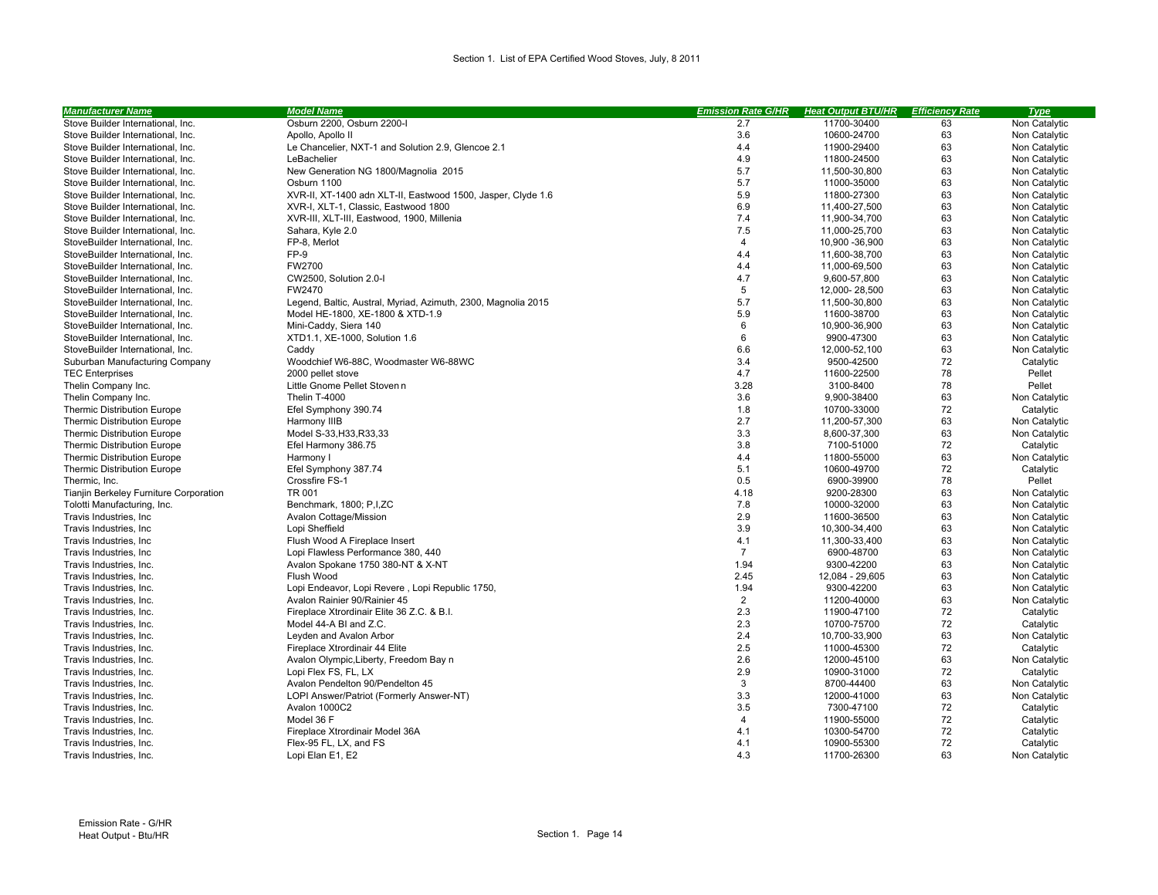| <b>Manufacturer Name</b>               | <b>Model Name</b>                                             | <b>Emission Rate G/HR</b> | <b>Heat Output BTU/HR</b> | <b>Efficiency Rate</b> | <b>Type</b>   |
|----------------------------------------|---------------------------------------------------------------|---------------------------|---------------------------|------------------------|---------------|
| Stove Builder International, Inc.      | Osburn 2200, Osburn 2200-I                                    | 2.7                       | 11700-30400               | 63                     | Non Catalytic |
| Stove Builder International, Inc.      | Apollo, Apollo II                                             | 3.6                       | 10600-24700               | 63                     | Non Catalytic |
| Stove Builder International, Inc.      | Le Chancelier, NXT-1 and Solution 2.9, Glencoe 2.1            | 4.4                       | 11900-29400               | 63                     | Non Catalytic |
| Stove Builder International, Inc.      | LeBachelier                                                   | 4.9                       | 11800-24500               | 63                     | Non Catalytic |
| Stove Builder International, Inc.      | New Generation NG 1800/Magnolia 2015                          | 5.7                       | 11,500-30,800             | 63                     | Non Catalytic |
| Stove Builder International, Inc.      | Osburn 1100                                                   | 5.7                       | 11000-35000               | 63                     | Non Catalytic |
| Stove Builder International, Inc.      | XVR-II, XT-1400 adn XLT-II, Eastwood 1500, Jasper, Clyde 1.6  | 5.9                       | 11800-27300               | 63                     | Non Catalytic |
| Stove Builder International, Inc.      | XVR-I, XLT-1, Classic, Eastwood 1800                          | 6.9                       | 11,400-27,500             | 63                     | Non Catalytic |
| Stove Builder International, Inc.      | XVR-III, XLT-III, Eastwood, 1900, Millenia                    | 7.4                       | 11,900-34,700             | 63                     | Non Catalytic |
| Stove Builder International, Inc.      | Sahara, Kyle 2.0                                              | 7.5                       | 11,000-25,700             | 63                     | Non Catalytic |
| StoveBuilder International, Inc.       | FP-8, Merlot                                                  | $\overline{4}$            | 10,900 - 36,900           | 63                     | Non Catalytic |
| StoveBuilder International, Inc.       | FP-9                                                          | 4.4                       | 11,600-38,700             | 63                     | Non Catalytic |
| StoveBuilder International, Inc.       | FW2700                                                        | 4.4                       | 11,000-69,500             | 63                     | Non Catalytic |
| StoveBuilder International, Inc.       | CW2500, Solution 2.0-I                                        | 4.7                       | 9,600-57,800              | 63                     | Non Catalytic |
| StoveBuilder International, Inc.       | FW2470                                                        | 5                         | 12,000-28,500             | 63                     | Non Catalytic |
| StoveBuilder International, Inc.       | Legend, Baltic, Austral, Myriad, Azimuth, 2300, Magnolia 2015 | 5.7                       | 11,500-30,800             | 63                     | Non Catalytic |
| StoveBuilder International, Inc.       | Model HE-1800, XE-1800 & XTD-1.9                              | 5.9                       | 11600-38700               | 63                     | Non Catalytic |
| StoveBuilder International, Inc.       | Mini-Caddy, Siera 140                                         | 6                         | 10,900-36,900             | 63                     | Non Catalytic |
| StoveBuilder International, Inc.       | XTD1.1, XE-1000, Solution 1.6                                 | 6                         | 9900-47300                | 63                     | Non Catalytic |
| StoveBuilder International, Inc.       | Caddy                                                         | 6.6                       | 12,000-52,100             | 63                     | Non Catalytic |
| Suburban Manufacturing Company         | Woodchief W6-88C, Woodmaster W6-88WC                          | 3.4                       | 9500-42500                | 72                     | Catalytic     |
| <b>TEC Enterprises</b>                 | 2000 pellet stove                                             | 4.7                       | 11600-22500               | 78                     | Pellet        |
| Thelin Company Inc.                    | Little Gnome Pellet Stove                                     | 3.28                      | 3100-8400                 | 78                     | Pellet        |
| Thelin Company Inc.                    | Thelin T-4000                                                 | 3.6                       | 9,900-38400               | 63                     | Non Catalytic |
| <b>Thermic Distribution Europe</b>     | Efel Symphony 390.74                                          | 1.8                       | 10700-33000               | 72                     | Catalytic     |
| <b>Thermic Distribution Europe</b>     | Harmony IIIB                                                  | 2.7                       | 11,200-57,300             | 63                     | Non Catalytic |
| <b>Thermic Distribution Europe</b>     | Model S-33, H33, R33, 33                                      | 3.3                       | 8,600-37,300              | 63                     | Non Catalytic |
| <b>Thermic Distribution Europe</b>     | Efel Harmony 386.75                                           | 3.8                       | 7100-51000                | 72                     | Catalytic     |
| <b>Thermic Distribution Europe</b>     | Harmony I                                                     | 4.4                       | 11800-55000               | 63                     | Non Catalytic |
| <b>Thermic Distribution Europe</b>     | Efel Symphony 387.74                                          | 5.1                       | 10600-49700               | 72                     | Catalytic     |
| Thermic, Inc.                          | Crossfire FS-1                                                | 0.5                       | 6900-39900                | 78                     | Pellet        |
| Tianjin Berkeley Furniture Corporation | TR 001                                                        | 4.18                      | 9200-28300                | 63                     | Non Catalytic |
| Tolotti Manufacturing, Inc.            | Benchmark, 1800; P,I,ZC                                       | 7.8                       | 10000-32000               | 63                     | Non Catalytic |
| Travis Industries, Inc.                | Avalon Cottage/Mission                                        | 2.9                       | 11600-36500               | 63                     | Non Catalytic |
| Travis Industries, Inc.                | Lopi Sheffield                                                | 3.9                       | 10,300-34,400             | 63                     | Non Catalytic |
| Travis Industries, Inc.                | Flush Wood A Fireplace Insert                                 | 4.1                       | 11,300-33,400             | 63                     | Non Catalytic |
| Travis Industries, Inc.                | Lopi Flawless Performance 380, 440                            | $\overline{7}$            | 6900-48700                | 63                     | Non Catalytic |
| Travis Industries, Inc.                | Avalon Spokane 1750 380-NT & X-NT                             | 1.94                      | 9300-42200                | 63                     | Non Catalytic |
| Travis Industries, Inc.                | Flush Wood                                                    | 2.45                      | 12,084 - 29,605           | 63                     | Non Catalytic |
| Travis Industries, Inc.                | Lopi Endeavor, Lopi Revere, Lopi Republic 1750,               | 1.94                      | 9300-42200                | 63                     | Non Catalytic |
| Travis Industries, Inc.                | Avalon Rainier 90/Rainier 45                                  | $\overline{2}$            | 11200-40000               | 63                     | Non Catalytic |
| Travis Industries, Inc.                | Fireplace Xtrordinair Elite 36 Z.C. & B.I.                    | 2.3                       | 11900-47100               | 72                     | Catalytic     |
| Travis Industries, Inc.                | Model 44-A BI and Z.C.                                        | 2.3                       | 10700-75700               | 72                     | Catalytic     |
| Travis Industries, Inc.                | Leyden and Avalon Arbor                                       | 2.4                       | 10,700-33,900             | 63                     | Non Catalytic |
| Travis Industries, Inc.                | Fireplace Xtrordinair 44 Elite                                | 2.5                       | 11000-45300               | 72                     | Catalytic     |
| Travis Industries, Inc.                | Avalon Olympic, Liberty, Freedom Bay                          | 2.6                       | 12000-45100               | 63                     | Non Catalytic |
| Travis Industries, Inc.                | Lopi Flex FS, FL, LX                                          | 2.9                       | 10900-31000               | 72                     | Catalytic     |
| Travis Industries, Inc.                | Avalon Pendelton 90/Pendelton 45                              | $\mathbf{3}$              | 8700-44400                | 63                     | Non Catalytic |
| Travis Industries, Inc.                | LOPI Answer/Patriot (Formerly Answer-NT)                      | 3.3                       | 12000-41000               | 63                     | Non Catalytic |
| Travis Industries, Inc.                | Avalon 1000C2                                                 | 3.5                       | 7300-47100                | 72                     | Catalytic     |
| Travis Industries, Inc.                | Model 36 F                                                    | $\overline{4}$            | 11900-55000               | 72                     | Catalytic     |
| Travis Industries, Inc.                | Fireplace Xtrordinair Model 36A                               | 4.1                       | 10300-54700               | 72                     | Catalytic     |
| Travis Industries, Inc.                | Flex-95 FL. LX. and FS                                        | 4.1                       | 10900-55300               | 72                     | Catalytic     |
| Travis Industries, Inc.                | Lopi Elan E1, E2                                              | 4.3                       | 11700-26300               | 63                     | Non Catalytic |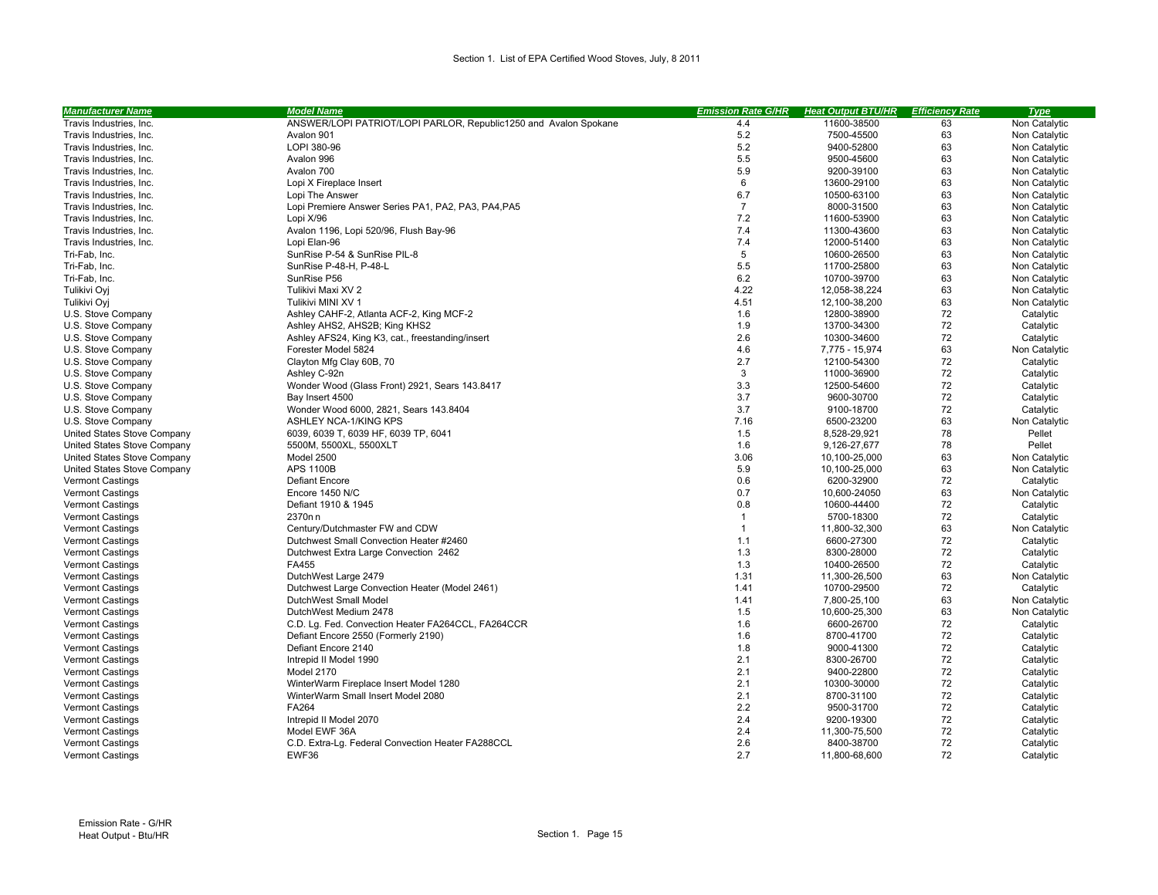| <b>Manufacturer Name</b>    | <b>Model Name</b>                                                       | <b>Emission Rate G/HR</b> | <b>Heat Output BTU/HR</b> | <b>Efficiency Rate</b> | <b>Type</b>   |
|-----------------------------|-------------------------------------------------------------------------|---------------------------|---------------------------|------------------------|---------------|
| Travis Industries, Inc.     | ANSWER/LOPI PATRIOT/LOPI PARLOR, Republic1250 and Avalon Spokane        | 4.4                       | 11600-38500               | 63                     | Non Catalytic |
| Travis Industries, Inc.     | Avalon 901                                                              | 5.2                       | 7500-45500                | 63                     | Non Catalytic |
| Travis Industries, Inc.     | LOPI 380-96                                                             | 5.2                       | 9400-52800                | 63                     | Non Catalytic |
| Travis Industries, Inc.     | Avalon 996                                                              | 5.5                       | 9500-45600                | 63                     | Non Catalytic |
| Travis Industries, Inc.     | Avalon 700                                                              | 5.9                       | 9200-39100                | 63                     | Non Catalytic |
| Travis Industries, Inc.     | Lopi X Fireplace Insert                                                 | 6                         | 13600-29100               | 63                     | Non Catalytic |
| Travis Industries, Inc.     | Lopi The Answer                                                         | 6.7                       | 10500-63100               | 63                     | Non Catalytic |
| Travis Industries, Inc.     | Lopi Premiere Answer Series PA1, PA2, PA3, PA4, PA5                     | $\overline{7}$            | 8000-31500                | 63                     | Non Catalytic |
| Travis Industries, Inc.     | Lopi X/96                                                               | 7.2                       | 11600-53900               | 63                     | Non Catalytic |
| Travis Industries, Inc.     | Avalon 1196, Lopi 520/96, Flush Bay-96                                  | 7.4                       | 11300-43600               | 63                     | Non Catalytic |
| Travis Industries, Inc.     | Lopi Elan-96                                                            | 7.4                       | 12000-51400               | 63                     | Non Catalytic |
| Tri-Fab, Inc.               | SunRise P-54 & SunRise PIL-8                                            | 5                         | 10600-26500               | 63                     | Non Catalytic |
| Tri-Fab, Inc.               | SunRise P-48-H, P-48-L                                                  | 5.5                       | 11700-25800               | 63                     | Non Catalytic |
| Tri-Fab, Inc.               | SunRise P56                                                             | 6.2                       | 10700-39700               | 63                     | Non Catalytic |
| Tulikivi Oyj                | Tulikivi Maxi XV 2                                                      | 4.22                      | 12,058-38,224             | 63                     | Non Catalytic |
| Tulikivi Ovi                | Tulikivi MINI XV 1                                                      | 4.51                      | 12,100-38,200             | 63                     | Non Catalytic |
| U.S. Stove Company          | Ashley CAHF-2, Atlanta ACF-2, King MCF-2                                | 1.6                       | 12800-38900               | 72                     | Catalytic     |
| U.S. Stove Company          | Ashley AHS2, AHS2B; King KHS2                                           | 1.9                       | 13700-34300               | 72                     | Catalytic     |
| U.S. Stove Company          |                                                                         | 2.6                       | 10300-34600               | 72                     | Catalytic     |
| U.S. Stove Company          | Ashley AFS24, King K3, cat., freestanding/insert<br>Forester Model 5824 | 4.6                       | 7,775 - 15,974            | 63                     | Non Catalytic |
| U.S. Stove Company          |                                                                         | 2.7                       | 12100-54300               | 72                     | Catalytic     |
|                             | Clayton Mfg Clay 60B, 70                                                | 3                         |                           | 72                     |               |
| U.S. Stove Company          | Ashley C-92⊏                                                            |                           | 11000-36900               |                        | Catalytic     |
| U.S. Stove Company          | Wonder Wood (Glass Front) 2921, Sears 143.8417                          | 3.3                       | 12500-54600               | 72                     | Catalytic     |
| U.S. Stove Company          | Bay Insert 4500                                                         | 3.7                       | 9600-30700                | 72                     | Catalytic     |
| U.S. Stove Company          | Wonder Wood 6000, 2821, Sears 143.8404                                  | 3.7                       | 9100-18700                | 72                     | Catalytic     |
| U.S. Stove Company          | ASHLEY NCA-1/KING KPS                                                   | 7.16                      | 6500-23200                | 63                     | Non Catalytic |
| United States Stove Company | 6039, 6039 T, 6039 HF, 6039 TP, 6041                                    | 1.5                       | 8,528-29,921              | 78                     | Pellet        |
| United States Stove Company | 5500M, 5500XL, 5500XLT                                                  | 1.6                       | 9,126-27,677              | 78                     | Pellet        |
| United States Stove Company | Model 2500                                                              | 3.06                      | 10,100-25,000             | 63                     | Non Catalytic |
| United States Stove Company | <b>APS 1100B</b>                                                        | 5.9                       | 10,100-25,000             | 63                     | Non Catalytic |
| <b>Vermont Castings</b>     | <b>Defiant Encore</b>                                                   | 0.6                       | 6200-32900                | 72                     | Catalytic     |
| <b>Vermont Castings</b>     | Encore 1450 N/C                                                         | 0.7                       | 10,600-24050              | 63                     | Non Catalytic |
| <b>Vermont Castings</b>     | Defiant 1910 & 1945                                                     | 0.8                       | 10600-44400               | 72                     | Catalytic     |
| <b>Vermont Castings</b>     | 2370□□                                                                  | $\mathbf{1}$              | 5700-18300                | 72                     | Catalytic     |
| <b>Vermont Castings</b>     | Century/Dutchmaster FW and CDW                                          | $\mathbf{1}$              | 11,800-32,300             | 63                     | Non Catalytic |
| <b>Vermont Castings</b>     | Dutchwest Small Convection Heater #2460                                 | 1.1                       | 6600-27300                | 72                     | Catalytic     |
| <b>Vermont Castings</b>     | Dutchwest Extra Large Convection 2462                                   | 1.3                       | 8300-28000                | 72                     | Catalytic     |
| <b>Vermont Castings</b>     | FA455                                                                   | 1.3                       | 10400-26500               | 72                     | Catalytic     |
| <b>Vermont Castings</b>     | DutchWest Large 2479                                                    | 1.31                      | 11,300-26,500             | 63                     | Non Catalytic |
| <b>Vermont Castings</b>     | Dutchwest Large Convection Heater (Model 2461)                          | 1.41                      | 10700-29500               | 72                     | Catalytic     |
| <b>Vermont Castings</b>     | DutchWest Small Model                                                   | 1.41                      | 7,800-25,100              | 63                     | Non Catalytic |
| <b>Vermont Castings</b>     | DutchWest Medium 2478                                                   | 1.5                       | 10,600-25,300             | 63                     | Non Catalytic |
| <b>Vermont Castings</b>     | C.D. Lg. Fed. Convection Heater FA264CCL, FA264CCR                      | 1.6                       | 6600-26700                | 72                     | Catalytic     |
| <b>Vermont Castings</b>     | Defiant Encore 2550 (Formerly 2190)                                     | 1.6                       | 8700-41700                | 72                     | Catalytic     |
| <b>Vermont Castings</b>     | Defiant Encore 2140                                                     | 1.8                       | 9000-41300                | 72                     | Catalytic     |
| <b>Vermont Castings</b>     | Intrepid II Model 1990                                                  | 2.1                       | 8300-26700                | 72                     | Catalytic     |
| <b>Vermont Castings</b>     | Model 2170                                                              | 2.1                       | 9400-22800                | 72                     | Catalytic     |
| <b>Vermont Castings</b>     | WinterWarm Fireplace Insert Model 1280                                  | 2.1                       | 10300-30000               | 72                     | Catalytic     |
| <b>Vermont Castings</b>     | WinterWarm Small Insert Model 2080                                      | 2.1                       | 8700-31100                | 72                     | Catalytic     |
| <b>Vermont Castings</b>     | FA264                                                                   | 2.2                       | 9500-31700                | 72                     | Catalytic     |
| <b>Vermont Castings</b>     | Intrepid II Model 2070                                                  | 2.4                       | 9200-19300                | 72                     | Catalytic     |
| <b>Vermont Castings</b>     | Model EWF 36A                                                           | 2.4                       | 11,300-75,500             | 72                     | Catalytic     |
| <b>Vermont Castings</b>     | C.D. Extra-Lq. Federal Convection Heater FA288CCL                       | 2.6                       | 8400-38700                | 72                     | Catalytic     |
| <b>Vermont Castings</b>     | EWF36                                                                   | 2.7                       | 11.800-68.600             | 72                     | Catalytic     |
|                             |                                                                         |                           |                           |                        |               |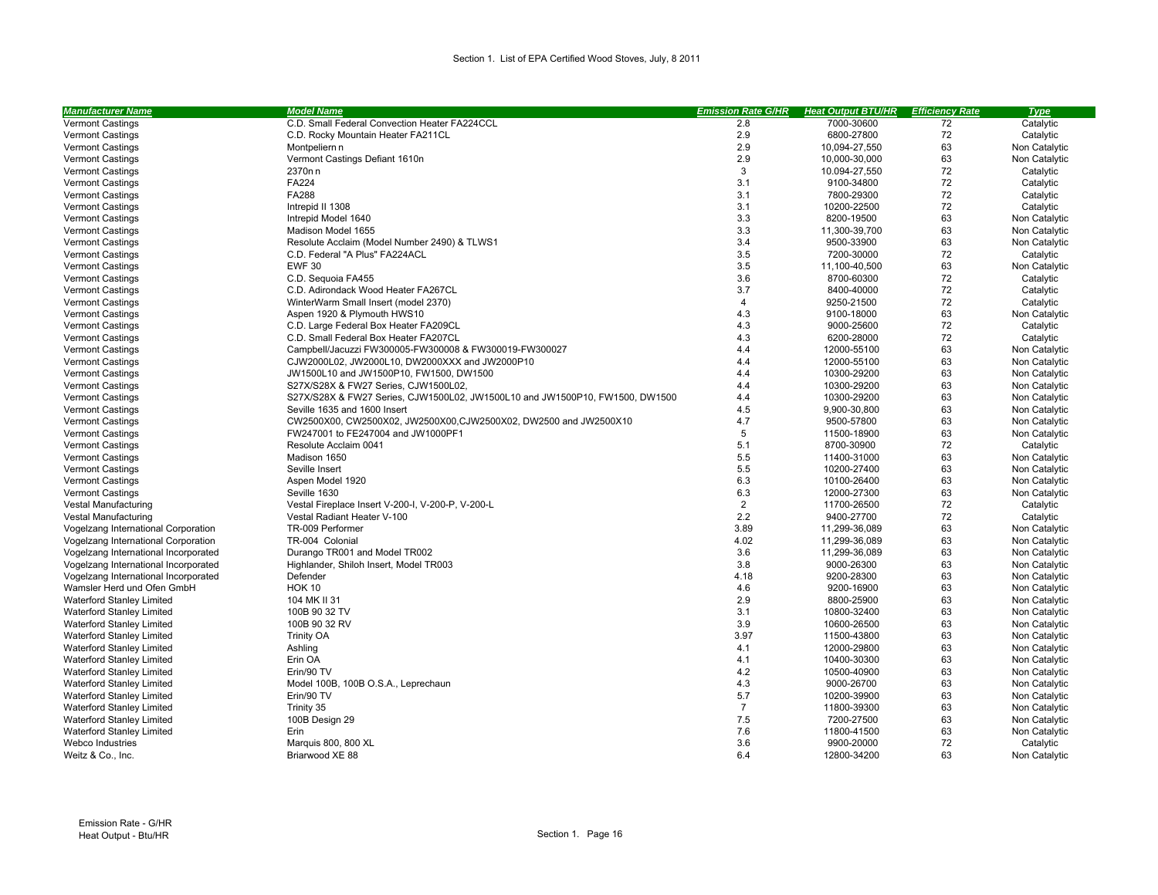| <b>Manufacturer Name</b>             | <b>Model Name</b>                                                            | <b>Emission Rate G/HR</b> | <b>Heat Output BTU/HR</b> | <b>Efficiency Rate</b> | <b>Type</b>   |
|--------------------------------------|------------------------------------------------------------------------------|---------------------------|---------------------------|------------------------|---------------|
| <b>Vermont Castings</b>              | C.D. Small Federal Convection Heater FA224CCL                                | 2.8                       | 7000-30600                | 72                     | Catalytic     |
| <b>Vermont Castings</b>              | C.D. Rocky Mountain Heater FA211CL                                           | 2.9                       | 6800-27800                | 72                     | Catalytic     |
| <b>Vermont Castings</b>              | Montpelier□□                                                                 | 2.9                       | 10,094-27,550             | 63                     | Non Catalytic |
| <b>Vermont Castings</b>              | Vermont Castings Defiant 1610                                                | 2.9                       | 10,000-30,000             | 63                     | Non Catalytic |
| <b>Vermont Castings</b>              | 2370□□                                                                       | 3                         | 10.094-27,550             | 72                     | Catalytic     |
| <b>Vermont Castings</b>              | FA224                                                                        | 3.1                       | 9100-34800                | 72                     | Catalytic     |
| Vermont Castings                     | FA288                                                                        | 3.1                       | 7800-29300                | 72                     | Catalytic     |
| <b>Vermont Castings</b>              | Intrepid II 1308                                                             | 3.1                       | 10200-22500               | 72                     | Catalytic     |
| <b>Vermont Castings</b>              | Intrepid Model 1640                                                          | 3.3                       | 8200-19500                | 63                     | Non Catalytic |
| Vermont Castings                     | Madison Model 1655                                                           | 3.3                       | 11,300-39,700             | 63                     | Non Catalytic |
| <b>Vermont Castings</b>              | Resolute Acclaim (Model Number 2490) & TLWS1                                 | 3.4                       | 9500-33900                | 63                     | Non Catalytic |
| <b>Vermont Castings</b>              | C.D. Federal "A Plus" FA224ACL                                               | 3.5                       | 7200-30000                | 72                     | Catalytic     |
| <b>Vermont Castings</b>              | <b>EWF 30</b>                                                                | 3.5                       | 11,100-40,500             | 63                     | Non Catalytic |
| <b>Vermont Castings</b>              | C.D. Sequoia FA455                                                           | 3.6                       | 8700-60300                | 72                     | Catalytic     |
| <b>Vermont Castings</b>              | C.D. Adirondack Wood Heater FA267CL                                          | 3.7                       | 8400-40000                | 72                     | Catalytic     |
| <b>Vermont Castings</b>              | WinterWarm Small Insert (model 2370)                                         | $\overline{4}$            | 9250-21500                | 72                     | Catalytic     |
| <b>Vermont Castings</b>              | Aspen 1920 & Plymouth HWS10                                                  | 4.3                       | 9100-18000                | 63                     | Non Catalytic |
| <b>Vermont Castings</b>              | C.D. Large Federal Box Heater FA209CL                                        | 4.3                       | 9000-25600                | 72                     | Catalytic     |
| <b>Vermont Castings</b>              | C.D. Small Federal Box Heater FA207CL                                        | 4.3                       | 6200-28000                | 72                     | Catalytic     |
| <b>Vermont Castings</b>              | Campbell/Jacuzzi FW300005-FW300008 & FW300019-FW300027                       | 4.4                       | 12000-55100               | 63                     | Non Catalytic |
| <b>Vermont Castings</b>              | CJW2000L02, JW2000L10, DW2000XXX and JW2000P10                               | 4.4                       | 12000-55100               | 63                     | Non Catalytic |
| <b>Vermont Castings</b>              | JW1500L10 and JW1500P10, FW1500, DW1500                                      | 4.4                       | 10300-29200               | 63                     | Non Catalytic |
| <b>Vermont Castings</b>              | S27X/S28X & FW27 Series, CJW1500L02,                                         | 4.4                       | 10300-29200               | 63                     | Non Catalytic |
| Vermont Castings                     | S27X/S28X & FW27 Series, CJW1500L02, JW1500L10 and JW1500P10, FW1500, DW1500 | 4.4                       | 10300-29200               | 63                     | Non Catalytic |
| <b>Vermont Castings</b>              | Seville 1635 and 1600 Insert                                                 | 4.5                       | 9,900-30,800              | 63                     | Non Catalytic |
| <b>Vermont Castings</b>              | CW2500X00, CW2500X02, JW2500X00, CJW2500X02, DW2500 and JW2500X10            | 4.7                       | 9500-57800                | 63                     | Non Catalytic |
| <b>Vermont Castings</b>              | FW247001 to FE247004 and JW1000PF1                                           | 5                         | 11500-18900               | 63                     | Non Catalytic |
| Vermont Castings                     | Resolute Acclaim 0041                                                        | 5.1                       | 8700-30900                | 72                     | Catalytic     |
| <b>Vermont Castings</b>              | Madison 1650                                                                 | 5.5                       | 11400-31000               | 63                     | Non Catalytic |
| <b>Vermont Castings</b>              | Seville Insert                                                               | 5.5                       | 10200-27400               | 63                     | Non Catalytic |
| Vermont Castings                     | Aspen Model 1920                                                             | 6.3                       | 10100-26400               | 63                     | Non Catalytic |
| <b>Vermont Castings</b>              | Seville 1630                                                                 | 6.3                       | 12000-27300               | 63                     | Non Catalytic |
| Vestal Manufacturing                 | Vestal Fireplace Insert V-200-I, V-200-P, V-200-L                            | $\overline{2}$            | 11700-26500               | 72                     | Catalytic     |
| Vestal Manufacturing                 | Vestal Radiant Heater V-100                                                  | 2.2                       | 9400-27700                | 72                     | Catalytic     |
| Vogelzang International Corporation  | TR-009 Performer                                                             | 3.89                      | 11,299-36,089             | 63                     | Non Catalytic |
| Vogelzang International Corporation  | TR-004 Colonial                                                              | 4.02                      | 11,299-36,089             | 63                     | Non Catalytic |
| Vogelzang International Incorporated | Durango TR001 and Model TR002                                                | 3.6                       | 11,299-36,089             | 63                     | Non Catalytic |
| Vogelzang International Incorporated | Highlander, Shiloh Insert, Model TR003                                       | 3.8                       | 9000-26300                | 63                     | Non Catalytic |
| Vogelzang International Incorporated | Defender                                                                     | 4.18                      | 9200-28300                | 63                     | Non Catalytic |
| Wamsler Herd und Ofen GmbH           | <b>HOK 10</b>                                                                | 4.6                       | 9200-16900                | 63                     | Non Catalytic |
| <b>Waterford Stanley Limited</b>     | 104 MK II 31                                                                 | 2.9                       | 8800-25900                | 63                     | Non Catalytic |
| Waterford Stanley Limited            | 100B 90 32 TV                                                                | 3.1                       | 10800-32400               | 63                     | Non Catalytic |
| Waterford Stanley Limited            | 100B 90 32 RV                                                                | 3.9                       | 10600-26500               | 63                     | Non Catalytic |
| <b>Waterford Stanley Limited</b>     | <b>Trinity OA</b>                                                            | 3.97                      | 11500-43800               | 63                     | Non Catalytic |
| Waterford Stanley Limited            | Ashling                                                                      | 4.1                       | 12000-29800               | 63                     | Non Catalytic |
| Waterford Stanley Limited            | Erin OA                                                                      | 4.1                       | 10400-30300               | 63                     | Non Catalytic |
| <b>Waterford Stanley Limited</b>     | Erin/90 TV                                                                   | 4.2                       | 10500-40900               | 63                     | Non Catalytic |
| Waterford Stanley Limited            | Model 100B, 100B O.S.A., Leprechaun                                          | 4.3                       | 9000-26700                | 63                     | Non Catalytic |
| <b>Waterford Stanley Limited</b>     | Erin/90 TV                                                                   | 5.7                       | 10200-39900               | 63                     | Non Catalytic |
| Waterford Stanley Limited            | Trinity 35                                                                   | $\overline{7}$            | 11800-39300               | 63                     | Non Catalytic |
| Waterford Stanley Limited            | 100B Design 29                                                               | 7.5                       | 7200-27500                | 63                     | Non Catalytic |
| <b>Waterford Stanley Limited</b>     | Erin                                                                         | 7.6                       | 11800-41500               | 63                     | Non Catalytic |
| Webco Industries                     | Marquis 800, 800 XL                                                          | 3.6                       | 9900-20000                | 72                     | Catalytic     |
| Weitz & Co., Inc.                    | Briarwood XE 88                                                              | 6.4                       | 12800-34200               | 63                     | Non Catalytic |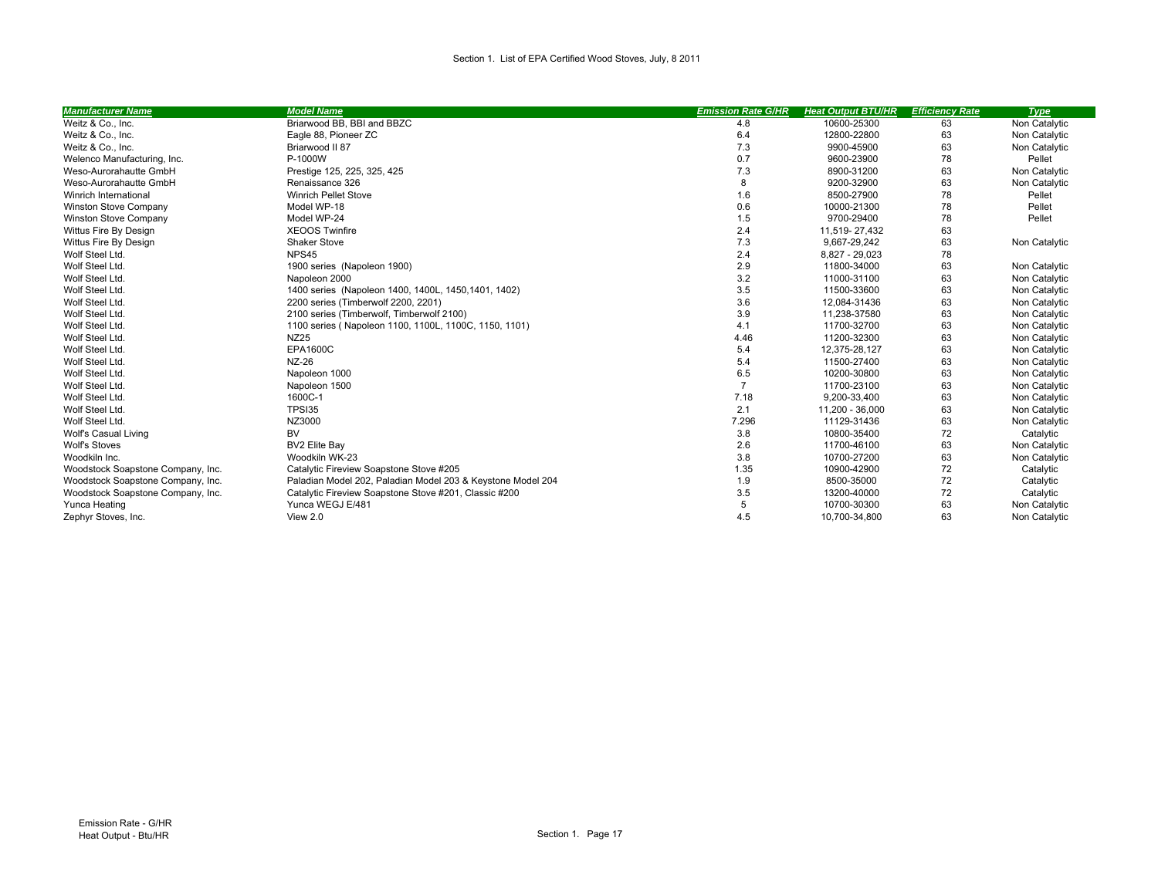| <b>Manufacturer Name</b>          | <b>Model Name</b>                                           | <b>Emission Rate G/HR</b> | <b>Heat Output BTU/HR</b> | <b>Efficiency Rate</b> | <b>Type</b>   |
|-----------------------------------|-------------------------------------------------------------|---------------------------|---------------------------|------------------------|---------------|
| Weitz & Co., Inc.                 | Briarwood BB, BBI and BBZC                                  | 4.8                       | 10600-25300               | 63                     | Non Catalytic |
| Weitz & Co., Inc.                 | Eagle 88, Pioneer ZC                                        | 6.4                       | 12800-22800               | 63                     | Non Catalytic |
| Weitz & Co., Inc.                 | Briarwood II 87                                             | 7.3                       | 9900-45900                | 63                     | Non Catalytic |
| Welenco Manufacturing, Inc.       | P-1000W                                                     | 0.7                       | 9600-23900                | 78                     | Pellet        |
| Weso-Aurorahautte GmbH            | Prestige 125, 225, 325, 425                                 | 7.3                       | 8900-31200                | 63                     | Non Catalytic |
| Weso-Aurorahautte GmbH            | Renaissance 326                                             | 8                         | 9200-32900                | 63                     | Non Catalytic |
| Winrich International             | <b>Winrich Pellet Stove</b>                                 | 1.6                       | 8500-27900                | 78                     | Pellet        |
| <b>Winston Stove Company</b>      | Model WP-18                                                 | 0.6                       | 10000-21300               | 78                     | Pellet        |
| <b>Winston Stove Company</b>      | Model WP-24                                                 | 1.5                       | 9700-29400                | 78                     | Pellet        |
| Wittus Fire By Design             | <b>XEOOS Twinfire</b>                                       | 2.4                       | 11,519-27,432             | 63                     |               |
| Wittus Fire By Design             | Shaker Stove                                                | 7.3                       | 9,667-29,242              | 63                     | Non Catalytic |
| Wolf Steel Ltd.                   | NPS45                                                       | 2.4                       | 8,827 - 29,023            | 78                     |               |
| Wolf Steel Ltd.                   | 1900 series (Napoleon 1900)                                 | 2.9                       | 11800-34000               | 63                     | Non Catalytic |
| Wolf Steel Ltd.                   | Napoleon 2000                                               | 3.2                       | 11000-31100               | 63                     | Non Catalytic |
| Wolf Steel Ltd.                   | 1400 series (Napoleon 1400, 1400L, 1450, 1401, 1402)        | 3.5                       | 11500-33600               | 63                     | Non Catalytic |
| Wolf Steel Ltd.                   | 2200 series (Timberwolf 2200, 2201)                         | 3.6                       | 12,084-31436              | 63                     | Non Catalytic |
| Wolf Steel Ltd.                   | 2100 series (Timberwolf, Timberwolf 2100)                   | 3.9                       | 11,238-37580              | 63                     | Non Catalytic |
| Wolf Steel Ltd.                   | 1100 series (Napoleon 1100, 1100L, 1100C, 1150, 1101)       | 4.1                       | 11700-32700               | 63                     | Non Catalytic |
| Wolf Steel Ltd.                   | <b>NZ25</b>                                                 | 4.46                      | 11200-32300               | 63                     | Non Catalytic |
| Wolf Steel Ltd.                   | <b>EPA1600C</b>                                             | 5.4                       | 12,375-28,127             | 63                     | Non Catalytic |
| Wolf Steel Ltd.                   | NZ-26                                                       | 5.4                       | 11500-27400               | 63                     | Non Catalytic |
| Wolf Steel Ltd.                   | Napoleon 1000                                               | 6.5                       | 10200-30800               | 63                     | Non Catalytic |
| Wolf Steel Ltd                    | Napoleon 1500                                               | $\overline{7}$            | 11700-23100               | 63                     | Non Catalytic |
| Wolf Steel Ltd                    | 1600C-1                                                     | 7.18                      | 9,200-33,400              | 63                     | Non Catalytic |
| Wolf Steel Ltd.                   | TPSI35                                                      | 2.1                       | 11,200 - 36,000           | 63                     | Non Catalytic |
| Wolf Steel Ltd.                   | NZ3000                                                      | 7.296                     | 11129-31436               | 63                     | Non Catalytic |
| Wolf's Casual Living              | BV                                                          | 3.8                       | 10800-35400               | 72                     | Catalytic     |
| <b>Wolf's Stoves</b>              | <b>BV2 Elite Bay</b>                                        | 2.6                       | 11700-46100               | 63                     | Non Catalytic |
| Woodkiln Inc.                     | Woodkiln WK-23                                              | 3.8                       | 10700-27200               | 63                     | Non Catalytic |
| Woodstock Soapstone Company, Inc. | Catalytic Fireview Soapstone Stove #205                     | 1.35                      | 10900-42900               | 72                     | Catalytic     |
| Woodstock Soapstone Company, Inc. | Paladian Model 202, Paladian Model 203 & Keystone Model 204 | 1.9                       | 8500-35000                | 72                     | Catalytic     |
| Woodstock Soapstone Company, Inc. | Catalytic Fireview Soapstone Stove #201, Classic #200       | 3.5                       | 13200-40000               | 72                     | Catalytic     |
| Yunca Heating                     | Yunca WEGJ E/481                                            | 5                         | 10700-30300               | 63                     | Non Catalytic |
| Zephyr Stoves, Inc.               | View 2.0                                                    | 4.5                       | 10,700-34,800             | 63                     | Non Catalytic |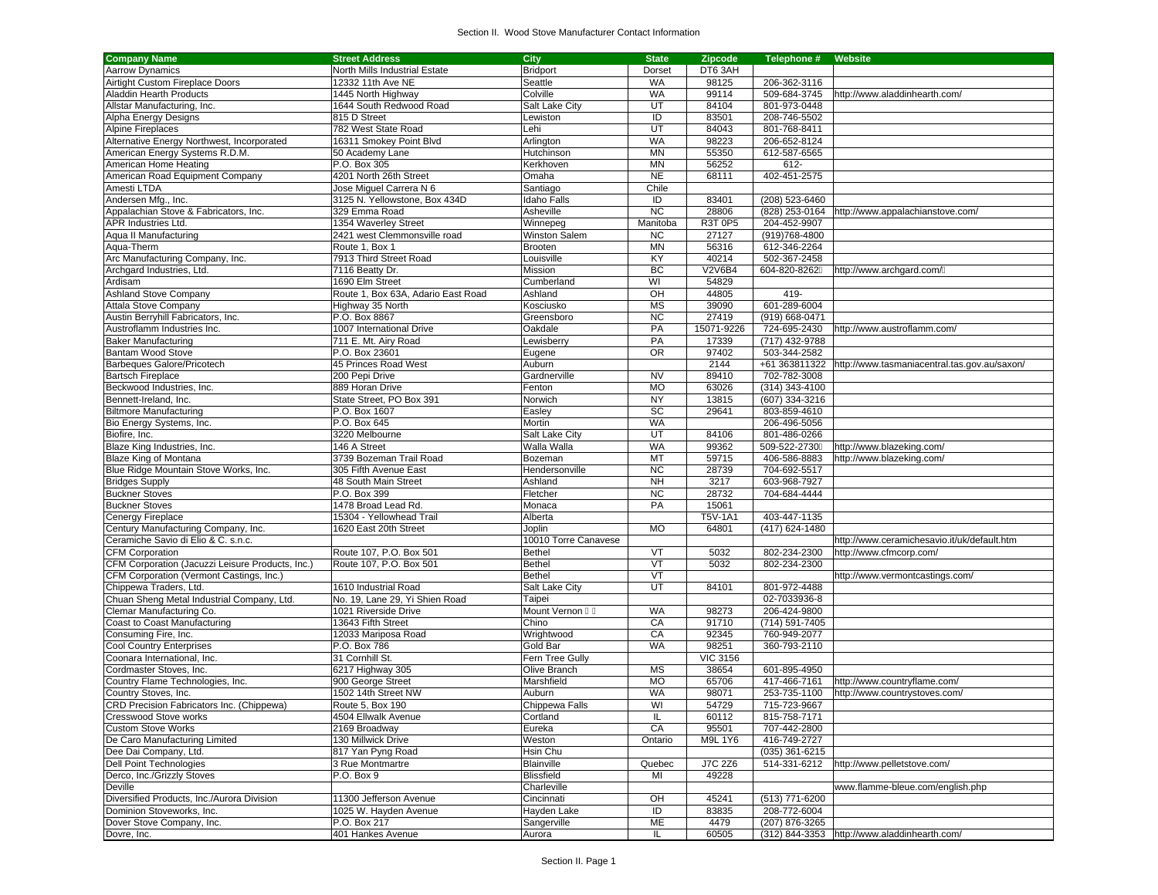| <b>Company Name</b>                              | <b>Street Address</b>              | <b>City</b>               | <b>State</b> | <b>Zipcode</b>  | Telephone #      | Website                                                    |
|--------------------------------------------------|------------------------------------|---------------------------|--------------|-----------------|------------------|------------------------------------------------------------|
| <b>Aarrow Dynamics</b>                           | North Mills Industrial Estate      | <b>Bridport</b>           | Dorset       | DT6 3AH         |                  |                                                            |
| Airtight Custom Fireplace Doors                  | 12332 11th Ave NE                  | Seattle                   | <b>WA</b>    | 98125           | 206-362-3116     |                                                            |
| Aladdin Hearth Products                          | 1445 North Highway                 | Colville                  | <b>WA</b>    | 99114           | 509-684-3745     | http://www.aladdinhearth.com/                              |
| Allstar Manufacturing, Inc.                      | 1644 South Redwood Road            | Salt Lake City            | UT           | 84104           | 801-973-0448     |                                                            |
| Alpha Energy Designs                             | 815 D Street                       | Lewiston                  | ID           | 83501           | 208-746-5502     |                                                            |
| <b>Alpine Fireplaces</b>                         | 782 West State Road                | Lehi                      | UT           | 84043           | 801-768-8411     |                                                            |
| Alternative Energy Northwest, Incorporated       | 16311 Smokey Point Blvd            | Arlington                 | <b>WA</b>    | 98223           | 206-652-8124     |                                                            |
| American Energy Systems R.D.M.                   | 50 Academy Lane                    | Hutchinson                | <b>MN</b>    | 55350           | 612-587-6565     |                                                            |
| American Home Heating                            | P.O. Box 305                       | Kerkhoven                 | <b>MN</b>    | 56252           | 612-             |                                                            |
| American Road Equipment Company                  | 4201 North 26th Street             | Omaha                     | <b>NE</b>    | 68111           | 402-451-2575     |                                                            |
| Amesti LTDA                                      | Jose Miguel Carrera N 6            | Santiago                  | Chile        |                 |                  |                                                            |
| Andersen Mfg., Inc.                              | 3125 N. Yellowstone, Box 434D      | Idaho Falls               | ID           | 83401           | (208) 523-6460   |                                                            |
| Appalachian Stove & Fabricators, Inc.            | 329 Emma Road                      | Asheville                 | <b>NC</b>    | 28806           | (828) 253-0164   | http://www.appalachianstove.com/                           |
| APR Industries Ltd.                              | 1354 Waverley Street               |                           | Manitoba     | R3T 0P5         | 204-452-9907     |                                                            |
| Aqua II Manufacturing                            | 2421 west Clemmonsville road       | Winnepeg<br>Winston Salem | <b>NC</b>    | 27127           | (919) 768-4800   |                                                            |
|                                                  | Route 1. Box 1                     |                           |              |                 |                  |                                                            |
| Aqua-Therm                                       |                                    | Brooten                   | <b>MN</b>    | 56316           | 612-346-2264     |                                                            |
| Arc Manufacturing Company, Inc.                  | 7913 Third Street Road             | Louisville                | KY           | 40214           | 502-367-2458     |                                                            |
| Archgard Industries, Ltd.                        | 7116 Beatty Dr.                    | Mission                   | BC           | V2V6B4          | 604-820-8262     | http://www.archgard.com/                                   |
| Ardisam                                          | 1690 Elm Street                    | Cumberland                | WI           | 54829           |                  |                                                            |
| <b>Ashland Stove Company</b>                     | Route 1, Box 63A, Adario East Road | Ashland                   | OH           | 44805           | 419-             |                                                            |
| Attala Stove Company                             | Highway 35 North                   | Kosciusko                 | <b>MS</b>    | 39090           | 601-289-6004     |                                                            |
| Austin Berryhill Fabricators, Inc.               | P.O. Box 8867                      | Greensboro                | <b>NC</b>    | 27419           | (919) 668-0471   |                                                            |
| Austroflamm Industries Inc.                      | 1007 International Drive           | Oakdale                   | PA           | 15071-9226      | 724-695-2430     | http://www.austroflamm.com/                                |
| <b>Baker Manufacturing</b>                       | 711 E. Mt. Airy Road               | Lewisberry                | PA           | 17339           | (717) 432-9788   |                                                            |
| <b>Bantam Wood Stove</b>                         | P.O. Box 23601                     | Eugene                    | <b>OR</b>    | 97402           | 503-344-2582     |                                                            |
| Barbeques Galore/Pricotech                       | 45 Princes Road West               | Auburn                    |              | 2144            |                  | +61 363811322 http://www.tasmaniacentral.tas.gov.au/saxon/ |
| <b>Bartsch Fireplace</b>                         | 200 Pepi Drive                     | Gardnerville              | <b>NV</b>    | 89410           | 702-782-3008     |                                                            |
| Beckwood Industries, Inc.                        | 889 Horan Drive                    | Fenton                    | <b>MO</b>    | 63026           | $(314)$ 343-4100 |                                                            |
| Bennett-Ireland, Inc.                            | State Street, PO Box 391           | Norwich                   | <b>NY</b>    | 13815           | (607) 334-3216   |                                                            |
| <b>Biltmore Manufacturing</b>                    | P.O. Box 1607                      | Easley                    | SC           | 29641           | 803-859-4610     |                                                            |
| Bio Energy Systems, Inc.                         | P.O. Box 645                       | Mortin                    | <b>WA</b>    |                 | 206-496-5056     |                                                            |
| Biofire, Inc.                                    | 3220 Melbourne                     | <b>Salt Lake City</b>     | UT           | 84106           | 801-486-0266     |                                                            |
| Blaze King Industries, Inc.                      | 146 A Street                       | Walla Walla               | <b>WA</b>    | 99362           | 509-522-2730     | http://www.blazeking.com/                                  |
| Blaze King of Montana                            | 3739 Bozeman Trail Road            | Bozeman                   | MT           | 59715           | 406-586-8883     | http://www.blazeking.com/                                  |
| Blue Ridge Mountain Stove Works, Inc.            | 305 Fifth Avenue East              | Hendersonville            | <b>NC</b>    | 28739           | 704-692-5517     |                                                            |
| <b>Bridges Supply</b>                            | 48 South Main Street               | Ashland                   | <b>NH</b>    | 3217            | 603-968-7927     |                                                            |
| <b>Buckner Stoves</b>                            | P.O. Box 399                       | Fletcher                  | <b>NC</b>    | 28732           | 704-684-4444     |                                                            |
| <b>Buckner Stoves</b>                            | 1478 Broad Lead Rd.                | Monaca                    | PA           | 15061           |                  |                                                            |
| <b>Cenergy Fireplace</b>                         | 15304 - Yellowhead Trail           | Alberta                   |              | T5V-1A1         | 403-447-1135     |                                                            |
| Century Manufacturing Company, Inc.              | 1620 East 20th Street              | Joplin                    | <b>MO</b>    | 64801           | (417) 624-1480   |                                                            |
|                                                  |                                    |                           |              |                 |                  |                                                            |
| Ceramiche Savio di Elio & C. s.n.c.              |                                    | 10010 Torre Canavese      |              |                 |                  | http://www.ceramichesavio.it/uk/default.htm                |
| <b>CFM Corporation</b>                           | Route 107, P.O. Box 501            | Bethel                    | VT           | 5032            | 802-234-2300     | http://www.cfmcorp.com/                                    |
| CFM Corporation (Jacuzzi Leisure Products, Inc.) | Route 107, P.O. Box 501            | <b>Bethel</b>             | VT           | 5032            | 802-234-2300     |                                                            |
| CFM Corporation (Vermont Castings, Inc.)         |                                    | <b>Bethel</b>             | VT           |                 |                  | http://www.vermontcastings.com/                            |
| Chippewa Traders, Ltd.                           | 1610 Industrial Road               | Salt Lake City            | UT           | 84101           | 801-972-4488     |                                                            |
| Chuan Sheng Metal Industrial Company, Ltd.       | No. 19, Lane 29, Yi Shien Road     | Taipei                    |              |                 | 02-7033936-8     |                                                            |
| Clemar Manufacturing Co.                         | 1021 Riverside Drive               | Mount Vernon              | <b>WA</b>    | 98273           | 206-424-9800     |                                                            |
| Coast to Coast Manufacturing                     | 13643 Fifth Street                 | Chino                     | CA           | 91710           | (714) 591-7405   |                                                            |
| Consuming Fire, Inc.                             | 12033 Mariposa Road                | Wrightwood                | CA           | 92345           | 760-949-2077     |                                                            |
| Cool Country Enterprises                         | P.O. Box 786                       | Gold Bar                  | <b>WA</b>    | 98251           | 360-793-2110     |                                                            |
| Coonara International, Inc.                      | 31 Cornhill St.                    | Fern Tree Gully           |              | <b>VIC 3156</b> |                  |                                                            |
| Cordmaster Stoves, Inc.                          | 6217 Highway 305                   | Olive Branch              | MS           | 38654           | 601-895-4950     |                                                            |
| Country Flame Technologies, Inc.                 | 900 George Street                  | Marshfield                | <b>MO</b>    | 65706           | 417-466-7161     | http://www.countryflame.com/                               |
| Country Stoves, Inc.                             | 1502 14th Street NW                | Auburn                    | <b>WA</b>    | 98071           | 253-735-1100     | http://www.countrystoves.com/                              |
| CRD Precision Fabricators Inc. (Chippewa)        | Route 5, Box 190                   | Chippewa Falls            | WI           | 54729           | 715-723-9667     |                                                            |
| Cresswood Stove works                            | 4504 Ellwalk Avenue                | Cortland                  | IL           | 60112           | 815-758-7171     |                                                            |
| <b>Custom Stove Works</b>                        | 2169 Broadway                      | Eureka                    | CA           | 95501           | 707-442-2800     |                                                            |
| De Caro Manufacturing Limited                    | 130 Millwick Drive                 | Weston                    | Ontario      | M9L 1Y6         | 416-749-2727     |                                                            |
| Dee Dai Company, Ltd.                            | 817 Yan Pyng Road                  | Hsin Chu                  |              |                 | (035) 361-6215   |                                                            |
| <b>Dell Point Technologies</b>                   | 3 Rue Montmartre                   | <b>Blainville</b>         | Quebec       | <b>J7C 2Z6</b>  | 514-331-6212     | http://www.pelletstove.com/                                |
| Derco, Inc./Grizzly Stoves                       | P.O. Box 9                         | <b>Blissfield</b>         | MI           | 49228           |                  |                                                            |
| Deville                                          |                                    | Charleville               |              |                 |                  | www.flamme-bleue.com/english.php                           |
| Diversified Products, Inc./Aurora Division       | 11300 Jefferson Avenue             | Cincinnati                | OH           | 45241           | (513) 771-6200   |                                                            |
| Dominion Stoveworks, Inc.                        | 1025 W. Hayden Avenue              | Hayden Lake               | ID           | 83835           | 208-772-6004     |                                                            |
| Dover Stove Company, Inc.                        | P.O. Box 217                       | Sangerville               | ME           | 4479            | (207) 876-3265   |                                                            |
| Dovre, Inc.                                      | 401 Hankes Avenue                  | Aurora                    | IL           | 60505           |                  | (312) 844-3353 http://www.aladdinhearth.com/               |
|                                                  |                                    |                           |              |                 |                  |                                                            |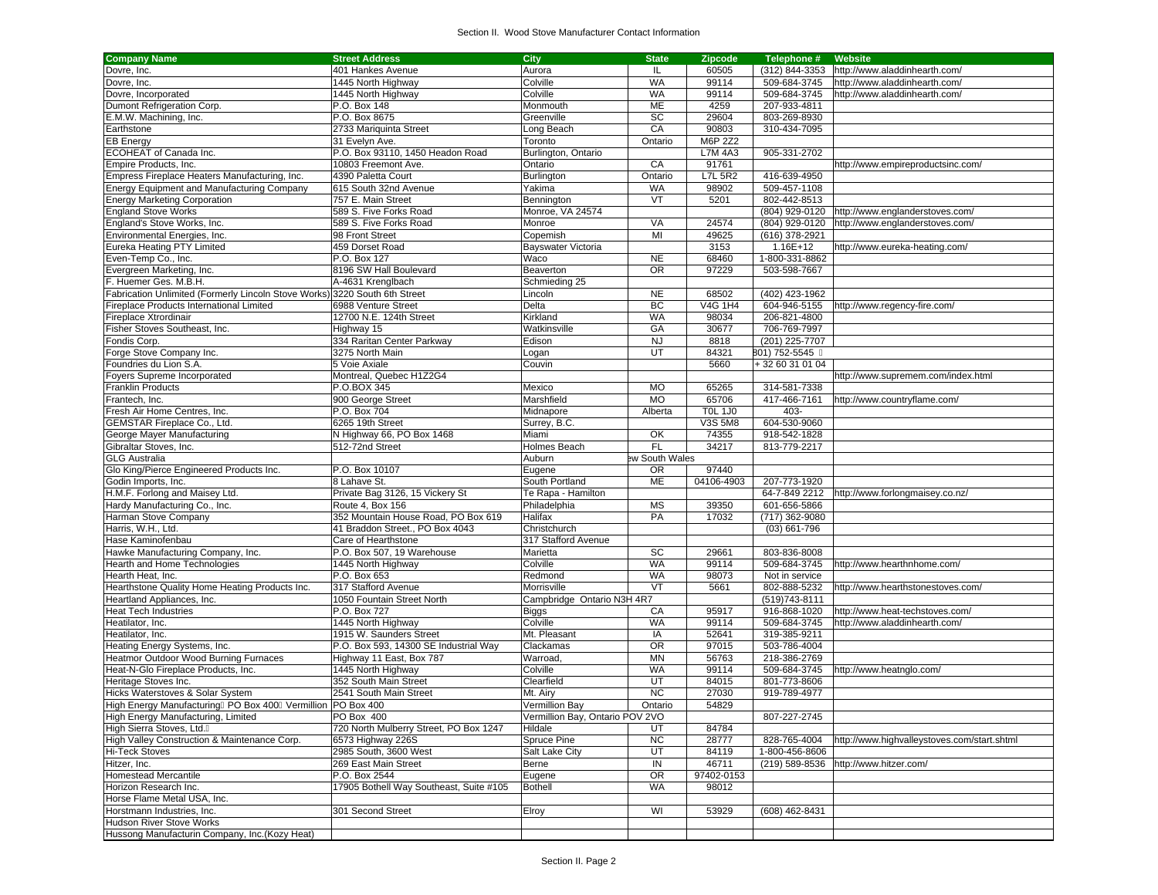| <b>Company Name</b>                                                        | <b>Street Address</b>                               | City                               | <b>State</b>    | <b>Zipcode</b> | Telephone #                   | Website                                     |
|----------------------------------------------------------------------------|-----------------------------------------------------|------------------------------------|-----------------|----------------|-------------------------------|---------------------------------------------|
| Dovre, Inc.                                                                | 401 Hankes Avenue                                   | Aurora                             | IL              | 60505          | (312) 844-3353                | http://www.aladdinhearth.com/               |
| Dovre, Inc.                                                                | 1445 North Highway                                  | Colville                           | WA              | 99114          | 509-684-3745                  | http://www.aladdinhearth.com/               |
| Dovre, Incorporated                                                        | 1445 North Highway                                  | Colville                           | WA              | 99114          | 509-684-3745                  | http://www.aladdinhearth.com/               |
| Dumont Refrigeration Corp.                                                 | P.O. Box 148                                        | Monmouth                           | ME              | 4259           | 207-933-4811                  |                                             |
| E.M.W. Machining, Inc.                                                     | P.O. Box 8675                                       | Greenville                         | SC              | 29604          | 803-269-8930                  |                                             |
| Earthstone                                                                 | 2733 Mariquinta Street                              | Long Beach                         | CA              | 90803          | 310-434-7095                  |                                             |
| <b>EB Energy</b>                                                           | 31 Evelyn Ave.                                      | Toronto                            | Ontario         | M6P 2Z2        |                               |                                             |
| ECOHEAT of Canada Inc.                                                     | P.O. Box 93110, 1450 Headon Road                    | Burlington, Ontario                |                 | <b>L7M 4A3</b> | 905-331-2702                  |                                             |
| Empire Products, Inc.                                                      | 10803 Freemont Ave.                                 | Ontario                            | CA              | 91761          |                               | http://www.empireproductsinc.com/           |
| Empress Fireplace Heaters Manufacturing, Inc.                              | 4390 Paletta Court                                  | Burlington                         | Ontario         | <b>L7L 5R2</b> | 416-639-4950                  |                                             |
| <b>Energy Equipment and Manufacturing Company</b>                          | 615 South 32nd Avenue                               | Yakima                             | <b>WA</b>       | 98902          | 509-457-1108                  |                                             |
| <b>Energy Marketing Corporation</b>                                        | 757 E. Main Street                                  | Bennington                         | VT              | 5201           | 802-442-8513                  |                                             |
| <b>England Stove Works</b>                                                 | 589 S. Five Forks Road                              | Monroe, VA 24574                   |                 |                | (804) 929-0120                | http://www.englanderstoves.com/             |
| England's Stove Works, Inc.                                                | 589 S. Five Forks Road                              | Monroe                             | VA              | 24574          | (804) 929-0120                | http://www.englanderstoves.com/             |
| Environmental Energies, Inc.                                               | 98 Front Street                                     | Copemish                           | MI              | 49625          | (616) 378-2921                |                                             |
| <b>Eureka Heating PTY Limited</b>                                          | 459 Dorset Road                                     | Bayswater Victoria                 |                 | 3153           | 1.16E+12                      | http://www.eureka-heating.com/              |
| Even-Temp Co., Inc.                                                        | P.O. Box 127                                        | Waco                               | NE              | 68460          | 1-800-331-8862                |                                             |
| Evergreen Marketing, Inc.                                                  | 8196 SW Hall Boulevard                              | Beaverton                          | <b>OR</b>       | 97229          | 503-598-7667                  |                                             |
| F. Huemer Ges. M.B.H.                                                      | A-4631 Krenglbach                                   | Schmieding 25                      |                 |                |                               |                                             |
| Fabrication Unlimited (Formerly Lincoln Stove Works) 3220 South 6th Street |                                                     | Lincoln                            | <b>NE</b>       | 68502          | (402) 423-1962                |                                             |
|                                                                            | 6988 Venture Street                                 | Delta                              | BC              | V4G 1H4        | 604-946-5155                  |                                             |
| Fireplace Products International Limited                                   |                                                     |                                    | <b>WA</b>       |                |                               | http://www.regency-fire.com/                |
| Fireplace Xtrordinair                                                      | 12700 N.E. 124th Street                             | Kirkland                           | GA              | 98034<br>30677 | 206-821-4800<br>706-769-7997  |                                             |
| Fisher Stoves Southeast, Inc.                                              | Highway 15                                          | Watkinsville                       |                 |                |                               |                                             |
| Fondis Corp.                                                               | 334 Raritan Center Parkway                          | Edison                             | <b>NJ</b>       | 8818           | (201) 225-7707                |                                             |
| Forge Stove Company Inc.                                                   | 3275 North Main                                     | Logan                              | UT              | 84321          | 801) 752-5545                 |                                             |
| Foundries du Lion S.A.                                                     | 5 Voie Axiale                                       | Couvin                             |                 | 5660           | +32 60 31 01 04               |                                             |
| Foyers Supreme Incorporated                                                | Montreal, Quebec H1Z2G4                             |                                    |                 |                |                               | http://www.supremem.com/index.html          |
| <b>Franklin Products</b>                                                   | P.O.BOX 345                                         | Mexico                             | <b>MO</b>       | 65265          | 314-581-7338                  |                                             |
| Frantech, Inc.                                                             | 900 George Street                                   | Marshfield                         | <b>MO</b>       | 65706          | 417-466-7161                  | http://www.countryflame.com/                |
| Fresh Air Home Centres, Inc.                                               | P.O. Box 704                                        | Midnapore                          | Alberta         | <b>TOL 1J0</b> | $403 -$                       |                                             |
| GEMSTAR Fireplace Co., Ltd.                                                | 6265 19th Street                                    | Surrey, B.C.                       |                 | <b>V3S 5M8</b> | 604-530-9060                  |                                             |
| George Mayer Manufacturing                                                 | N Highway 66, PO Box 1468                           | Miami                              | OK              | 74355          | 918-542-1828                  |                                             |
| Gibraltar Stoves, Inc.<br><b>GLG Australia</b>                             | 512-72nd Street                                     | Holmes Beach                       | <b>FL</b>       | 34217          | 813-779-2217                  |                                             |
|                                                                            |                                                     | Auburn                             | ew South Wales  |                |                               |                                             |
| Glo King/Pierce Engineered Products Inc.                                   | P.O. Box 10107<br>8 Lahave St.                      | Eugene                             | <b>OR</b><br>ME | 97440          |                               |                                             |
| Godin Imports, Inc.<br>H.M.F. Forlong and Maisey Ltd.                      |                                                     | South Portland                     |                 | 04106-4903     | 207-773-1920<br>64-7-849 2212 |                                             |
| Hardy Manufacturing Co., Inc.                                              | Private Bag 3126, 15 Vickery St<br>Route 4, Box 156 | Te Rapa - Hamilton<br>Philadelphia | MS              | 39350          | 601-656-5866                  | http://www.forlongmaisey.co.nz/             |
| Harman Stove Company                                                       | 352 Mountain House Road, PO Box 619                 | Halifax                            | PA              | 17032          | (717) 362-9080                |                                             |
| Harris, W.H., Ltd.                                                         | 41 Braddon Street., PO Box 4043                     | Christchurch                       |                 |                | $(03)$ 661-796                |                                             |
| Hase Kaminofenbau                                                          | Care of Hearthstone                                 | 317 Stafford Avenue                |                 |                |                               |                                             |
| Hawke Manufacturing Company, Inc.                                          | P.O. Box 507, 19 Warehouse                          | Marietta                           | SC              | 29661          | 803-836-8008                  |                                             |
| Hearth and Home Technologies                                               | 1445 North Highway                                  | Colville                           | WA              | 99114          | 509-684-3745                  | http://www.hearthnhome.com/                 |
| Hearth Heat, Inc.                                                          | P.O. Box 653                                        | Redmond                            | WA              | 98073          | Not in service                |                                             |
| Hearthstone Quality Home Heating Products Inc.                             | 317 Stafford Avenue                                 | Morrisville                        | VT              | 5661           | 802-888-5232                  | http://www.hearthstonestoves.com/           |
| Heartland Appliances, Inc.                                                 | 1050 Fountain Street North                          | Campbridge Ontario N3H 4R7         |                 |                | (519) 743-8111                |                                             |
| <b>Heat Tech Industries</b>                                                | P.O. Box 727                                        | <b>Biggs</b>                       | CA              | 95917          | 916-868-1020                  | http://www.heat-techstoves.com/             |
| Heatilator, Inc.                                                           | 1445 North Highway                                  | Colville                           | WA              | 99114          | 509-684-3745                  | http://www.aladdinhearth.com/               |
| Heatilator, Inc.                                                           | 1915 W. Saunders Street                             | Mt. Pleasant                       | IA              | 52641          | 319-385-9211                  |                                             |
| Heating Energy Systems, Inc.                                               | P.O. Box 593, 14300 SE Industrial Way               | Clackamas                          | <b>OR</b>       | 97015          | 503-786-4004                  |                                             |
| Heatmor Outdoor Wood Burning Furnaces                                      | Highway 11 East, Box 787                            | Warroad,                           | <b>MN</b>       | 56763          | 218-386-2769                  |                                             |
| Heat-N-Glo Fireplace Products, Inc.                                        | 1445 North Highway                                  | Colville                           | <b>WA</b>       | 99114          | 509-684-3745                  | http://www.heatnglo.com/                    |
| Heritage Stoves Inc.                                                       | 352 South Main Street                               | Clearfield                         | UT              | 84015          | 801-773-8606                  |                                             |
| Hicks Waterstoves & Solar System                                           | 2541 South Main Street                              | Mt. Airy                           | NC              | 27030          | 919-789-4977                  |                                             |
| High Energy Manufacturing PO Box 400 Vermillion PO Box 400                 |                                                     | Vermillion Bay                     | Ontario         | 54829          |                               |                                             |
| High Energy Manufacturing, Limited                                         | PO Box 400                                          | Vermillion Bay, Ontario POV 2VO    |                 |                | 807-227-2745                  |                                             |
| High Sierra Stoves, Ltd.                                                   | 720 North Mulberry Street, PO Box 1247              | Hildale                            | UT              | 84784          |                               |                                             |
| High Valley Construction & Maintenance Corp.                               | 6573 Highway 226S                                   | Spruce Pine                        | <b>NC</b>       | 28777          | 828-765-4004                  | http://www.highvalleystoves.com/start.shtml |
| <b>Hi-Teck Stoves</b>                                                      | 2985 South, 3600 West                               | Salt Lake City                     | UT              | 84119          | 1-800-456-8606                |                                             |
| Hitzer, Inc.                                                               | 269 East Main Street                                | Berne                              | $\sf IN$        | 46711          | (219) 589-8536                | http://www.hitzer.com/                      |
| Homestead Mercantile                                                       | P.O. Box 2544                                       | Eugene                             | <b>OR</b>       | 97402-0153     |                               |                                             |
| Horizon Research Inc.                                                      | 17905 Bothell Way Southeast, Suite #105             | <b>Bothell</b>                     | WA              | 98012          |                               |                                             |
| Horse Flame Metal USA, Inc.                                                |                                                     |                                    |                 |                |                               |                                             |
| Horstmann Industries, Inc.                                                 | 301 Second Street                                   | Elroy                              | WI              | 53929          | (608) 462-8431                |                                             |
| Hudson River Stove Works                                                   |                                                     |                                    |                 |                |                               |                                             |
| Hussong Manufacturin Company, Inc. (Kozy Heat)                             |                                                     |                                    |                 |                |                               |                                             |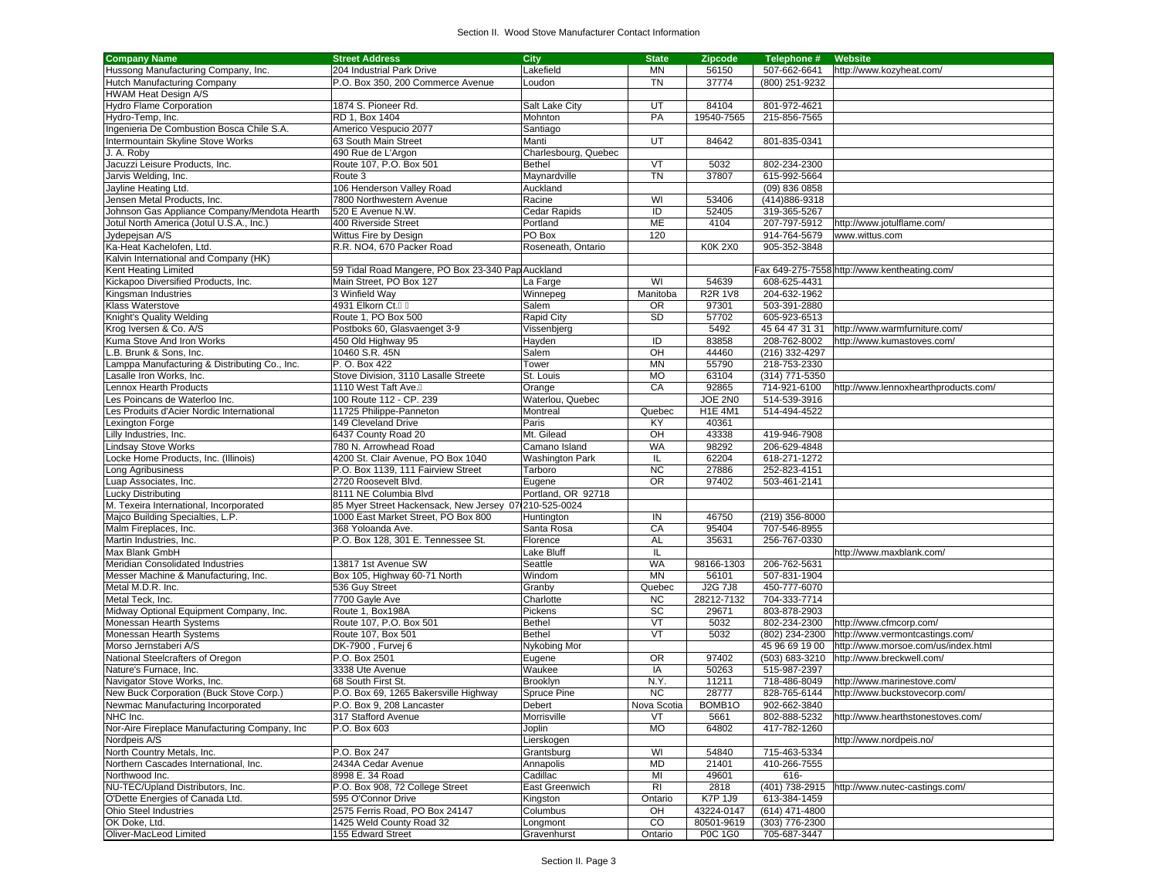| <b>Company Name</b>                            | <b>Street Address</b>                                 | City                   | <b>State</b> | <b>Zipcode</b> | Telephone #    | Website                                      |
|------------------------------------------------|-------------------------------------------------------|------------------------|--------------|----------------|----------------|----------------------------------------------|
| Hussong Manufacturing Company, Inc.            | 204 Industrial Park Drive                             | Lakefield              | <b>MN</b>    | 56150          | 507-662-6641   | http://www.kozyheat.com/                     |
| Hutch Manufacturing Company                    | P.O. Box 350, 200 Commerce Avenue                     | Loudon                 | <b>TN</b>    | 37774          | (800) 251-9232 |                                              |
| <b>HWAM Heat Design A/S</b>                    |                                                       |                        |              |                |                |                                              |
| <b>Hydro Flame Corporation</b>                 | 1874 S. Pioneer Rd.                                   | Salt Lake City         | UT           | 84104          | 801-972-4621   |                                              |
|                                                |                                                       |                        |              |                |                |                                              |
| Hydro-Temp, Inc.                               | RD 1, Box 1404                                        | Mohnton                | PA           | 19540-7565     | 215-856-7565   |                                              |
| Ingenieria De Combustion Bosca Chile S.A.      | Americo Vespucio 2077                                 | Santiago               |              |                |                |                                              |
| Intermountain Skyline Stove Works              | 63 South Main Street                                  | Manti                  | UT           | 84642          | 801-835-0341   |                                              |
| J. A. Roby                                     | 490 Rue de L'Argon                                    | Charlesbourg, Quebec   |              |                |                |                                              |
| Jacuzzi Leisure Products, Inc.                 | Route 107, P.O. Box 501                               | <b>Bethel</b>          | VT           | 5032           | 802-234-2300   |                                              |
| Jarvis Welding, Inc.                           | Route 3                                               | Maynardville           | <b>TN</b>    | 37807          | 615-992-5664   |                                              |
| Jayline Heating Ltd.                           | 106 Henderson Valley Road                             | Auckland               |              |                | (09) 836 0858  |                                              |
| Jensen Metal Products, Inc.                    | 7800 Northwestern Avenue                              | Racine                 | WI           | 53406          | (414) 886-9318 |                                              |
| Johnson Gas Appliance Company/Mendota Hearth   | 520 E Avenue N.W.                                     | Cedar Rapids           | ID           | 52405          | 319-365-5267   |                                              |
|                                                |                                                       |                        |              |                |                |                                              |
| Jotul North America (Jotul U.S.A., Inc.)       | 400 Riverside Street                                  | Portland               | ME           | 4104           | 207-797-5912   | http://www.jotulflame.com/                   |
| Jydepejsan A/S                                 | Wittus Fire by Design                                 | PO Box                 | 120          |                | 914-764-5679   | www.wittus.com                               |
| Ka-Heat Kachelofen, Ltd.                       | R.R. NO4. 670 Packer Road                             | Roseneath, Ontario     |              | <b>K0K 2X0</b> | 905-352-3848   |                                              |
| Kalvin International and Company (HK)          |                                                       |                        |              |                |                |                                              |
| Kent Heating Limited                           | 59 Tidal Road Mangere, PO Box 23-340 Pap Auckland     |                        |              |                |                | Fax 649-275-7558 http://www.kentheating.com/ |
| Kickapoo Diversified Products, Inc.            | Main Street, PO Box 127                               | La Farge               | WI           | 54639          | 608-625-4431   |                                              |
| Kingsman Industries                            | 3 Winfield Way                                        | Winnepeg               | Manitoba     | <b>R2R 1V8</b> | 204-632-1962   |                                              |
| Klass Waterstove                               | 4931 Elkorn Ct.                                       | Salem                  | <b>OR</b>    | 97301          | 503-391-2880   |                                              |
| Knight's Quality Welding                       | Route 1, PO Box 500                                   | Rapid City             | <b>SD</b>    | 57702          | 605-923-6513   |                                              |
|                                                |                                                       |                        |              |                |                |                                              |
| Krog Iversen & Co. A/S                         | Postboks 60, Glasvaenget 3-9                          | Vissenbjerg            |              | 5492           | 45 64 47 31 31 | http://www.warmfurniture.com/                |
| Kuma Stove And Iron Works                      | 450 Old Highway 95                                    | Hayden                 | ID           | 83858          | 208-762-8002   | http://www.kumastoves.com/                   |
| B. Brunk & Sons. Inc.                          | 10460 S.R. 45N                                        | Salem                  | OH           | 44460          | (216) 332-4297 |                                              |
| Lamppa Manufacturing & Distributing Co., Inc.  | P.O. Box 422                                          | Tower                  | <b>MN</b>    | 55790          | 218-753-2330   |                                              |
| Lasalle Iron Works, Inc.                       | Stove Division, 3110 Lasalle Streete                  | St. Louis              | MO           | 63104          | (314) 771-5350 |                                              |
| Lennox Hearth Products                         | 1110 West Taft Ave.                                   | Orange                 | CA           | 92865          | 714-921-6100   | http://www.lennoxhearthproducts.com/         |
| Les Poincans de Waterloo Inc.                  | 100 Route 112 - CP. 239                               | Waterlou, Quebec       |              | JOE 2N0        | 514-539-3916   |                                              |
| Les Produits d'Acier Nordic International      | 11725 Philippe-Panneton                               | Montreal               | Quebec       | <b>H1E 4M1</b> | 514-494-4522   |                                              |
| _exington Forge                                | 149 Cleveland Drive                                   | Paris                  | KY           | 40361          |                |                                              |
|                                                | 6437 County Road 20                                   | Mt. Gilead             | OH           | 43338          |                |                                              |
| Lilly Industries, Inc.                         |                                                       |                        |              |                | 419-946-7908   |                                              |
| Lindsay Stove Works                            | 780 N. Arrowhead Road                                 | Camano Island          | WA           | 98292          | 206-629-4848   |                                              |
| Locke Home Products, Inc. (Illinois)           | 4200 St. Clair Avenue, PO Box 1040                    | <b>Washington Park</b> | IL           | 62204          | 618-271-1272   |                                              |
| Long Agribusiness                              | P.O. Box 1139, 111 Fairview Street                    | Tarboro                | <b>NC</b>    | 27886          | 252-823-4151   |                                              |
| Luap Associates, Inc.                          | 2720 Roosevelt Blvd.                                  | Eugene                 | <b>OR</b>    | 97402          | 503-461-2141   |                                              |
| <b>Lucky Distributing</b>                      | 8111 NE Columbia Blvd                                 | Portland, OR 92718     |              |                |                |                                              |
| M. Texeira International, Incorporated         | 85 Myer Street Hackensack, New Jersey 07(210-525-0024 |                        |              |                |                |                                              |
| Majco Building Specialties, L.P.               | 1000 East Market Street, PO Box 800                   | Huntington             | IN           | 46750          | (219) 356-8000 |                                              |
| Malm Fireplaces, Inc.                          | 368 Yoloanda Ave.                                     | Santa Rosa             | CA           | 95404          | 707-546-8955   |                                              |
| Martin Industries, Inc.                        | P.O. Box 128, 301 E. Tennessee St.                    | Florence               | <b>AL</b>    | 35631          | 256-767-0330   |                                              |
| Max Blank GmbH                                 |                                                       | <b>Lake Bluff</b>      | IL           |                |                | http://www.maxblank.com/                     |
| Meridian Consolidated Industries               | 13817 1st Avenue SW                                   | Seattle                | <b>WA</b>    | 98166-1303     | 206-762-5631   |                                              |
|                                                |                                                       |                        |              |                |                |                                              |
| Messer Machine & Manufacturing, Inc.           | Box 105, Highway 60-71 North                          | Windom                 | MN           | 56101          | 507-831-1904   |                                              |
| Metal M.D.R. Inc.                              | 536 Guy Street                                        | Granby                 | Quebec       | <b>J2G 7J8</b> | 450-777-6070   |                                              |
| Metal Teck, Inc.                               | 7700 Gayle Ave                                        | Charlotte              | <b>NC</b>    | 28212-7132     | 704-333-7714   |                                              |
| Midway Optional Equipment Company, Inc.        | Route 1, Box198A                                      | Pickens                | SC           | 29671          | 803-878-2903   |                                              |
| Monessan Hearth Systems                        | Route 107, P.O. Box 501                               | Bethel                 | VT           | 5032           | 802-234-2300   | http://www.cfmcorp.com/                      |
| Monessan Hearth Systems                        | Route 107, Box 501                                    | Bethel                 | VT           | 5032           | (802) 234-2300 | http://www.vermontcastings.com/              |
| Morso Jernstaberi A/S                          | DK-7900, Furvej 6                                     | Nykobing Mor           |              |                | 45 96 69 19 00 | http://www.morsoe.com/us/index.html          |
| National Steelcrafters of Oregon               | P.O. Box 2501                                         | Eugene                 | <b>OR</b>    | 97402          | (503) 683-3210 | http://www.breckwell.com/                    |
| Nature's Furnace, Inc.                         | 3338 Ute Avenue                                       | Waukee                 | IA           | 50263          | 515-987-2397   |                                              |
|                                                | 68 South First St.                                    | Brooklyn               | N.Y.         | 11211          | 718-486-8049   | http://www.marinestove.com/                  |
| Navigator Stove Works, Inc.                    |                                                       |                        |              |                |                |                                              |
| New Buck Corporation (Buck Stove Corp.)        | P.O. Box 69, 1265 Bakersville Highway                 | Spruce Pine            | <b>NC</b>    | 28777          | 828-765-6144   | http://www.buckstovecorp.com/                |
| Newmac Manufacturing Incorporated              | P.O. Box 9, 208 Lancaster                             | Debert                 | Nova Scotia  | BOMB1O         | 902-662-3840   |                                              |
| NHC Inc.                                       | 317 Stafford Avenue                                   | Morrisville            | VT           | 5661           | 802-888-5232   | http://www.hearthstonestoves.com/            |
| Nor-Aire Fireplace Manufacturing Company, Inc. | P.O. Box 603                                          | Joplin                 | <b>MO</b>    | 64802          | 417-782-1260   |                                              |
| Nordpeis A/S                                   |                                                       | Lierskogen             |              |                |                | http://www.nordpeis.no/                      |
| North Country Metals, Inc.                     | P.O. Box 247                                          | Grantsburg             | WI           | 54840          | 715-463-5334   |                                              |
| Northern Cascades International, Inc.          | 2434A Cedar Avenue                                    | Annapolis              | <b>MD</b>    | 21401          | 410-266-7555   |                                              |
| Northwood Inc.                                 | 8998 E. 34 Road                                       | Cadillac               | MI           | 49601          | 616-           |                                              |
| NU-TEC/Upland Distributors, Inc.               | P.O. Box 908, 72 College Street                       | East Greenwich         | RI           | 2818           | (401) 738-2915 | http://www.nutec-castings.com/               |
| O'Dette Energies of Canada Ltd.                | 595 O'Connor Drive                                    | Kingston               | Ontario      | K7P 1J9        | 613-384-1459   |                                              |
|                                                |                                                       |                        |              |                |                |                                              |
| <b>Ohio Steel Industries</b>                   | 2575 Ferris Road, PO Box 24147                        | Columbus               | OH           | 43224-0147     | (614) 471-4800 |                                              |
| OK Doke, Ltd.                                  | 1425 Weld County Road 32                              | Longmont               | CO           | 80501-9619     | (303) 776-2300 |                                              |
| Oliver-MacLeod Limited                         | 155 Edward Street                                     | Gravenhurst            | Ontario      | P0C 1G0        | 705-687-3447   |                                              |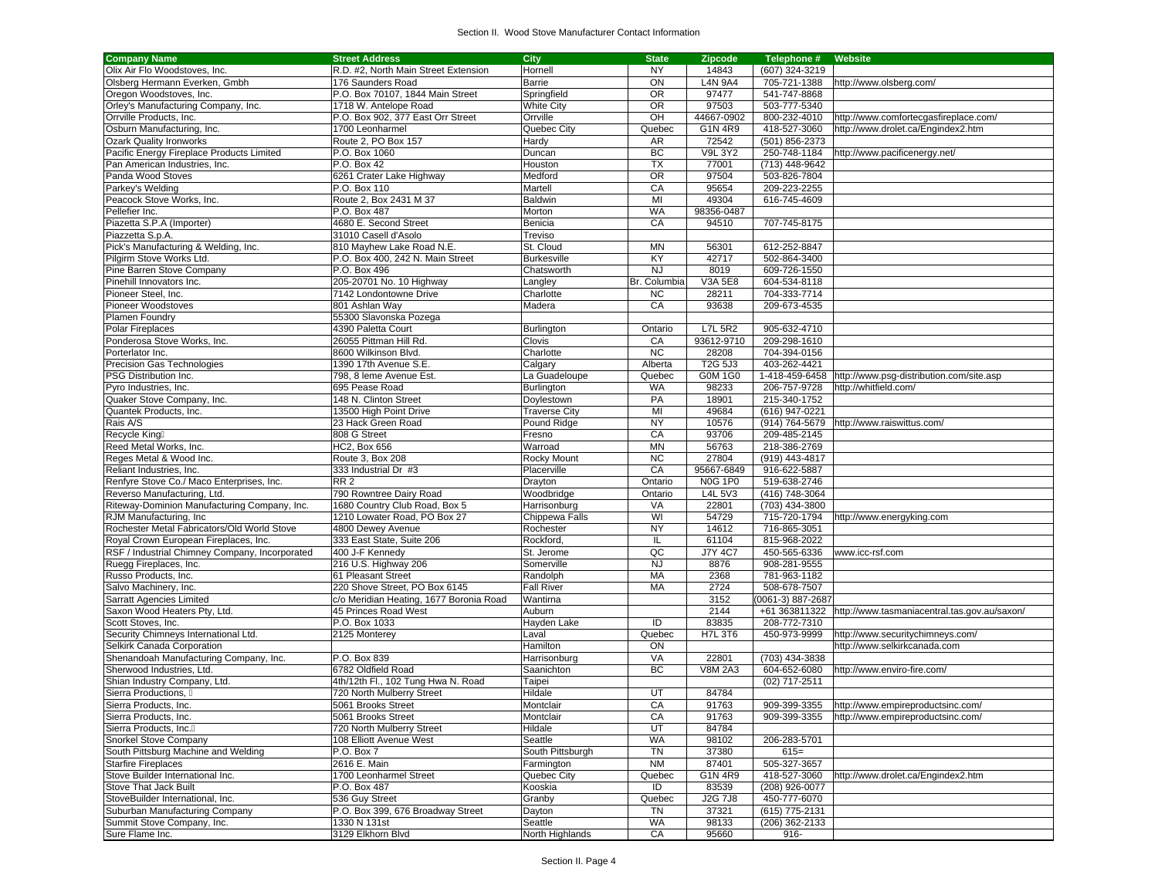| <b>Company Name</b>                            | <b>Street Address</b>                   | <b>City</b>          | <b>State</b> | Zipcode        | Telephone #                    | Website                                                    |
|------------------------------------------------|-----------------------------------------|----------------------|--------------|----------------|--------------------------------|------------------------------------------------------------|
| Olix Air Flo Woodstoves, Inc.                  | R.D. #2, North Main Street Extension    | Hornell              | <b>NY</b>    | 14843          | (607) 324-3219                 |                                                            |
| Olsberg Hermann Everken, Gmbh                  | 176 Saunders Road                       | <b>Barrie</b>        | ON           | <b>L4N 9A4</b> | 705-721-1388                   | http://www.olsberg.com/                                    |
| Oregon Woodstoves, Inc.                        | P.O. Box 70107, 1844 Main Street        | Springfield          | <b>OR</b>    | 97477          | 541-747-8868                   |                                                            |
| Orley's Manufacturing Company, Inc.            | 1718 W. Antelope Road                   | <b>White City</b>    | <b>OR</b>    | 97503          | 503-777-5340                   |                                                            |
| Orrville Products, Inc.                        | P.O. Box 902, 377 East Orr Street       | Orrville             | OH           | 44667-0902     | 800-232-4010                   | http://www.comfortecgasfireplace.com/                      |
| Osburn Manufacturing, Inc.                     | 1700 Leonharmel                         | Quebec City          | Quebec       | G1N 4R9        | 418-527-3060                   | http://www.drolet.ca/Engindex2.htm                         |
| <b>Ozark Quality Ironworks</b>                 | Route 2, PO Box 157                     | Hardy                | AR           | 72542          | (501) 856-2373                 |                                                            |
|                                                | P.O. Box 1060                           |                      | BC           | <b>V9L 3Y2</b> | 250-748-1184                   | http://www.pacificenergy.net/                              |
| Pacific Energy Fireplace Products Limited      |                                         | Duncan               |              | 77001          |                                |                                                            |
| Pan American Industries, Inc.                  | P.O. Box 42                             | Houston              | TX           |                | (713) 448-9642                 |                                                            |
| Panda Wood Stoves                              | 6261 Crater Lake Highway                | Medford              | <b>OR</b>    | 97504          | 503-826-7804                   |                                                            |
| Parkey's Welding                               | P.O. Box 110                            | Martell              | CA           | 95654          | 209-223-2255                   |                                                            |
| Peacock Stove Works, Inc.                      | Route 2, Box 2431 M 37                  | Baldwin              | MI           | 49304          | 616-745-4609                   |                                                            |
| Pellefier Inc.                                 | P.O. Box 487                            | Morton               | <b>WA</b>    | 98356-0487     |                                |                                                            |
| Piazetta S.P.A (Importer)                      | 4680 E. Second Street                   | Benicia              | CA           | 94510          | 707-745-8175                   |                                                            |
| Piazzetta S.p.A.                               | 31010 Casell d'Asolo                    | Treviso              |              |                |                                |                                                            |
| Pick's Manufacturing & Welding, Inc.           | 810 Mayhew Lake Road N.E.               | St. Cloud            | <b>MN</b>    | 56301          | 612-252-8847                   |                                                            |
| Pilgirm Stove Works Ltd.                       | P.O. Box 400, 242 N. Main Street        | <b>Burkesville</b>   | KY           | 42717          | 502-864-3400                   |                                                            |
| Pine Barren Stove Company                      | P.O. Box 496                            | Chatsworth           | <b>NJ</b>    | 8019           | 609-726-1550                   |                                                            |
| Pinehill Innovators Inc.                       | 205-20701 No. 10 Highway                | Langley              | Br. Columbia | V3A 5E8        | 604-534-8118                   |                                                            |
| Pioneer Steel, Inc.                            | 7142 Londontowne Drive                  | Charlotte            | <b>NC</b>    | 28211          | 704-333-7714                   |                                                            |
| Pioneer Woodstoves                             | 801 Ashlan Way                          | Madera               | CA           | 93638          | 209-673-4535                   |                                                            |
| Plamen Foundry                                 | 55300 Slavonska Pozega                  |                      |              |                |                                |                                                            |
| Polar Fireplaces                               | 4390 Paletta Court                      | Burlington           | Ontario      | <b>L7L 5R2</b> | 905-632-4710                   |                                                            |
| Ponderosa Stove Works, Inc.                    | 26055 Pittman Hill Rd.                  | Clovis               | CA           | 93612-9710     | 209-298-1610                   |                                                            |
| Porterlator Inc.                               | 8600 Wilkinson Blvd.                    |                      | <b>NC</b>    | 28208          | 704-394-0156                   |                                                            |
|                                                |                                         | Charlotte            |              |                |                                |                                                            |
| Precision Gas Technologies                     | 1390 17th Avenue S.E.                   | Calgary              | Alberta      | T2G 5J3        | 403-262-4421                   |                                                            |
| PSG Distribution Inc.                          | 798, 8 leme Avenue Est.                 | La Guadeloupe        | Quebec       | G0M 1G0        |                                | 1-418-459-6458 http://www.psg-distribution.com/site.asp    |
| Pyro Industries, Inc.                          | 695 Pease Road                          | Burlington           | <b>WA</b>    | 98233          | 206-757-9728                   | http://whitfield.com/                                      |
| Quaker Stove Company, Inc.                     | 148 N. Clinton Street                   | Doylestown           | PA           | 18901          | 215-340-1752                   |                                                            |
| Quantek Products, Inc.                         | 13500 High Point Drive                  | <b>Traverse City</b> | MI           | 49684          | (616) 947-0221                 |                                                            |
| Rais A/S                                       | 23 Hack Green Road                      | Pound Ridge          | <b>NY</b>    | 10576          |                                | (914) 764-5679 http://www.raiswittus.com/                  |
| Recycle King                                   | 808 G Street                            | Fresno               | CA           | 93706          | 209-485-2145                   |                                                            |
| Reed Metal Works, Inc.                         | <b>HC2, Box 656</b>                     | Warroad              | <b>MN</b>    | 56763          | 218-386-2769                   |                                                            |
| Reges Metal & Wood Inc.                        | Route 3, Box 208                        | Rocky Mount          | <b>NC</b>    | 27804          | (919) 443-4817                 |                                                            |
| Reliant Industries, Inc.                       | 333 Industrial Dr #3                    | Placerville          | CA           | 95667-6849     | 916-622-5887                   |                                                            |
| Renfyre Stove Co./ Maco Enterprises, Inc.      | RR <sub>2</sub>                         | Drayton              | Ontario      | <b>N0G 1P0</b> | 519-638-2746                   |                                                            |
| Reverso Manufacturing, Ltd.                    | 790 Rowntree Dairy Road                 | Woodbridge           | Ontario      | L4L 5V3        | (416) 748-3064                 |                                                            |
| Riteway-Dominion Manufacturing Company, Inc.   | 1680 Country Club Road, Box 5           | Harrisonburg         | VA           | 22801          | (703) 434-3800                 |                                                            |
| RJM Manufacturing, Inc                         | 1210 Lowater Road, PO Box 27            | Chippewa Falls       | WI           | 54729          | 715-720-1794                   | http://www.energyking.com                                  |
| Rochester Metal Fabricators/Old World Stove    | 4800 Dewey Avenue                       | Rochester            | <b>NY</b>    | 14612          | 716-865-3051                   |                                                            |
| Royal Crown European Fireplaces, Inc.          | 333 East State, Suite 206               | Rockford,            | IL           | 61104          | 815-968-2022                   |                                                            |
| RSF / Industrial Chimney Company, Incorporated | 400 J-F Kennedy                         | St. Jerome           | QC           | <b>J7Y 4C7</b> | 450-565-6336                   | www.icc-rsf.com                                            |
| Ruegg Fireplaces, Inc.                         | 216 U.S. Highway 206                    | Somerville           | <b>NJ</b>    | 8876           | 908-281-9555                   |                                                            |
|                                                | 61 Pleasant Street                      |                      | MA           | 2368           | 781-963-1182                   |                                                            |
| Russo Products, Inc.                           |                                         | Randolph             |              |                |                                |                                                            |
| Salvo Machinery, Inc.                          | 220 Shove Street, PO Box 6145           | <b>Fall River</b>    | MA           | 2724           | 508-678-7507                   |                                                            |
| <b>Sarratt Agencies Limited</b>                | c/o Meridian Heating, 1677 Boronia Road | Wantirna             |              | 3152           | (0061-3) 887-2687              |                                                            |
| Saxon Wood Heaters Pty, Ltd.                   | 45 Princes Road West                    | Auburn               |              | 2144           |                                | +61 363811322 http://www.tasmaniacentral.tas.gov.au/saxon/ |
| Scott Stoves, Inc.                             | P.O. Box 1033                           | Hayden Lake          | ID           | 83835          | 208-772-7310                   |                                                            |
| Security Chimneys International Ltd.           | 2125 Monterey                           | Laval                | Quebec       | <b>H7L 3T6</b> | 450-973-9999                   | http://www.securitychimneys.com/                           |
| Selkirk Canada Corporation                     |                                         | Hamilton             | ON           |                |                                | http://www.selkirkcanada.com                               |
| Shenandoah Manufacturing Company, Inc.         | P.O. Box 839                            | Harrisonburg         | VA           | 22801          | (703) 434-3838                 |                                                            |
| Sherwood Industries, Ltd.                      | 6782 Oldfield Road                      | Saanichton           | BC           | <b>V8M 2A3</b> | 604-652-6080                   | http://www.enviro-fire.com/                                |
| Shian Industry Company, Ltd.                   | 4th/12th Fl., 102 Tung Hwa N. Road      | Taipei               |              |                | (02) 717-2511                  |                                                            |
| Sierra Productions,                            | 720 North Mulberry Street               | Hildale              | UT           | 84784          |                                |                                                            |
| Sierra Products, Inc.                          | 5061 Brooks Street                      | Montclair            | CA           | 91763          |                                | 909-399-3355 http://www.empireproductsinc.com/             |
| Sierra Products, Inc.                          | 5061 Brooks Street                      | Montclair            | CA           | 91763          |                                | 909-399-3355 http://www.empireproductsinc.com/             |
| Sierra Products, Inc.                          | 720 North Mulberry Street               | Hildale              | UT           | 84784          |                                |                                                            |
| Snorkel Stove Company                          | 108 Elliott Avenue West                 | Seattle              | <b>WA</b>    | 98102          | 206-283-5701                   |                                                            |
| South Pittsburg Machine and Welding            | P.O. Box 7                              | South Pittsburgh     | TN           | 37380          | $615=$                         |                                                            |
| <b>Starfire Fireplaces</b>                     | 2616 E. Main                            | Farmington           | <b>NM</b>    | 87401          | 505-327-3657                   |                                                            |
| Stove Builder International Inc.               | 1700 Leonharmel Street                  | Quebec City          | Quebec       | G1N 4R9        | 418-527-3060                   | http://www.drolet.ca/Engindex2.htm                         |
| <b>Stove That Jack Built</b>                   |                                         |                      |              |                |                                |                                                            |
| StoveBuilder International, Inc.               | P.O. Box 487                            | Kooskia<br>Granby    | ID<br>Quebec | 83539          | (208) 926-0077<br>450-777-6070 |                                                            |
|                                                | 536 Guy Street                          |                      |              | J2G 7J8        |                                |                                                            |
| Suburban Manufacturing Company                 | P.O. Box 399, 676 Broadway Street       | Dayton               | TN           | 37321          | (615) 775-2131                 |                                                            |
| Summit Stove Company, Inc.                     | 1330 N 131st                            | Seattle              | <b>WA</b>    | 98133          | (206) 362-2133                 |                                                            |
| Sure Flame Inc.                                | 3129 Elkhorn Blvd                       | North Highlands      | CA           | 95660          | $916 -$                        |                                                            |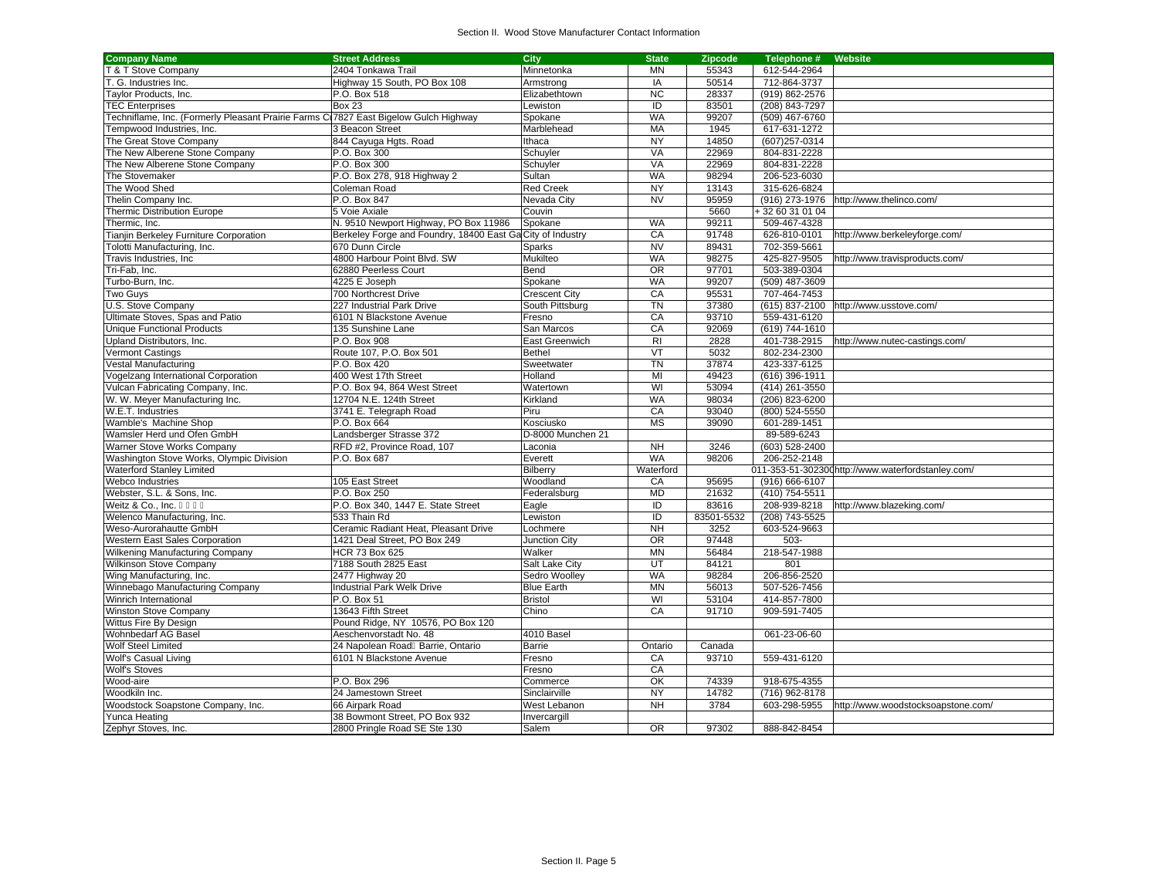| <b>Company Name</b>                                                                  | <b>Street Address</b>                                      | City                 | <b>State</b>        | <b>Zipcode</b> | Telephone #                  | <b>Website</b>                                     |
|--------------------------------------------------------------------------------------|------------------------------------------------------------|----------------------|---------------------|----------------|------------------------------|----------------------------------------------------|
| T & T Stove Company                                                                  | 2404 Tonkawa Trail                                         | Minnetonka           | <b>MN</b>           | 55343          | 612-544-2964                 |                                                    |
| . G. Industries Inc.                                                                 | Highway 15 South, PO Box 108                               | Armstrong            | IA                  | 50514          | 712-864-3737                 |                                                    |
| <b>Taylor Products, Inc.</b>                                                         | P.O. Box 518                                               | Elizabethtown        | <b>NC</b>           | 28337          | (919) 862-2576               |                                                    |
| <b>TEC Enterprises</b>                                                               | <b>Box 23</b>                                              | Lewiston             | $\overline{D}$      | 83501          | (208) 843-7297               |                                                    |
| Fechniflame, Inc. (Formerly Pleasant Prairie Farms C17827 East Bigelow Gulch Highway |                                                            | Spokane              | <b>WA</b>           | 99207          | (509) 467-6760               |                                                    |
| Fempwood Industries, Inc.                                                            | 3 Beacon Street                                            | Marblehead           | MA                  | 1945           | 617-631-1272                 |                                                    |
| The Great Stove Company                                                              | 844 Cayuga Hgts. Road                                      | Ithaca               | <b>NY</b>           | 14850          | (607)257-0314                |                                                    |
| The New Alberene Stone Company                                                       | P.O. Box 300                                               | Schuyler             | VA                  | 22969          | 804-831-2228                 |                                                    |
| The New Alberene Stone Company                                                       | P.O. Box 300                                               | Schuyler             | VA                  | 22969          | 804-831-2228                 |                                                    |
| The Stovemaker                                                                       | P.O. Box 278, 918 Highway 2                                | Sultan               | <b>WA</b>           | 98294          | 206-523-6030                 |                                                    |
| The Wood Shed                                                                        | Coleman Road                                               | <b>Red Creek</b>     | <b>NY</b>           | 13143          | 315-626-6824                 |                                                    |
| Thelin Company Inc.                                                                  | P.O. Box 847                                               | Nevada City          | <b>NV</b>           | 95959          | (916) 273-1976               | http://www.thelinco.com/                           |
| <b>Thermic Distribution Europe</b>                                                   | 5 Voie Axiale                                              | Couvin               |                     | 5660           | +32 60 31 01 04              |                                                    |
| Thermic, Inc.                                                                        | N. 9510 Newport Highway, PO Box 11986                      | Spokane              | <b>WA</b>           | 99211          | 509-467-4328                 |                                                    |
| <b>Tianjin Berkeley Furniture Corporation</b>                                        | Berkeley Forge and Foundry, 18400 East Ga City of Industry |                      | CA                  | 91748          | 626-810-0101                 | http://www.berkeleyforge.com/                      |
| <b>Folotti Manufacturing, Inc.</b>                                                   | 670 Dunn Circle                                            | Sparks               | <b>NV</b>           | 89431          | 702-359-5661                 |                                                    |
| Travis Industries, Inc.                                                              | 4800 Harbour Point Blvd, SW                                | Mukilteo             | <b>WA</b>           | 98275          | 425-827-9505                 | http://www.travisproducts.com/                     |
| Tri-Fab. Inc.                                                                        | 62880 Peerless Court                                       | Bend                 | $\overline{OR}$     | 97701          | 503-389-0304                 |                                                    |
| Turbo-Burn, Inc.                                                                     | 4225 E Joseph                                              | Spokane              | WA                  | 99207          | (509) 487-3609               |                                                    |
| Two Guys                                                                             | 700 Northcrest Drive                                       | <b>Crescent City</b> | CA                  | 95531          | 707-464-7453                 |                                                    |
| U.S. Stove Company                                                                   | 227 Industrial Park Drive                                  | South Pittsburg      | $\overline{T}N$     | 37380          | (615) 837-2100               | http://www.usstove.com/                            |
| Ultimate Stoves, Spas and Patio                                                      | 6101 N Blackstone Avenue                                   | Fresno               | CA                  | 93710          | 559-431-6120                 |                                                    |
|                                                                                      | 135 Sunshine Lane                                          | San Marcos           | CA                  | 92069          |                              |                                                    |
| <b>Unique Functional Products</b>                                                    | P.O. Box 908                                               | East Greenwich       | R <sub>l</sub>      | 2828           | (619) 744-1610               |                                                    |
| Jpland Distributors, Inc.<br>Vermont Castings                                        | Route 107, P.O. Box 501                                    | <b>Bethel</b>        | $\overline{VT}$     | 5032           | 401-738-2915<br>802-234-2300 | http://www.nutec-castings.com/                     |
|                                                                                      |                                                            |                      | <b>TN</b>           |                |                              |                                                    |
| Vestal Manufacturing                                                                 | P.O. Box 420                                               | Sweetwater           |                     | 37874          | 423-337-6125                 |                                                    |
| Vogelzang International Corporation                                                  | 400 West 17th Street                                       | Holland              | MI<br>WI            | 49423          | (616) 396-1911               |                                                    |
| Vulcan Fabricating Company, Inc.                                                     | P.O. Box 94, 864 West Street                               | Watertown            | <b>WA</b>           | 53094          | (414) 261-3550               |                                                    |
| W. W. Meyer Manufacturing Inc.                                                       | 12704 N.E. 124th Street                                    | Kirkland             |                     | 98034<br>93040 | (206) 823-6200               |                                                    |
| W.E.T. Industries                                                                    | 3741 E. Telegraph Road                                     | Piru                 | CA                  |                | (800) 524-5550               |                                                    |
| <b>Wamble's Machine Shop</b>                                                         | P.O. Box 664                                               | Kosciusko            | <b>MS</b>           | 39090          | 601-289-1451                 |                                                    |
| Wamsler Herd und Ofen GmbH                                                           | Landsberger Strasse 372                                    | D-8000 Munchen 21    |                     |                | 89-589-6243                  |                                                    |
| <b>Narner Stove Works Company</b>                                                    | RFD #2, Province Road, 107<br>P.O. Box 687                 | Laconia              | <b>NH</b>           | 3246           | (603) 528-2400               |                                                    |
| Washington Stove Works, Olympic Division                                             |                                                            | Everett              | WA                  | 98206          | 206-252-2148                 |                                                    |
| <b>Waterford Stanley Limited</b>                                                     |                                                            | Bilberry             | Waterford           |                |                              | 011-353-51-302300 http://www.waterfordstanley.com/ |
| Webco Industries                                                                     | 105 East Street                                            | Woodland             | CA                  | 95695          | (916) 666-6107               |                                                    |
| Webster, S.L. & Sons, Inc.                                                           | P.O. Box 250                                               | Federalsburg         | <b>MD</b>           | 21632          | (410) 754-5511               |                                                    |
| Neitz & Co., Inc.                                                                    | P.O. Box 340, 1447 E. State Street                         | Eagle                | ID                  | 83616          | 208-939-8218                 | http://www.blazeking.com/                          |
| Welenco Manufacturing, Inc.                                                          | 533 Thain Rd                                               | Lewiston             | $\overline{1}$      | 83501-5532     | (208) 743-5525               |                                                    |
| Weso-Aurorahautte GmbH                                                               | Ceramic Radiant Heat, Pleasant Drive                       | Lochmere             | <b>NH</b>           | 3252           | 603-524-9663                 |                                                    |
| <b>Western East Sales Corporation</b>                                                | 1421 Deal Street, PO Box 249                               | <b>Junction City</b> | <b>OR</b>           | 97448          | $503 -$                      |                                                    |
| Wilkening Manufacturing Company                                                      | <b>HCR 73 Box 625</b>                                      | Walker               | <b>MN</b><br>UT     | 56484          | 218-547-1988                 |                                                    |
| Wilkinson Stove Company                                                              | 7188 South 2825 East                                       | Salt Lake City       |                     | 84121          | 801                          |                                                    |
| Wing Manufacturing, Inc.                                                             | 2477 Highway 20                                            | Sedro Woolley        | <b>WA</b>           | 98284          | 206-856-2520                 |                                                    |
| Winnebago Manufacturing Company                                                      | Industrial Park Welk Drive                                 | <b>Blue Earth</b>    | <b>MN</b>           | 56013          | 507-526-7456                 |                                                    |
| Winrich International                                                                | P.O. Box 51                                                | Bristol              | WI                  | 53104          | 414-857-7800                 |                                                    |
| Winston Stove Company                                                                | 13643 Fifth Street                                         | Chino                | CA                  | 91710          | 909-591-7405                 |                                                    |
| Wittus Fire By Design                                                                | Pound Ridge, NY 10576, PO Box 120                          |                      |                     |                |                              |                                                    |
| Wohnbedarf AG Basel                                                                  | Aeschenvorstadt No. 48                                     | 4010 Basel           |                     |                | 061-23-06-60                 |                                                    |
| <b>Wolf Steel Limited</b>                                                            | 24 Napolean Road Barrie, Ontario                           | <b>Barrie</b>        | Ontario             | Canada         |                              |                                                    |
| Wolf's Casual Living                                                                 | 6101 N Blackstone Avenue                                   | Fresno               | CA                  | 93710          | 559-431-6120                 |                                                    |
| <b>Wolf's Stoves</b>                                                                 |                                                            | Fresno               | CA                  |                |                              |                                                    |
| Wood-aire                                                                            | P.O. Box 296                                               | Commerce             | $\overline{\alpha}$ | 74339          | 918-675-4355                 |                                                    |
| Woodkiln Inc.                                                                        | 24 Jamestown Street                                        | Sinclairville        | <b>NY</b>           | 14782          | (716) 962-8178               |                                                    |
| Woodstock Soapstone Company, Inc.                                                    | 66 Airpark Road                                            | West Lebanon         | <b>NH</b>           | 3784           | 603-298-5955                 | http://www.woodstocksoapstone.com/                 |
| Yunca Heating                                                                        | 38 Bowmont Street, PO Box 932                              | Invercargill         |                     |                |                              |                                                    |
| Zephyr Stoves, Inc.                                                                  | 2800 Pringle Road SE Ste 130                               | Salem                | <b>OR</b>           | 97302          | 888-842-8454                 |                                                    |